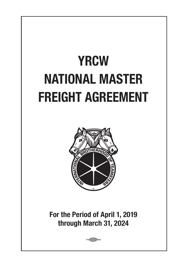# **YRCW NATIONAL MASTER FREIGHT AGREEMENT**



**For the Period of April 1, 2019 through March 31, 2024**

 $-\frac{1}{2}$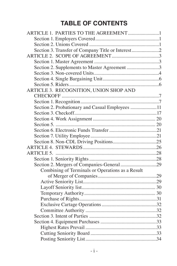# **TABLE OF CONTENTS**

| ARTICLE 1. PARTIES TO THE AGREEMENT 1             |  |
|---------------------------------------------------|--|
|                                                   |  |
|                                                   |  |
| Section 3. Transfer of Company Title or Interest2 |  |
|                                                   |  |
|                                                   |  |
| Section 2. Supplements to Master Agreement 3      |  |
|                                                   |  |
|                                                   |  |
|                                                   |  |
| ARTICLE 3. RECOGNITION, UNION SHOP AND            |  |
|                                                   |  |
|                                                   |  |
| Section 2. Probationary and Casual Employees 11   |  |
|                                                   |  |
|                                                   |  |
|                                                   |  |
|                                                   |  |
|                                                   |  |
|                                                   |  |
|                                                   |  |
|                                                   |  |
|                                                   |  |
|                                                   |  |
| Combining of Terminals or Operations as a Result  |  |
|                                                   |  |
|                                                   |  |
|                                                   |  |
|                                                   |  |
|                                                   |  |
|                                                   |  |
|                                                   |  |
|                                                   |  |
|                                                   |  |
|                                                   |  |
|                                                   |  |
|                                                   |  |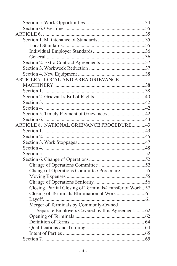| ARTICLE 7. LOCAL AND AREA GRIEVANCE                      |  |
|----------------------------------------------------------|--|
|                                                          |  |
|                                                          |  |
|                                                          |  |
|                                                          |  |
|                                                          |  |
| Section 5. Timely Payment of Grievances 42               |  |
|                                                          |  |
| ARTICLE 8. NATIONAL GRIEVANCE PROCEDURE43                |  |
|                                                          |  |
|                                                          |  |
|                                                          |  |
|                                                          |  |
|                                                          |  |
|                                                          |  |
|                                                          |  |
| Change of Operations Committee Procedure55               |  |
|                                                          |  |
|                                                          |  |
| Closing, Partial Closing of Terminals-Transfer of Work57 |  |
|                                                          |  |
|                                                          |  |
| Merger of Terminals by Commonly-Owned                    |  |
| Separate Employers Covered by this Agreement62           |  |
|                                                          |  |
|                                                          |  |
|                                                          |  |
|                                                          |  |
|                                                          |  |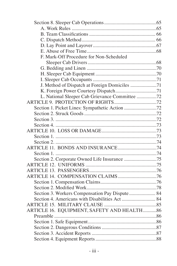| F. Mark-Off Procedure for Non-Scheduled         |  |
|-------------------------------------------------|--|
|                                                 |  |
|                                                 |  |
|                                                 |  |
|                                                 |  |
| J. Method of Dispatch at Foreign Domiciles 71   |  |
|                                                 |  |
| L. National Sleeper Cab Grievance Committee 72  |  |
|                                                 |  |
| Section 1. Picket Lines: Sympathetic Action 72  |  |
|                                                 |  |
|                                                 |  |
|                                                 |  |
|                                                 |  |
|                                                 |  |
|                                                 |  |
|                                                 |  |
|                                                 |  |
|                                                 |  |
|                                                 |  |
|                                                 |  |
|                                                 |  |
|                                                 |  |
|                                                 |  |
| Section 3. Workers Compensation Pay Dispute  84 |  |
|                                                 |  |
|                                                 |  |
| ARTICLE 16. EQUIPMENT, SAFETY AND HEALTH86      |  |
|                                                 |  |
|                                                 |  |
|                                                 |  |
|                                                 |  |
|                                                 |  |
|                                                 |  |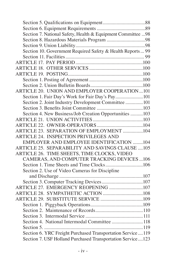| Section 7. National Safety, Health & Equipment Committee  98 |  |
|--------------------------------------------------------------|--|
|                                                              |  |
|                                                              |  |
| Section 10. Government Required Safety & Health Reports  99  |  |
|                                                              |  |
|                                                              |  |
|                                                              |  |
|                                                              |  |
|                                                              |  |
|                                                              |  |
| ARTICLE 20. UNION AND EMPLOYER COOPERATION101                |  |
| Section 1. Fair Day's Work for Fair Day's Pay 101            |  |
| Section 2. Joint Industry Development Committee  101         |  |
|                                                              |  |
| Section 4. New Business/Job Creation Opportunities 103       |  |
|                                                              |  |
|                                                              |  |
| ARTICLE 23. SEPARATION OF EMPLOYMENT 104                     |  |
| <b>ARTICLE 24. INSPECTION PRIVILEGES AND</b>                 |  |
| <b>EMPLOYER AND EMPLOYEE IDENTIFICATION 104</b>              |  |
| ARTICLE 25. SEPARABILITY AND SAVINGS CLAUSE 105              |  |
| ARTICLE 26. TIME SHEETS, TIME CLOCKS, VIDEO                  |  |
| CAMERAS, AND COMPUTER TRACKING DEVICES  106                  |  |
| Section 1. Time Sheets and Time Clocks106                    |  |
| Section 2. Use of Video Cameras for Discipline               |  |
|                                                              |  |
| Section 3. Computer Tracking Devices107                      |  |
| ARTICLE 27. EMERGENCY REOPENING 107                          |  |
|                                                              |  |
|                                                              |  |
|                                                              |  |
|                                                              |  |
|                                                              |  |
| Section 4. National Intermodal Committee  118                |  |
|                                                              |  |
| Section 6. YRC Freight Purchased Transportation Service  119 |  |
| Section 7. USF Holland Purchased Transportation Service123   |  |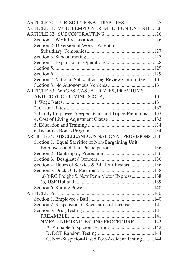| ARTICLE 31. MULTI-EMPLOYER, MULTI-UNION UNIT126              |
|--------------------------------------------------------------|
|                                                              |
|                                                              |
| Section 2. Diversion of Work-Parent or                       |
|                                                              |
|                                                              |
|                                                              |
|                                                              |
|                                                              |
| Section 7. National Subcontracting Review Committee 131      |
|                                                              |
| ARTICLE 33. WAGES, CASUAL RATES, PREMIUMS                    |
|                                                              |
|                                                              |
|                                                              |
| 3. Utility Employee, Sleeper Team, and Triples Premiums  132 |
|                                                              |
|                                                              |
|                                                              |
| ARTICLE 34. MISCELLANEOUS NATIONAL PROVISIONS 136            |
| Section 1. Equal Sacrifice of Non-Bargaining Unit            |
|                                                              |
|                                                              |
|                                                              |
| Section 4. Hours of Service & 34-Hour Restart 136            |
|                                                              |
| (a) YRC Freight & New Penn Motor Express138                  |
|                                                              |
|                                                              |
|                                                              |
|                                                              |
| Section 2. Suspension or Revocation of License 141           |
|                                                              |
|                                                              |
| NMFA UNIFORM TESTING PROCEDURE142                            |
|                                                              |
|                                                              |
| C. Non-Suspicion-Based Post-Accident Testing  144            |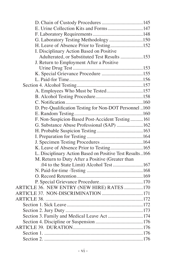| E. Urine Collection Kits and Forms 147                   |  |
|----------------------------------------------------------|--|
|                                                          |  |
| G. Laboratory Testing Methodology 150                    |  |
| H. Leave of Absence Prior to Testing152                  |  |
| I. Disciplinary Action Based on Positive                 |  |
| Adulterated, or Substituted Test Results 153             |  |
| J. Return to Employment After a Positive                 |  |
|                                                          |  |
| K. Special Grievance Procedure 155                       |  |
|                                                          |  |
|                                                          |  |
| A. Employees Who Must be Tested157                       |  |
|                                                          |  |
|                                                          |  |
| D. Pre-Qualification Testing for Non-DOT Personnel 160   |  |
|                                                          |  |
| F. Non-Suspicion-Based Post-Accident Testing 161         |  |
| G. Substance Abuse Professional (SAP) 162                |  |
|                                                          |  |
|                                                          |  |
|                                                          |  |
| K. Leave of Absence Prior to Testing165                  |  |
| L. Disciplinary Action Based on Positive Test Results166 |  |
| M. Return to Duty After a Positive (Greater than         |  |
| .04 to the State Limit) Alcohol Test 167                 |  |
|                                                          |  |
|                                                          |  |
|                                                          |  |
| ARTICLE 36. NEW ENTRY (NEW HIRE) RATES 170               |  |
|                                                          |  |
|                                                          |  |
|                                                          |  |
|                                                          |  |
| Section 3. Family and Medical Leave Act 174              |  |
|                                                          |  |
|                                                          |  |
|                                                          |  |
|                                                          |  |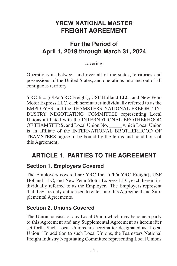# **YRCW NATIONAL MASTER FREIGHT AGREEMENT**

# **For the Period of April 1, 2019 through March 31, 2024**

covering:

Operations in, between and over all of the states, territories and possessions of the United States, and operations into and out of all contiguous territory.

YRC Inc. (d/b/a YRC Freight), USF Holland LLC, and New Penn Motor Express LLC, each hereinafter individually referred to as the EMPLOYER and the TEAMSTERS NATIONAL FREIGHT IN-DUSTRY NEGOTIATING COMMITTEE representing Local Unions affiliated with the INTERNATIONAL BROTHERHOOD<br>OF TEAMSTERS, and Local Union No. which Local Union OF TEAMSTERS, and Local Union No. is an affiliate of the INTERNATIONAL BROTHERHOOD OF TEAMSTERS, agree to be bound by the terms and conditions of this Agreement.

# **ARTICLE 1. PARTIES TO THE AGREEMENT**

# **Section 1. Employers Covered**

The Employers covered are YRC Inc. (d/b/a YRC Freight), USF Holland LLC, and New Penn Motor Express LLC, each herein individually referred to as the Employer. The Employers represent that they are duly authorized to enter into this Agreement and Supplemental Agreements.

## **Section 2. Unions Covered**

The Union consists of any Local Union which may become a party to this Agreement and any Supplemental Agreement as hereinafter set forth. Such Local Unions are hereinafter designated as "Local Union." In addition to such Local Unions, the Teamsters National Freight Industry Negotiating Committee representing Local Unions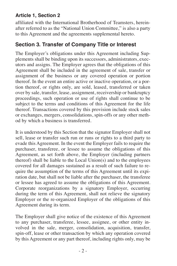affiliated with the International Brotherhood of Teamsters, hereinafter referred to as the "National Union Committee," is also a party to this Agreement and the agreements supplemental hereto.

#### **Section 3. Transfer of Company Title or Interest**

The Employer's obligations under this Agreement including Supplements shall be binding upon its successors, administrators, executors and assigns. The Employer agrees that the obligations of this Agreement shall be included in the agreement of sale, transfer or assignment of the business or any covered operation or portion thereof. In the event an entire active or inactive operation, or a portion thereof, or rights only, are sold, leased, transferred or taken over by sale, transfer, lease, assignment, receivership or bankruptcy proceedings, such operation or use of rights shall continue to be subject to the terms and conditions of this Agreement for the life thereof. Transactions covered by this provision include stock sales or exchanges, mergers, consolidations, spin-offs or any other method by which a business is transferred.

It is understood by this Section that the signator Employer shall not sell, lease or transfer such run or runs or rights to a third party to evade this Agreement. In the event the Employer fails to require the purchaser, transferee, or lessee to assume the obligations of this Agreement, as set forth above, the Employer (including partners thereof) shall be liable to the Local Union(s) and to the employees covered for all damages sustained as a result of such failure to require the assumption of the terms of this Agreement until its expiration date, but shall not be liable after the purchaser, the transferee or lessee has agreed to assume the obligations of this Agreement. Corporate reorganizations by a signatory Employer, occurring during the term of this Agreement, shall not relieve the signatory Employer or the re-organized Employer of the obligations of this Agreement during its term.

The Employer shall give notice of the existence of this Agreement to any purchaser, transferee, lessee, assignee, or other entity involved in the sale, merger, consolidation, acquisition, transfer, spin-off, lease or other transaction by which any operation covered by this Agreement or any part thereof, including rights only, may be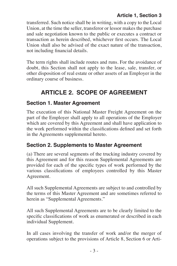transferred. Such notice shall be in writing, with a copy to the Local Union, at the time the seller, transferor or lessor makes the purchase and sale negotiation known to the public or executes a contract or transaction as herein described, whichever first occurs. The Local Union shall also be advised of the exact nature of the transaction, not including financial details.

The term rights shall include routes and runs. For the avoidance of doubt, this Section shall not apply to the lease, sale, transfer, or other disposition of real estate or other assets of an Employer in the ordinary course of business.

# **ARTICLE 2. SCOPE OF AGREEMENT**

#### **Section 1. Master Agreement**

The execution of this National Master Freight Agreement on the part of the Employer shall apply to all operations of the Employer which are covered by this Agreement and shall have application to the work performed within the classifications defined and set forth in the Agreements supplemental hereto.

## **Section 2. Supplements to Master Agreement**

(a) There are several segments of the trucking industry covered by this Agreement and for this reason Supplemental Agreements are provided for each of the specific types of work performed by the various classifications of employees controlled by this Master Agreement.

All such Supplemental Agreements are subject to and controlled by the terms of this Master Agreement and are sometimes referred to herein as "Supplemental Agreements."

All such Supplemental Agreements are to be clearly limited to the specific classifications of work as enumerated or described in each individual Supplement.

In all cases involving the transfer of work and/or the merger of operations subject to the provisions of Article 8, Section 6 or Arti-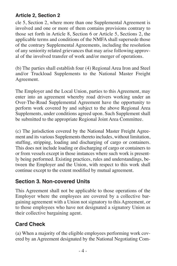cle 5, Section 2, where more than one Supplemental Agreement is involved and one or more of them contains provisions contrary to those set forth in Article 8, Section 6 or Article 5, Sections 2, the applicable terms and conditions of the NMFA shall supersede those of the contrary Supplemental Agreements, including the resolution of any seniority related grievances that may arise following approval of the involved transfer of work and/or merger of operations.

(b) The parties shall establish four (4) Regional Area Iron and Steel and/or Truckload Supplements to the National Master Freight Agreement.

The Employer and the Local Union, parties to this Agreement, may enter into an agreement whereby road drivers working under an Over-The-Road Supplemental Agreement have the opportunity to perform work covered by and subject to the above Regional Area Supplements, under conditions agreed upon. Such Supplement shall be submitted to the appropriate Regional Joint Area Committee.

(c) The jurisdiction covered by the National Master Freight Agreement and its various Supplements thereto includes, without limitation, stuffing, stripping, loading and discharging of cargo or containers. This does not include loading or discharging of cargo or containers to or from vessels except in those instances where such work is presently being performed. Existing practices, rules and understandings, between the Employer and the Union, with respect to this work shall continue except to the extent modified by mutual agreement.

# **Section 3. Non-covered Units**

This Agreement shall not be applicable to those operations of the Employer where the employees are covered by a collective bargaining agreement with a Union not signatory to this Agreement, or to those employees who have not designated a signatory Union as their collective bargaining agent.

# **Card Check**

(a) When a majority of the eligible employees performing work covered by an Agreement designated by the National Negotiating Com-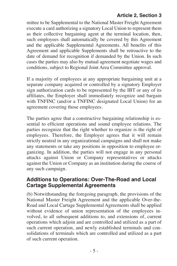mittee to be Supplemental to the National Master Freight Agreement execute a card authorizing a signatory Local Union to represent them as their collective bargaining agent at the terminal location, then, such employees shall automatically be covered by this Agreement and the applicable Supplemental Agreements. All benefits of this Agreement and applicable Supplements shall be retroactive to the date of demand for recognition if demanded by the Union. In such cases the parties may also by mutual agreement negotiate wages and conditions, subject to Regional Joint Area Committee approval.

If a majority of employees at any appropriate bargaining unit at a separate company acquired or controlled by a signatory Employer sign authorization cards to be represented by the IBT or any of its affiliates, the Employer shall immediately recognize and bargain with TNFINC (and/or a TNFINC designated Local Union) for an agreement covering those employees.

The parties agree that a constructive bargaining relationship is essential to efficient operations and sound employee relations. The parties recognize that the right whether to organize is the right of employees. Therefore, the Employer agrees that it will remain strictly neutral in any organizational campaigns and shall not make any statements or take any positions in opposition to employee organizing. In addition, the parties will not engage in any personal attacks against Union or Company representatives or attacks against the Union or Company as an institution during the course of any such campaign.

#### **Additions to Operations: Over-The-Road and Local Cartage Supplemental Agreements**

(b) Notwithstanding the foregoing paragraph, the provisions of the National Master Freight Agreement and the applicable Over-the-Road and Local Cartage Supplemental Agreements shall be applied without evidence of union representation of the employees involved, to all subsequent additions to, and extensions of, current operations which adjoin and are controlled and utilized as a part of such current operation, and newly established terminals and consolidations of terminals which are controlled and utilized as a part of such current operation.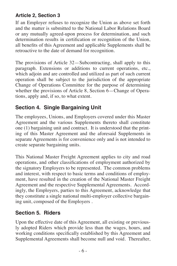If an Employer refuses to recognize the Union as above set forth and the matter is submitted to the National Labor Relations Board or any mutually agreed-upon process for determination, and such determination results in certification or recognition of the Union, all benefits of this Agreement and applicable Supplements shall be retroactive to the date of demand for recognition.

The provisions of Article 32—Subcontracting, shall apply to this paragraph. Extensions or additions to current operations, etc., which adjoin and are controlled and utilized as part of such current operation shall be subject to the jurisdiction of the appropriate Change of Operations Committee for the purpose of determining whether the provisions of Article 8, Section 6—Change of Operations, apply and, if so, to what extent.

# **Section 4. Single Bargaining Unit**

The employees, Unions, and Employers covered under this Master Agreement and the various Supplements thereto shall constitute one (1) bargaining unit and contract. It is understood that the printing of this Master Agreement and the aforesaid Supplements in separate Agreements is for convenience only and is not intended to create separate bargaining units.

This National Master Freight Agreement applies to city and road operations, and other classifications of employment authorized by the signatory Employers to be represented. The common problems and interest, with respect to basic terms and conditions of employment, have resulted in the creation of the National Master Freight Agreement and the respective Supplemental Agreements. Accordingly, the Employers, parties to this Agreement, acknowledge that they constitute a single national multi-employer collective bargaining unit, composed of the Employers .

# **Section 5. Riders**

Upon the effective date of this Agreement, all existing or previously adopted Riders which provide less than the wages, hours, and working conditions specifically established by this Agreement and Supplemental Agreements shall become null and void. Thereafter,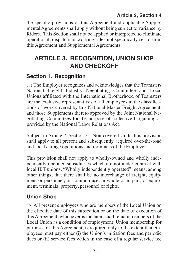the specific provisions of this Agreement and applicable Supplemental Agreements shall apply without being subject to variance by Riders. This Section shall not be applied or interpreted to eliminate operational, dispatch, or working rules not specifically set forth in this Agreement and Supplemental Agreements.

# **ARTICLE 3. RECOGNITION, UNION SHOP AND CHECKOFF**

## **Section 1. Recognition**

(a) The Employer recognizes and acknowledges that the Teamsters National Freight Industry Negotiating Committee and Local Unions affiliated with the International Brotherhood of Teamsters are the exclusive representatives of all employees in the classifications of work covered by this National Master Freight Agreement, and those Supplements thereto approved by the Joint National Negotiating Committees for the purpose of collective bargaining as provided by the National Labor Relations Act.

Subject to Article 2, Section 3—Non-covered Units, this provision shall apply to all present and subsequently acquired over-the-road and local cartage operations and terminals of the Employer.

This provision shall not apply to wholly-owned and wholly independently operated subsidiaries which are not under contract with local IBT unions. "Wholly independently operated" means, among other things, that there shall be no interchange of freight, equipment or personnel, or common use, in whole or in part, of equipment, terminals, property, personnel or rights.

# **Union Shop**

(b) All present employees who are members of the Local Union on the effective date of this subsection or on the date of execution of this Agreement, whichever is the later, shall remain members of the Local Union as a condition of employment. Union membership for purposes of this Agreement, is required only to the extent that employees must pay either (i) the Union's initiation fees and periodic dues or (ii) service fees which in the case of a regular service fee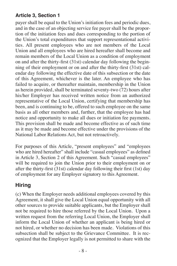payer shall be equal to the Union's initiation fees and periodic dues, and in the case of an objecting service fee payer shall be the proportion of the initiation fees and dues corresponding to the portion of the Union's total expenditures that support representational activities. All present employees who are not members of the Local Union and all employees who are hired hereafter shall become and remain members of the Local Union as a condition of employment on and after the thirty-first (31st) calendar day following the beginning of their employment or on and after the thirty-first (31st) calendar day following the effective date of this subsection or the date of this Agreement, whichever is the later. An employee who has failed to acquire, or thereafter maintain, membership in the Union as herein provided, shall be terminated seventy-two  $(72)$  hours after his/her Employer has received written notice from an authorized representative of the Local Union, certifying that membership has been, and is continuing to be, offered to such employee on the same basis as all other members and, further, that the employee has had notice and opportunity to make all dues or initiation fee payments. This provision shall be made and become effective as of such time as it may be made and become effective under the provisions of the National Labor Relations Act, but not retroactively.

For purposes of this Article, "present employees" and "employees who are hired hereafter" shall include "casual employees" as defined in Article 3, Section 2 of this Agreement. Such "casual employees" will be required to join the Union prior to their employment on or after the thirty-first (31st) calendar day following their first (1st) day of employment for any Employer signatory to this Agreement.

# **Hiring**

(c) When the Employer needs additional employees covered by this Agreement, it shall give the Local Union equal opportunity with all other sources to provide suitable applicants, but the Employer shall not be required to hire those referred by the Local Union. Upon a written request from the referring Local Union, the Employer shall inform the Local Union of whether an applicant is being hired or not hired, or whether no decision has been made. Violations of this subsection shall be subject to the Grievance Committee. It is recognized that the Employer legally is not permitted to share with the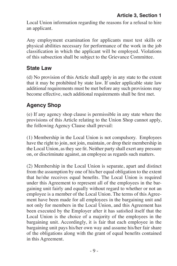Local Union information regarding the reasons for a refusal to hire an applicant.

Any employment examination for applicants must test skills or physical abilities necessary for performance of the work in the job classification in which the applicant will be employed. Violations of this subsection shall be subject to the Grievance Committee.

# **State Law**

(d) No provision of this Article shall apply in any state to the extent that it may be prohibited by state law. If under applicable state law additional requirements must be met before any such provisions may become effective, such additional requirements shall be first met.

# **Agency Shop**

(e) If any agency shop clause is permissible in any state where the provisions of this Article relating to the Union Shop cannot apply, the following Agency Clause shall prevail:

(1) Membership in the Local Union is not compulsory. Employees have the right to join, not join, maintain, or drop their membership in the Local Union, as they see fit. Neither party shall exert any pressure on, or discriminate against, an employee as regards such matters.

(2) Membership in the Local Union is separate, apart and distinct from the assumption by one of his/her equal obligation to the extent that he/she receives equal benefits. The Local Union is required under this Agreement to represent all of the employees in the bargaining unit fairly and equally without regard to whether or not an employee is a member of the Local Union. The terms of this Agreement have been made for all employees in the bargaining unit and not only for members in the Local Union, and this Agreement has been executed by the Employer after it has satisfied itself that the Local Union is the choice of a majority of the employees in the bargaining unit. Accordingly, it is fair that each employee in the bargaining unit pays his/her own way and assume his/her fair share of the obligations along with the grant of equal benefits contained in this Agreement.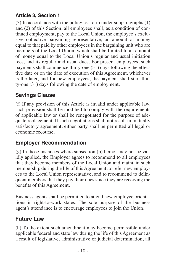(3) In accordance with the policy set forth under subparagraphs (1) and (2) of this Section, all employees shall, as a condition of continued employment, pay to the Local Union, the employee's exclusive collective bargaining representative, an amount of money equal to that paid by other employees in the bargaining unit who are members of the Local Union, which shall be limited to an amount of money equal to the Local Union's regular and usual initiation fees, and its regular and usual dues. For present employees, such payments shall commence thirty-one (31) days following the effective date or on the date of execution of this Agreement, whichever is the later, and for new employees, the payment shall start thirty-one (31) days following the date of employment.

# **Savings Clause**

(f) If any provision of this Article is invalid under applicable law, such provision shall be modified to comply with the requirements of applicable law or shall be renegotiated for the purpose of adequate replacement. If such negotiations shall not result in mutually satisfactory agreement, either party shall be permitted all legal or economic recourse.

# **Employer Recommendation**

(g) In those instances where subsection (b) hereof may not be validly applied, the Employer agrees to recommend to all employees that they become members of the Local Union and maintain such membership during the life of this Agreement, to refer new employees to the Local Union representative, and to recommend to delinquent members that they pay their dues since they are receiving the benefits of this Agreement.

Business agents shall be permitted to attend new employee orientations in right-to-work states. The sole purpose of the business agent's attendance is to encourage employees to join the Union.

## **Future Law**

(h) To the extent such amendment may become permissible under applicable federal and state law during the life of this Agreement as a result of legislative, administrative or judicial determination, all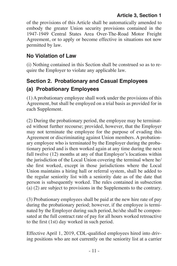of the provisions of this Article shall be automatically amended to embody the greater Union security provisions contained in the 1947-1949 Central States Area Over-The-Road Motor Freight Agreement, or to apply or become effective in situations not now permitted by law.

# **No Violation of Law**

(i) Nothing contained in this Section shall be construed so as to require the Employer to violate any applicable law.

# **Section 2. Probationary and Casual Employees (a) Probationary Employees**

(1) A probationary employee shall work under the provisions of this Agreement, but shall be employed on a trial basis as provided for in each Supplement.

(2) During the probationary period, the employee may be terminated without further recourse; provided, however, that the Employer may not terminate the employee for the purpose of evading this Agreement or discriminating against Union members. A probationary employee who is terminated by the Employer during the probationary period and is then worked again at any time during the next full twelve (12) months at any of that Employer's locations within the jurisdiction of the Local Union covering the terminal where he/ she first worked, except in those jurisdictions where the Local Union maintains a hiring hall or referral system, shall be added to the regular seniority list with a seniority date as of the date that person is subsequently worked. The rules contained in subsection (a) (2) are subject to provisions in the Supplements to the contrary.

(3) Probationary employees shall be paid at the new hire rate of pay during the probationary period; however, if the employee is terminated by the Employer during such period, he/she shall be compensated at the full contract rate of pay for all hours worked retroactive to the first (1st) day worked in such period.

Effective April 1, 2019, CDL-qualified employees hired into driving positions who are not currently on the seniority list at a carrier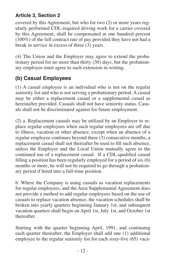covered by this Agreement, but who for two (2) or more years regularly performed CDL-required driving work for a carrier covered by this Agreement, shall be compensated at one hundred percent (100%) of the full contract rate of pay provided they have not had a break in service in excess of three (3) years.

(4) The Union and the Employer may agree to extend the probationary period for no more than thirty (30) days, but the probationary employee must agree to such extension in writing.

# **(b) Casual Employees**

(1) A casual employee is an individual who is not on the regular seniority list and who is not serving a probationary period. A casual may be either a replacement casual or a supplemental casual as hereinafter provided. Casuals shall not have seniority status. Casuals shall not be discriminated against for future employment.

(2) a. Replacement casuals may be utilized by an Employer to replace regular employees when such regular employees are off due to illness, vacation or other absence, except when an absence of a regular employee continues beyond three (3) consecutive months, a replacement casual shall not thereafter be used to fill such absence, unless the Employer and the Local Union mutually agree to the continued use of a replacement casual. If a CDL-qualified casual filling a position has been regularly employed for a period of six (6) months or more, he will not be required to go through a probationary period if hired into a full-time position.

b. Where the Company is using casuals as vacation replacements for regular employees, and the Area Supplemental Agreement does not provide a method to add regular employees based on the use of casuals to replace vacation absence, the vacation schedules shall be broken into yearly quarters beginning January 1st, and subsequent vacation quarters shall begin on April 1st, July 1st, and October 1st thereafter.

Starting with the quarter beginning April, 1991, and continuing each quarter thereafter, the Employer shall add one (1) additional employee to the regular seniority list for each sixty-five (65) vaca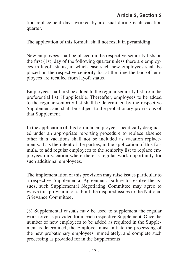tion replacement days worked by a casual during each vacation quarter.

The application of this formula shall not result in pyramiding.

New employees shall be placed on the respective seniority lists on the first (1st) day of the following quarter unless there are employees in layoff status, in which case such new employees shall be placed on the respective seniority list at the time the laid-off employees are recalled from layoff status.

Employees shall first be added to the regular seniority list from the preferential list, if applicable. Thereafter, employees to be added to the regular seniority list shall be determined by the respective Supplement and shall be subject to the probationary provisions of that Supplement.

In the application of this formula, employees specifically designated under an appropriate reporting procedure to replace absence other than vacations shall not be included as vacation replacements. It is the intent of the parties, in the application of this formula, to add regular employees to the seniority list to replace employees on vacation where there is regular work opportunity for such additional employees.

The implementation of this provision may raise issues particular to a respective Supplemental Agreement. Failure to resolve the issues, such Supplemental Negotiating Committee may agree to waive this provision, or submit the disputed issues to the National Grievance Committee.

(3) Supplemental casuals may be used to supplement the regular work force as provided for in each respective Supplement. Once the number of new employees to be added as required in the Supplement is determined, the Employer must initiate the processing of the new probationary employees immediately, and complete such processing as provided for in the Supplements.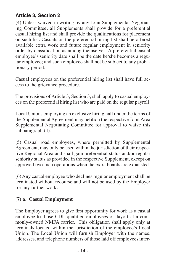(4) Unless waived in writing by any Joint Supplemental Negotiating Committee, all Supplements shall provide for a preferential casual hiring list and shall provide the qualifications for placement on such list. Casuals on the preferential hiring list shall be offered available extra work and future regular employment in seniority order by classification as among themselves. A preferential casual employee's seniority date shall be the date he/she becomes a regular employee; and such employee shall not be subject to any probationary period.

Casual employees on the preferential hiring list shall have full access to the grievance procedure.

The provisions of Article 3, Section 3, shall apply to casual employees on the preferential hiring list who are paid on the regular payroll.

Local Unions employing an exclusive hiring hall under the terms of the Supplemental Agreement may petition the respective Joint Area Supplemental Negotiating Committee for approval to waive this subparagraph (4).

(5) Casual road employees, where permitted by Supplemental Agreement, may only be used within the jurisdiction of their respective Regional Area and shall gain preferential status and/or regular seniority status as provided in the respective Supplement, except on approved two-man operations when the extra boards are exhausted.

(6) Any casual employee who declines regular employment shall be terminated without recourse and will not be used by the Employer for any further work.

#### **(7) a. Casual Employment**

The Employer agrees to give first opportunity for work as a casual employee to those CDL-qualified employees on layoff at a commonly-owned NMFA carrier. This obligation shall apply only at terminals located within the jurisdiction of the employee's Local Union. The Local Union will furnish Employer with the names, addresses, and telephone numbers of those laid off employees inter-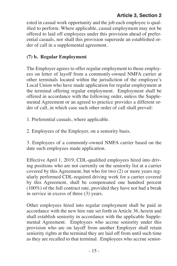ested in casual work opportunity and the job each employee is qualified to perform. Where applicable, casual employment may not be offered to laid off employees under this provision ahead of preferential casuals, nor shall this provision supersede an established order of call in a supplemental agreement.

#### **(7) b. Regular Employment**

The Employer agrees to offer regular employment to those employees on letter of layoff from a commonly-owned NMFA carrier at other terminals located within the jurisdiction of the employee's Local Union who have made application for regular employment at the terminal offering regular employment. Employment shall be offered in accordance with the following order, unless the Supplemental Agreement or an agreed to practice provides a different order of call, in which case such other order of call shall prevail:

1. Preferential casuals, where applicable.

2. Employees of the Employer, on a seniority basis.

3. Employees of a commonly-owned NMFA carrier based on the date such employees made application.

Effective April 1, 2019, CDL-qualified employees hired into driving positions who are not currently on the seniority list at a carrier covered by this Agreement, but who for two (2) or more years regularly performed CDL-required driving work for a carrier covered by this Agreement, shall be compensated one hundred percent (100%) of the full contract rate, provided they have not had a break in service in excess of three (3) years.

Other employees hired into regular employment shall be paid in accordance with the new hire rate set forth in Article 36, herein and shall establish seniority in accordance with the applicable Supplemental Agreement. Employees who accrue seniority under this provision who are on layoff from another Employer shall retain seniority rights at the terminal they are laid off from until such time as they are recalled to that terminal. Employees who accrue senior-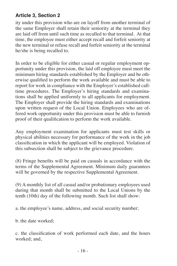ity under this provision who are on layoff from another terminal of the same Employer shall retain their seniority at the terminal they are laid off from until such time as recalled to that terminal. At that time, the employee must either accept recall and forfeit seniority at the new terminal or refuse recall and forfeit seniority at the terminal he/she is being recalled to.

In order to be eligible for either casual or regular employment opportunity under this provision, the laid off employee must meet the minimum hiring standards established by the Employer and be otherwise qualified to perform the work available and must be able to report for work in compliance with the Employer's established calltime procedures. The Employer's hiring standards and examinations shall be applied uniformly to all applicants for employment. The Employer shall provide the hiring standards and examinations upon written request of the Local Union. Employees who are offered work opportunity under this provision must be able to furnish proof of their qualification to perform the work available.

Any employment examination for applicants must test skills or physical abilities necessary for performance of the work in the job classification in which the applicant will be employed. Violation of this subsection shall be subject to the grievance procedure.

(8) Fringe benefits will be paid on casuals in accordance with the terms of the Supplemental Agreement. Minimum daily guarantees will be governed by the respective Supplemental Agreement.

(9) A monthly list of all casual and/or probationary employees used during that month shall be submitted to the Local Unions by the tenth (10th) day of the following month. Such list shall show:

a. the employee's name, address, and social security number;

b. the date worked;

c. the classification of work performed each date, and the hours worked; and,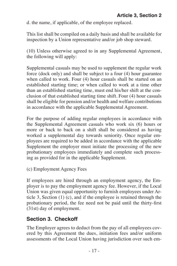d. the name, if applicable, of the employee replaced.

This list shall be compiled on a daily basis and shall be available for inspection by a Union representative and/or job shop steward.

(10) Unless otherwise agreed to in any Supplemental Agreement, the following will apply:

Supplemental casuals may be used to supplement the regular work force (dock only) and shall be subject to a four (4) hour guarantee when called to work. Four (4) hour casuals shall be started on an established starting time; or when called to work at a time other than an established starting time, must end his/her shift at the conclusion of that established starting time shift. Four (4) hour casuals shall be eligible for pension and/or health and welfare contributions in accordance with the applicable Supplemental Agreement.

For the purpose of adding regular employees in accordance with the Supplemental Agreement casuals who work six (6) hours or more or back to back on a shift shall be considered as having worked a supplemental day towards seniority. Once regular employees are required to be added in accordance with the applicable Supplement the employer must initiate the processing of the new probationary employees immediately and complete such processing as provided for in the applicable Supplement.

(c) Employment Agency Fees

If employees are hired through an employment agency, the Employer is to pay the employment agency fee. However, if the Local Union was given equal opportunity to furnish employees under Article 3, Section (1) (c), and if the employee is retained through the probationary period, the fee need not be paid until the thirty-first (31st) day of employment.

## **Section 3. Checkoff**

The Employer agrees to deduct from the pay of all employees covered by this Agreement the dues, initiation fees and/or uniform assessments of the Local Union having jurisdiction over such em-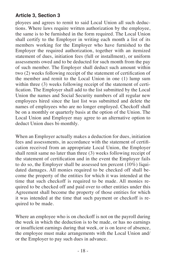ployees and agrees to remit to said Local Union all such deductions. Where laws require written authorization by the employee, the same is to be furnished in the form required. The Local Union shall certify to the Employer in writing each month a list of its members working for the Employer who have furnished to the Employer the required authorization, together with an itemized statement of dues, initiation fees (full or installment), or uniform assessments owed and to be deducted for such month from the pay of such member. The Employer shall deduct such amount within two (2) weeks following receipt of the statement of certification of the member and remit to the Local Union in one (1) lump sum within three (3) weeks following receipt of the statement of certification. The Employer shall add to the list submitted by the Local Union the names and Social Security numbers of all regular new employees hired since the last list was submitted and delete the names of employees who are no longer employed. Checkoff shall be on a monthly or quarterly basis at the option of the Union. The Local Union and Employer may agree to an alternative option to deduct Union dues bi-monthly.

When an Employer actually makes a deduction for dues, initiation fees and assessments, in accordance with the statement of certification received from an appropriate Local Union, the Employer shall remit same no later than three (3) weeks following receipt of the statement of certification and in the event the Employer fails to do so, the Employer shall be assessed ten percent  $(10\%)$  liquidated damages. All monies required to be checked off shall become the property of the entities for which it was intended at the time that such checkoff is required to be made. All monies required to be checked off and paid over to other entities under this Agreement shall become the property of those entities for which it was intended at the time that such payment or checkoff is required to be made.

Where an employee who is on checkoff is not on the payroll during the week in which the deduction is to be made, or has no earnings or insufficient earnings during that week, or is on leave of absence, the employee must make arrangements with the Local Union and/ or the Employer to pay such dues in advance.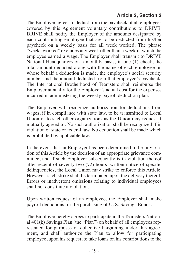The Employer agrees to deduct from the paycheck of all employees covered by this Agreement voluntary contributions to DRIVE. DRIVE shall notify the Employer of the amounts designated by each contributing employee that are to be deducted from his/her paycheck on a weekly basis for all week worked. The phrase "weeks worked" excludes any week other than a week in which the employee earned a wage. The Employer shall transmit to DRIVE National Headquarters on a monthly basis, in one (1) check, the total amount deducted along with the name of each employee on whose behalf a deduction is made, the employee's social security number and the amount deducted from that employee's paycheck. The International Brotherhood of Teamsters shall reimburse the Employer annually for the Employer's actual cost for the expenses incurred in administering the weekly payroll deduction plan.

The Employer will recognize authorization for deductions from wages, if in compliance with state law, to be transmitted to Local Union or to such other organizations as the Union may request if mutually agreed to. No such authorization shall be recognized if in violation of state or federal law. No deduction shall be made which is prohibited by applicable law.

In the event that an Employer has been determined to be in violation of this Article by the decision of an appropriate grievance committee, and if such Employer subsequently is in violation thereof after receipt of seventy-two (72) hours' written notice of specific delinquencies, the Local Union may strike to enforce this Article. However, such strike shall be terminated upon the delivery thereof. Errors or inadvertent omissions relating to individual employees shall not constitute a violation.

Upon written request of an employee, the Employer shall make payroll deductions for the purchasing of U. S. Savings Bonds.

The Employer hereby agrees to participate in the Teamsters National  $401(k)$  Savings Plan (the "Plan") on behalf of all employees represented for purposes of collective bargaining under this agreement, and shall authorize the Plan to allow for participating employee, upon his request, to take loans on his contributions to the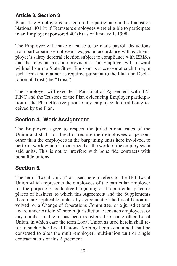Plan. The Employer is not required to participate in the Teamsters National 401(k) if Teamsters employees were eligible to participate in an Employer sponsored 401(k) as of January 1, 1998.

The Employer will make or cause to be made payroll deductions from participating employee's wages, in accordance with each employee's salary deferral election subject to compliance with ERISA and the relevant tax code provisions. The Employer will forward withheld sum to State Street Bank or its successor at such time, in such form and manner as required pursuant to the Plan and Declaration of Trust (the "Trust").

The Employer will execute a Participation Agreement with TN-FINC and the Trustees of the Plan evidencing Employer participation in the Plan effective prior to any employee deferral being received by the Plan.

# **Section 4. Work Assignment**

The Employers agree to respect the jurisdictional rules of the Union and shall not direct or require their employees or persons other than the employees in the bargaining units here involved, to perform work which is recognized as the work of the employees in said units. This is not to interfere with bona fide contracts with bona fide unions.

## **Section 5.**

The term "Local Union" as used herein refers to the IBT Local Union which represents the employees of the particular Employer for the purpose of collective bargaining at the particular place or places of business to which this Agreement and the Supplements thereto are applicable, unless by agreement of the Local Union involved, or a Change of Operations Committee, or a jurisdictional award under Article 30 herein, jurisdiction over such employees, or any number of them, has been transferred to some other Local Union, in which case the term Local Union as used herein shall refer to such other Local Unions. Nothing herein contained shall be construed to alter the multi-employer, multi-union unit or single contract status of this Agreement.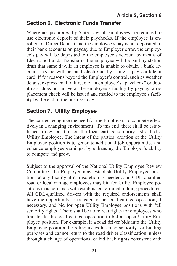## **Section 6. Electronic Funds Transfer**

Where not prohibited by State Law, all employees are required to use electronic deposit of their paychecks. If the employee is enrolled on Direct Deposit and the employee's pay is not deposited to their bank accounts on payday due to Employer error, the employee's pay will be deposited to the employee's account by means of Electronic Funds Transfer or the employee will be paid by station draft that same day. If an employee is unable to obtain a bank account, he/she will be paid electronically using a pay card/debit card. If for reasons beyond the Employer's control, such as weather delays, express mail failure, etc. an employee's "paycheck" or debit card does not arrive at the employee's facility by payday, a replacement check will be issued and mailed to the employee's facility by the end of the business day.

# **Section 7. Utility Employee**

The parties recognize the need for the Employers to compete effectively in a changing environment. To this end, there shall be established a new position on the local cartage seniority list called a Utility Employee. The intent of the parties' creation of the Utility Employee position is to generate additional job opportunities and enhance employee earnings, by enhancing the Employer's ability to compete and grow.

Subject to the approval of the National Utility Employee Review Committee, the Employer may establish Utility Employee positions at any facility at its discretion as-needed, and CDL-qualified road or local cartage employees may bid for Utility Employee positions in accordance with established terminal bidding procedures. All CDL-qualified drivers with the required endorsements shall have the opportunity to transfer to the local cartage operation, if necessary, and bid for open Utility Employee positions with full seniority rights. There shall be no retreat rights for employees who transfer to the local cartage operation to bid an open Utility Employee position. For example, if a road driver bids into the Utility Employee position, he relinquishes his road seniority for bidding purposes and cannot return to the road driver classification, unless through a change of operations, or bid back rights consistent with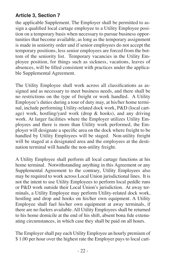the applicable Supplement. The Employer shall be permitted to assign a qualified local cartage employee to a Utility Employee position on a temporary basis when necessary to pursue business opportunities that become available, as long as the temporary assignment is made in seniority order and if senior employees do not accept the temporary positions, less senior employees are forced from the bottom of the seniority list. Temporary vacancies in the Utility Employee position, for things such as sickness, vacations, leaves of absences, will be filled consistent with practices under the applicable Supplemental Agreement.

The Utility Employee shall work across all classifications as assigned and as necessary to meet business needs, and there shall be no restrictions on the type of freight or work handled. A Utility Employee's duties during a tour of duty may, at his/her home terminal, include performing Utility-related dock work, P&D (local cartage) work, hostling/yard work (drop & hooks), and any driving work. At larger facilities where the Employer utilizes Utility Employees and there is more than Utility work performed, the Employer will designate a specific area on the dock where freight to be handled by Utility Employees will be staged. Non-utility freight will be staged at a designated area and the employees at the destination terminal will handle the non-utility freight.

A Utility Employee shall perform all local cartage functions at his home terminal. Notwithstanding anything in this Agreement or any Supplemental Agreement to the contrary, Utility Employees also may be required to work across Local Union jurisdictional lines. It is not the intent to use Utility Employees to perform local peddle runs or P&D work outside their Local Union's jurisdiction. At away terminals, a Utility Employee may perform Utility-related dock work, hostling and drop and hooks on his/her own equipment. A Utility Employee shall fuel his/her own equipment at away terminals, if there are no fuelers available. All Utility Employees shall be returned to his home domicile at the end of his shift, absent bona fide extenuating circumstances, in which case they shall be paid on all hours.

The Employer shall pay each Utility Employee an hourly premium of \$1.00 per hour over the highest rate the Employer pays to local cart-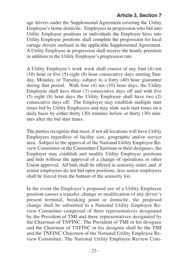age drivers under the Supplemental Agreement covering the Utility Employee's home domicile. Employees in progression who bid into Utility Employee positions or individuals the Employer hires into Utility Employee positions shall complete the progression for local cartage drivers outlined in the applicable Supplemental Agreement. A Utility Employee in progression shall receive the hourly premium in addition to the Utility Employee's progression rate.

A Utility Employee's work week shall consist of any four (4) ten (10) hour or five (5) eight (8) hour consecutive days starting Sunday, Monday, or Tuesday, subject to a forty (40) hour guarantee during that period. With four (4) ten (10) hour days, the Utility Employee shall have three (3) consecutive days off and with five (5) eight (8) hour days the Utility Employee shall have two (2) consecutive days off. The Employer may establish multiple start times bid by Utility Employees and may slide such start times on a daily basis by either thirty (30) minutes before or thirty (30) minutes after the bid start times.

The parties recognize that most, if not all locations will have Utility Employees regardless of facility size, geographic and/or service area. Subject to the approval of the National Utility Employee Review Committee or the Committee Chairman or their designees, the Employer may establish and modify Utility Employee positions and bids without the approval of a change of operations or other Union approval. All bids shall be offered in seniority order, and, if senior employees do not bid open positions, less senior employees shall be forced from the bottom of the seniority list.

In the event the Employer's proposed use of a Utility Employee position causes a transfer, change or modification of any driver's present terminal, breaking point or domicile, the proposed change shall be submitted to a National Utility Employee Review Committee comprised of three representatives designated by the President of TMI and three representatives designated by the Chairman of TNFINC. The President of TMI or his designee and the Chairman of TNFINC or his designee shall be the TMI and the TNFINC Chairmen of the National Utility Employee Review Committee. The National Utility Employee Review Com-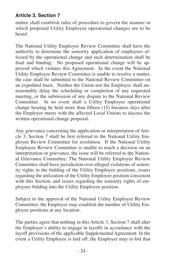mittee shall establish rules of procedure to govern the manner in which proposed Utility Employee operational changes are to be heard.

The National Utility Employee Review Committee shall have the authority to determine the seniority application of employees affected by the operational change and such determination shall be final and binding. No proposed operational change will be approved which violates this Agreement. In the event the National Utility Employee Review Committee is unable to resolve a matter, the case shall be submitted to the National Review Committee on an expedited basis. Neither the Union nor the Employer shall unreasonably delay the scheduling or completion of any requested meeting, or the submission of any dispute to the National Review Committee. In no event shall a Utility Employee operational change hearing be held more than fifteen (15) business days after the Employer meets with the affected Local Unions to discuss the written operational change proposal.

Any grievance concerning the application or interpretation of Article 3, Section 7 shall be first referred to the National Utility Employee Review Committee for resolution. If the National Utility Employee Review Committee is unable to reach a decision on an interpretation or grievance, the issue will be referred to the National Grievance Committee. The National Utility Employee Review Committee shall have jurisdiction over alleged violations of seniority rights in the bidding of the Utility Employee positions, issues regarding the utilization of the Utility Employee position consistent with this Section, and issues regarding the seniority rights of employees bidding into the Utility Employee position.

Subject to the approval of the National Utility Employee Review Committee, the Employer may establish the number of Utility Employee positions at any location.

The parties agree that nothing in this Article 3, Section 7 shall alter the Employer's ability to engage in layoffs in accordance with the layoff provisions of the applicable Supplemental Agreement. In the event a Utility Employee is laid off, the Employer may re-bid that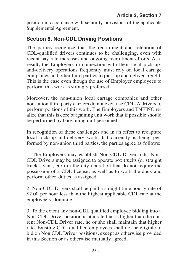position in accordance with seniority provisions of the applicable Supplemental Agreement.

# **Section 8. Non-CDL Driving Positions**

The parties recognize that the recruitment and retention of CDL-qualified drivers continues to be challenging, even with recent pay rate increases and ongoing recruitment efforts. As a result, the Employers in connection with their local pick-upand-delivery operations frequently must rely on local cartage companies and other third parties to pick up and deliver freight. This is the case even though the use of Employer employees to perform this work is strongly preferred.

Moreover, the non-union local cartage companies and other non-union third party carriers do not even use CDL-A drivers to perform portions of this work. The Employers and TNFINC realize that this is core bargaining unit work that if possible should be performed by bargaining unit personnel.

In recognition of these challenges and in an effort to recapture local pick-up-and-delivery work that currently is being performed by non-union third parties, the parties agree as follows:

1. The Employers may establish Non-CDL Driver bids. Non-CDL Drivers may be assigned to operate box trucks (or straight trucks, vans, etc.) in the city operation that do not require the possession of a CDL license, as well as to work the dock and perform other duties as assigned.

2. Non-CDL Drivers shall be paid a straight time hourly rate of \$2.00 per hour less than the highest applicable CDL rate at the employee's domicile.

3. To the extent any non-CDL qualified employee bidding into a Non-CDL Driver position is at a rate that is higher than the current Non-CDL Driver rate, he or she shall maintain that higher rate. Existing CDL-qualified employees shall not be eligible to bid on Non CDL Driver positions, except as otherwise provided in this Section or as otherwise mutually agreed.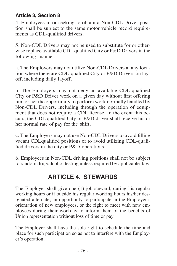4. Employees in or seeking to obtain a Non-CDL Driver position shall be subject to the same motor vehicle record requirements as CDL-qualified drivers.

5. Non-CDL Drivers may not be used to substitute for or otherwise replace available CDL qualified City or P&D Drivers in the following manner:

a. The Employers may not utilize Non-CDL Drivers at any location where there are CDL-qualified City or P&D Drivers on layoff, including daily layoff.

b. The Employers may not deny an available CDL-qualified City or P&D Driver work on a given day without first offering him or her the opportunity to perform work normally handled by Non-CDL Drivers, including through the operation of equipment that does not require a CDL license. In the event this occurs, the CDL qualified City or P&D driver shall receive his or her normal rate of pay for the shift.

c. The Employers may not use Non-CDL Drivers to avoid filling vacant CDLqualified positions or to avoid utilizing CDL-qualified drivers in the city or P&D operations.

6. Employees in Non-CDL driving positions shall not be subject to random drug/alcohol testing unless required by applicable law.

# **ARTICLE 4. STEWARDS**

The Employer shall give one (1) job steward, during his regular working hours or if outside his regular working hours his/her designated alternate, an opportunity to participate in the Employer's orientation of new employees, or the right to meet with new employees during their workday to inform them of the benefits of Union representation without loss of time or pay.

The Employer shall have the sole right to schedule the time and place for such participation so as not to interfere with the Employer's operation.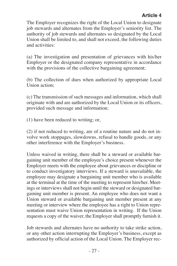## **Article 4**

The Employer recognizes the right of the Local Union to designate job stewards and alternates from the Employer's seniority list. The authority of job stewards and alternates so designated by the Local Union shall be limited to, and shall not exceed, the following duties and activities:

(a) The investigation and presentation of grievances with his/her Employer or the designated company representative in accordance with the provisions of the collective bargaining agreement;

(b) The collection of dues when authorized by appropriate Local Union action;

(c) The transmission of such messages and information, which shall originate with and are authorized by the Local Union or its officers, provided such message and information;

(1) have been reduced to writing; or,

(2) if not reduced to writing, are of a routine nature and do not involve work stoppages, slowdowns, refusal to handle goods, or any other interference with the Employer's business.

Unless waived in writing, there shall be a steward or available bargaining unit member of the employee's choice present whenever the Employer meets with the employee about grievances or discipline or to conduct investigatory interviews. If a steward is unavailable, the employee may designate a bargaining unit member who is available at the terminal at the time of the meeting to represent him/her. Meetings or interviews shall not begin until the steward or designated bargaining unit member is present. An employee who does not want a Union steward or available bargaining unit member present at any meeting or interview where the employee has a right to Union representation must waive Union representation in writing. If the Union requests a copy of the waiver, the Employer shall promptly furnish it.

Job stewards and alternates have no authority to take strike action, or any other action interrupting the Employer's business, except as authorized by official action of the Local Union. The Employer rec-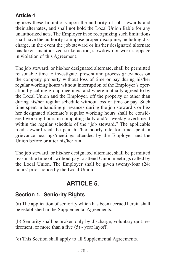### **Article 4**

ognizes these limitations upon the authority of job stewards and their alternates, and shall not hold the Local Union liable for any unauthorized acts. The Employer in so recognizing such limitations shall have the authority to impose proper discipline, including discharge, in the event the job steward or his/her designated alternate has taken unauthorized strike action, slowdown or work stoppage in violation of this Agreement.

The job steward, or his/her designated alternate, shall be permitted reasonable time to investigate, present and process grievances on the company property without loss of time or pay during his/her regular working hours without interruption of the Employer's operation by calling group meetings; and where mutually agreed to by the Local Union and the Employer, off the property or other than during his/her regular schedule without loss of time or pay. Such time spent in handling grievances during the job steward's or his/ her designated alternate's regular working hours shall be considered working hours in computing daily and/or weekly overtime if within the regular schedule of the "job steward." The applicable road steward shall be paid his/her hourly rate for time spent in grievance hearings/meetings attended by the Employer and the Union before or after his/her run.

The job steward, or his/her designated alternate, shall be permitted reasonable time off without pay to attend Union meetings called by the Local Union. The Employer shall be given twenty-four (24) hours' prior notice by the Local Union.

# **ARTICLE 5.**

# **Section 1. Seniority Rights**

(a) The application of seniority which has been accrued herein shall be established in the Supplemental Agreements.

(b) Seniority shall be broken only by discharge, voluntary quit, retirement, or more than a five (5) - year layoff.

(c) This Section shall apply to all Supplemental Agreements.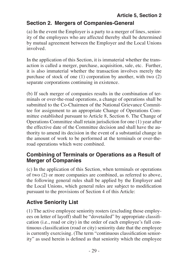## **Section 2. Mergers of Companies-General**

(a) In the event the Employer is a party to a merger of lines, seniority of the employees who are affected thereby shall be determined by mutual agreement between the Employer and the Local Unions involved.

In the application of this Section, it is immaterial whether the transaction is called a merger, purchase, acquisition, sale, etc. Further, it is also immaterial whether the transaction involves merely the purchase of stock of one (1) corporation by another, with two (2) separate corporations continuing in existence.

(b) If such merger of companies results in the combination of terminals or over-the-road operations, a change of operations shall be submitted to the Co-Chairmen of the National Grievance Committee for assignment to an appropriate Change of Operations Committee established pursuant to Article 8, Section 6. The Change of Operations Committee shall retain jurisdiction for one (1) year after the effective date of the Committee decision and shall have the authority to amend its decision in the event of a substantial change in the amount of work to be performed at the terminals or over-theroad operations which were combined.

### **Combining of Terminals or Operations as a Result of Merger of Companies**

(c) In the application of this Section, when terminals or operations of two (2) or more companies are combined, as referred to above, the following general rules shall be applied by the Employer and the Local Unions, which general rules are subject to modification pursuant to the provisions of Section 4 of this Article:

# **Active Seniority List**

(1) The active employee seniority rosters (excluding those employees on letter of layoff) shall be "dovetailed" by appropriate classification (i.e., road or city) in the order of each employee's full continuous classification (road or city) seniority date that the employee is currently exercising. (The term "continuous classification seniority" as used herein is defined as that seniority which the employee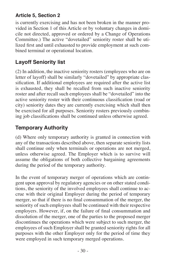is currently exercising and has not been broken in the manner provided in Section 1 of this Article or by voluntary changes in domicile not directed, approved or ordered by a Change of Operations Committee.) The active "dovetailed" seniority roster shall be utilized first and until exhausted to provide employment at such combined terminal or operational location.

# **Layoff Seniority list**

(2) In addition, the inactive seniority rosters (employees who are on letter of layoff) shall be similarly "dovetailed" by appropriate classification. If additional employees are required after the active list is exhausted, they shall be recalled from such inactive seniority roster and after recall such employees shall be "dovetailed" into the active seniority roster with their continuous classification (road or city) seniority dates they are currently exercising which shall then be exercised for all purposes. Seniority rosters previously combining job classifications shall be continued unless otherwise agreed.

# **Temporary Authority**

(d) Where only temporary authority is granted in connection with any of the transactions described above, then separate seniority lists shall continue only when terminals or operations are not merged, unless otherwise agreed. The Employer which is to survive will assume the obligations of both collective bargaining agreements during the period of the temporary authority.

In the event of temporary merger of operations which are contingent upon approval by regulatory agencies or on other stated conditions, the seniority of the involved employees shall continue to accrue with their original Employer during the period of temporary merger, so that if there is no final consummation of the merger, the seniority of such employees shall be continued with their respective employers. However, if, on the failure of final consummation and dissolution of the merger, one of the parties to the proposed merger discontinues the operations which were subject to such merger, the employees of such Employer shall be granted seniority rights for all purposes with the other Employer only for the period of time they were employed in such temporary merged operations.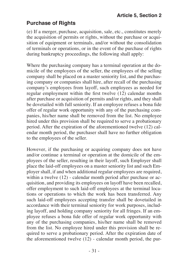## **Purchase of Rights**

(e) If a merger, purchase, acquisition, sale, etc., constitutes merely the acquisition of permits or rights, without the purchase or acquisition of equipment or terminals, and/or without the consolidation of terminals or operations, or in the event of the purchase of rights during bankruptcy proceedings, the following shall apply:

Where the purchasing company has a terminal operation at the domicile of the employees of the seller, the employees of the selling company shall be placed on a master seniority list, and the purchasing company or companies shall hire, after recall of the purchasing company's employees from layoff, such employees as needed for regular employment within the first twelve (12) calendar months after purchase or acquisition of permits and/or rights, and they shall be dovetailed with full seniority. If an employee refuses a bona fide offer of regular work opportunity with any of the purchasing companies, his/her name shall be removed from the list. No employee hired under this provision shall be required to serve a probationary period. After the expiration of the aforementioned twelve (12) calendar month period, the purchaser shall have no further obligation to the employees of the seller.

However, if the purchasing or acquiring company does not have and/or continue a terminal or operation at the domicile of the employees of the seller, resulting in their layoff, such Employer shall place the laid-off employees on a master seniority list and such Employer shall, if and when additional regular employees are required, within a twelve (12) - calendar month period after purchase or acquisition, and providing its employees on layoff have been recalled, offer employment to such laid-off employees at the terminal locations or operations to which the work has been transferred. Any such laid-off employees accepting transfer shall be dovetailed in accordance with their terminal seniority for work purposes, including layoff, and holding company seniority for all fringes. If an employee refuses a bona fide offer of regular work opportunity with any of the purchasing companies, his/her name shall be removed from the list. No employee hired under this provision shall be required to serve a probationary period. After the expiration date of the aforementioned twelve  $(12)$  - calendar month period, the pur-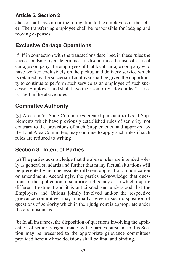chaser shall have no further obligation to the employees of the seller. The transferring employee shall be responsible for lodging and moving expenses.

# **Exclusive Cartage Operations**

(f) If in connection with the transactions described in these rules the successor Employer determines to discontinue the use of a local cartage company, the employees of that local cartage company who have worked exclusively on the pickup and delivery service which is retained by the successor Employer shall be given the opportunity to continue to perform such service as an employee of such successor Employer, and shall have their seniority "dovetailed" as described in the above rules.

# **Committee Authority**

(g) Area and/or State Committees created pursuant to Local Supplements which have previously established rules of seniority, not contrary to the provisions of such Supplements, and approved by the Joint Area Committee, may continue to apply such rules if such rules are reduced to writing.

# **Section 3. Intent of Parties**

(a) The parties acknowledge that the above rules are intended solely as general standards and further that many factual situations will be presented which necessitate different application, modification or amendment. Accordingly, the parties acknowledge that questions of the application of seniority rights may arise which require different treatment and it is anticipated and understood that the Employers and Unions jointly involved and/or the respective grievance committees may mutually agree to such disposition of questions of seniority which in their judgment is appropriate under the circumstances.

(b) In all instances, the disposition of questions involving the application of seniority rights made by the parties pursuant to this Section may be presented to the appropriate grievance committees provided herein whose decisions shall be final and binding.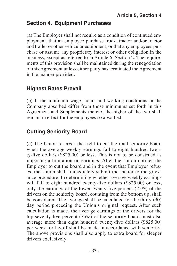### **Section 4. Equipment Purchases**

(a) The Employer shall not require as a condition of continued employment, that an employee purchase truck, tractor and/or tractor and trailer or other vehicular equipment, or that any employees purchase or assume any proprietary interest or other obligation in the business, except as referred to in Article 6, Section 2. The requirements of this provision shall be maintained during the renegotiation of this Agreement unless either party has terminated the Agreement in the manner provided.

## **Highest Rates Prevail**

(b) If the minimum wage, hours and working conditions in the Company absorbed differ from those minimums set forth in this Agreement and Supplements thereto, the higher of the two shall remain in effect for the employees so absorbed.

# **Cutting Seniority Board**

(c) The Union reserves the right to cut the road seniority board when the average weekly earnings fall to eight hundred twenty-five dollars (\$825.00) or less. This is not to be construed as imposing a limitation on earnings. After the Union notifies the Employer to cut the board and in the event that Employer refuses, the Union shall immediately submit the matter to the grievance procedure. In determining whether average weekly earnings will fall to eight hundred twenty-five dollars (\$825.00) or less, only the earnings of the lower twenty-five percent (25%) of the drivers on the seniority board, counting from the bottom up, shall be considered. The average shall be calculated for the thirty (30) day period preceding the Union's original request. After such calculation is made, the average earnings of the drivers for the top seventy-five percent  $(75\%)$  of the seniority board must also average more than eight hundred twenty-five dollars (\$825.00) per week, or layoff shall be made in accordance with seniority. The above provisions shall also apply to extra board for sleeper drivers exclusively.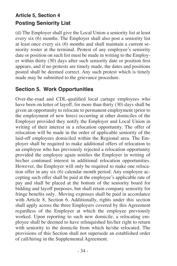# **Article 5, Section 4 Posting Seniority List**

(d) The Employer shall give the Local Union a seniority list at least every six  $(6)$  months. The Employer shall also post a seniority list at least once every six (6) months and shall maintain a current seniority roster at the terminal. Protest of any employee's seniority date or position on such list must be made in writing to the Employer within thirty (30) days after such seniority date or position first appears, and if no protests are timely made, the dates and positions posted shall be deemed correct. Any such protest which is timely made may be submitted to the grievance procedure.

## **Section 5. Work Opportunities**

Over-the-road and CDL-qualified local cartage employees who have been on letter of layoff, for more than thirty (30) days shall be given an opportunity to relocate to permanent employment (prior to the employment of new hires) occurring at other domiciles of the Employer provided they notify the Employer and Local Union in writing of their interest in a relocation opportunity. The offer of relocation will be made in the order of applicable seniority of the laid-off employees domiciled within the Regional area. The Employer shall be required to make additional offers of relocation to an employee who has previously rejected a relocation opportunity provided the employee again notifies the Employer in writing of his/her continued interest in additional relocation opportunities. However, the Employer will only be required to make one relocation offer in any six (6) calendar month period. Any employee accepting such offer shall be paid at the employee's applicable rate of pay and shall be placed at the bottom of the seniority board for bidding and layoff purposes, but shall retain company seniority for fringe benefits only. Moving expenses shall be paid in accordance with Article 8, Section 6. Additionally, rights under this section shall apply across the three Employers covered by this Agreement regardless of the Employer at which the employee previously worked. Upon reporting to such new domicile, a relocating employee shall be deemed to have relinquished his/her right to return with seniority to the domicile from which he/she relocated. The provisions of this Section shall not supersede an established order of call/hiring in the Supplemental Agreement.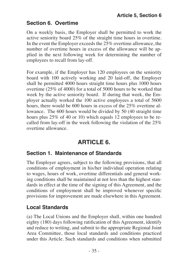### **Section 6. Overtime**

On a weekly basis, the Employer shall be permitted to work the active seniority board 25% of the straight time hours in overtime. In the event the Employer exceeds the 25% overtime allowance, the number of overtime hours in excess of the allowance will be applied in the next following week for determining the number of employees to recall from lay-off.

For example, if the Employer has 120 employees on the seniority board with 100 actively working and 20 laid-off, the Employer shall be permitted 4000 hours straight time hours plus 1000 hours overtime (25% of 4000) for a total of 5000 hours to be worked that week by the active seniority board. If during that week, the Employer actually worked the 100 active employees a total of 5600 hours, there would be 600 hours in excess of the 25% overtime allowance. The 600 hours would be divided by 50 (40 straight time hours plus 25% of 40 or 10) which equals 12 employees to be recalled from lay-off in the week following the violation of the 25% overtime allowance.

# **ARTICLE 6.**

## **Section 1. Maintenance of Standards**

The Employer agrees, subject to the following provisions, that all conditions of employment in his/her individual operation relating to wages, hours of work, overtime differentials and general working conditions shall be maintained at not less than the highest standards in effect at the time of the signing of this Agreement, and the conditions of employment shall be improved whenever specific provisions for improvement are made elsewhere in this Agreement.

## **Local Standards**

(a) The Local Unions and the Employer shall, within one hundred eighty (180) days following ratification of this Agreement, identify and reduce to writing, and submit to the appropriate Regional Joint Area Committee, those local standards and conditions practiced under this Article. Such standards and conditions when submitted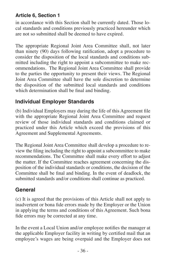in accordance with this Section shall be currently dated. Those local standards and conditions previously practiced hereunder which are not so submitted shall be deemed to have expired.

The appropriate Regional Joint Area Committee shall, not later than ninety (90) days following ratification, adopt a procedure to consider the disposition of the local standards and conditions submitted including the right to appoint a subcommittee to make recommendations. The Regional Joint Area Committee shall provide to the parties the opportunity to present their views. The Regional Joint Area Committee shall have the sole discretion to determine the disposition of the submitted local standards and conditions which determination shall be final and binding.

# **Individual Employer Standards**

(b) Individual Employers may during the life of this Agreement file with the appropriate Regional Joint Area Committee and request review of those individual standards and conditions claimed or practiced under this Article which exceed the provisions of this Agreement and Supplemental Agreements.

The Regional Joint Area Committee shall develop a procedure to review the filing including the right to appoint a subcommittee to make recommendations. The Committee shall make every effort to adjust the matter. If the Committee reaches agreement concerning the disposition of the individual standards or conditions, the decision of the Committee shall be final and binding. In the event of deadlock, the submitted standards and/or conditions shall continue as practiced.

# **General**

(c) It is agreed that the provisions of this Article shall not apply to inadvertent or bona fide errors made by the Employer or the Union in applying the terms and conditions of this Agreement. Such bona fide errors may be corrected at any time.

In the event a Local Union and/or employee notifies the manager at the applicable Employer facility in writing by certified mail that an employee's wages are being overpaid and the Employer does not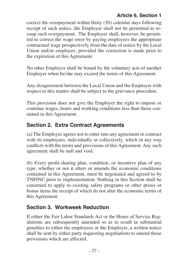correct the overpayment within thirty (30) calendar days following receipt of such notice, the Employer shall not be permitted to recoup such overpayment. The Employer shall, however, be permitted to correct the wage error by paying employees the appropriate contractual wage prospectively from the date of notice by the Local Union and/or employee, provided the correction is made prior to the expiration of this Agreement.

No other Employer shall be bound by the voluntary acts of another Employer when he/she may exceed the terms of this Agreement.

Any disagreement between the Local Union and the Employer with respect to this matter shall be subject to the grievance procedure.

This provision does not give the Employer the right to impose or continue wages, hours and working conditions less than those contained in this Agreement.

### **Section 2. Extra Contract Agreements**

(a) The Employer agrees not to enter into any agreement or contract with its employees, individually or collectively, which in any way conflicts with the terms and provisions of this Agreement. Any such agreement shall be null and void.

(b) Every profit-sharing plan, condition, or incentive plan of any type, whether or not it alters or amends the economic conditions contained in this Agreement, must be negotiated and agreed to by TNFINC prior to implementation. Nothing in this Section shall be construed to apply to existing safety programs or other prizes or bonus items the receipt of which do not alter the economic terms of this Agreement.

#### **Section 3. Workweek Reduction**

If either the Fair Labor Standards Act or the Hours of Service Regulations are subsequently amended so as to result in substantial penalties to either the employees or the Employer, a written notice shall be sent by either party requesting negotiations to amend those provisions which are affected.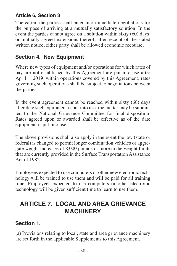Thereafter, the parties shall enter into immediate negotiations for the purpose of arriving at a mutually satisfactory solution. In the event the parties cannot agree on a solution within sixty (60) days, or mutually agreed extensions thereof, after receipt of the stated written notice, either party shall be allowed economic recourse.

#### **Section 4. New Equipment**

Where new types of equipment and/or operations for which rates of pay are not established by this Agreement are put into use after April 1, 2019, within operations covered by this Agreement, rates governing such operations shall be subject to negotiations between the parties.

In the event agreement cannot be reached within sixty (60) days after date such equipment is put into use, the matter may be submitted to the National Grievance Committee for final disposition. Rates agreed upon or awarded shall be effective as of the date equipment is put into use.

The above provisions shall also apply in the event the law (state or federal) is changed to permit longer combination vehicles or aggregate weight increases of 8,000 pounds or more in the weight limits that are currently provided in the Surface Transportation Assistance Act of 1982.

Employees expected to use computers or other new electronic technology will be trained to use them and will be paid for all training time. Employees expected to use computers or other electronic technology will be given sufficient time to learn to use them.

# **ARTICLE 7. LOCAL AND AREA GRIEVANCE MACHINERY**

#### **Section 1.**

(a) Provisions relating to local, state and area grievance machinery are set forth in the applicable Supplements to this Agreement.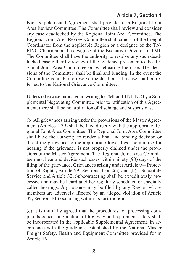Each Supplemental Agreement shall provide for a Regional Joint Area Review Committee. The Committee shall review and consider any case deadlocked by the Regional Joint Area Committee. The Regional Joint Area Review Committee shall consist of the Freight Coordinator from the applicable Region or a designee of the TN-FINC Chairman and a designee of the Executive Director of TMI. The Committee shall have the authority to resolve any such deadlocked case either by review of the evidence presented to the Regional Joint Area Committee or by rehearing the case. The decisions of the Committee shall be final and binding. In the event the Committee is unable to resolve the deadlock, the case shall be referred to the National Grievance Committee.

Unless otherwise indicated in writing to TMI and TNFINC by a Supplemental Negotiating Committee prior to ratification of this Agreement, there shall be no arbitration of discharge and suspensions.

(b) All grievances arising under the provisions of the Master Agreement (Articles 1-39) shall be filed directly with the appropriate Regional Joint Area Committee. The Regional Joint Area Committee shall have the authority to render a final and binding decision or direct the grievance to the appropriate lower level committee for hearing if the grievance is not properly claimed under the provisions of the Master Agreement. The Regional Joint Area Committee must hear and decide such cases within ninety (90) days of the filing of the grievance. Grievances arising under Article 9—Protection of Rights, Article 29, Sections 1 or 2(a) and (b)—Substitute Service and Article 32, Subcontracting shall be expeditiously processed and may be heard at either regularly scheduled or specially called hearings. A grievance may be filed by any Region whose members are adversely affected by an alleged violation of Article 32, Section 4(b) occurring within its jurisdiction.

(c) It is mutually agreed that the procedures for processing complaints concerning matters of highway and equipment safety shall be incorporated in the applicable Supplemental Agreement, in accordance with the guidelines established by the National Master Freight Safety, Health and Equipment Committee provided for in Article 16.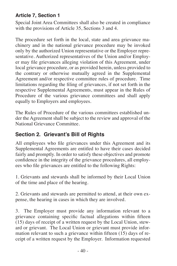Special Joint Area Committees shall also be created in compliance with the provisions of Article 35, Sections 3 and 4.

The procedure set forth in the local, state and area grievance machinery and in the national grievance procedure may be invoked only by the authorized Union representative or the Employer representative. Authorized representatives of the Union and/or Employer may file grievances alleging violation of this Agreement, under local grievance procedure, or as provided herein, unless provided to the contrary or otherwise mutually agreed in the Supplemental Agreement and/or respective committee rules of procedure. Time limitations regarding the filing of grievances, if not set forth in the respective Supplemental Agreements, must appear in the Rules of Procedure of the various grievance committees and shall apply equally to Employers and employees.

The Rules of Procedure of the various committees established under the Agreement shall be subject to the review and approval of the National Grievance Committee.

# **Section 2. Grievant's Bill of Rights**

All employees who file grievances under this Agreement and its Supplemental Agreements are entitled to have their cases decided fairly and promptly. In order to satisfy these objectives and promote confidence in the integrity of the grievance procedures, all employees who file grievances are entitled to the following Rights:

1. Grievants and stewards shall be informed by their Local Union of the time and place of the hearing.

2. Grievants and stewards are permitted to attend, at their own expense, the hearing in cases in which they are involved.

3. The Employer must provide any information relevant to a grievance containing specific factual allegations within fifteen (15) days of receipt of a written request by the Local Union, steward or grievant. The Local Union or grievant must provide information relevant to such a grievance within fifteen  $(15)$  days of receipt of a written request by the Employer. Information requested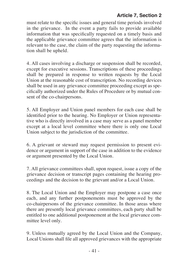must relate to the specific issues and general time periods involved in the grievance. In the event a party fails to provide available information that was specifically requested on a timely basis and the applicable grievance committee agrees that the information is relevant to the case, the claim of the party requesting the information shall be upheld.

4. All cases involving a discharge or suspension shall be recorded, except for executive sessions. Transcriptions of these proceedings shall be prepared in response to written requests by the Local Union at the reasonable cost of transcription. No recording devices shall be used in any grievance committee proceeding except as specifically authorized under the Rules of Procedure or by mutual consent of the co-chairpersons.

5. All Employer and Union panel members for each case shall be identified prior to the hearing. No Employer or Union representative who is directly involved in a case may serve as a panel member except at a local level committee where there is only one Local Union subject to the jurisdiction of the committee.

6. A grievant or steward may request permission to present evidence or argument in support of the case in addition to the evidence or argument presented by the Local Union.

7. All grievance committees shall, upon request, issue a copy of the grievance decision or transcript pages containing the hearing proceedings and the decision to the grievant and/or a Local Union.

8. The Local Union and the Employer may postpone a case once each, and any further postponements must be approved by the co-chairpersons of the grievance committee. In those areas where there are presently local grievance committees, each party shall be entitled to one additional postponement at the local grievance committee level only.

9. Unless mutually agreed by the Local Union and the Company, Local Unions shall file all approved grievances with the appropriate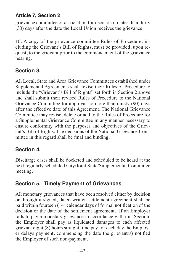grievance committee or association for decision no later than thirty (30) days after the date the Local Union receives the grievance.

10. A copy of the grievance committee Rules of Procedure, including the Grievant's Bill of Rights, must be provided, upon request, to the grievant prior to the commencement of the grievance hearing.

# **Section 3.**

All Local, State and Area Grievance Committees established under Supplemental Agreements shall revise their Rules of Procedure to include the "Grievant's Bill of Rights" set forth in Section 2 above and shall submit their revised Rules of Procedure to the National Grievance Committee for approval no more than ninety (90) days after the effective date of this Agreement. The National Grievance Committee may revise, delete or add to the Rules of Procedure for a Supplemental Grievance Committee in any manner necessary to ensure conformity with the purposes and objectives of the Grievant's Bill of Rights. The decisions of the National Grievance Committee in this regard shall be final and binding.

# **Section 4.**

Discharge cases shall be docketed and scheduled to be heard at the next regularly scheduled City/Joint State/Supplemental Committee meeting.

# **Section 5. Timely Payment of Grievances**

All monetary grievances that have been resolved either by decision or through a signed, dated written settlement agreement shall be paid within fourteen (14) calendar days of formal notification of the decision or the date of the settlement agreement. If an Employer fails to pay a monetary grievance in accordance with this Section, the Employer shall pay as liquidated damages to each affected grievant eight (8) hours straight time pay for each day the Employer delays payment, commencing the date the grievant(s) notified the Employer of such non-payment.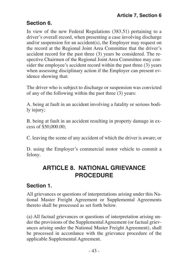# **Section 6.**

In view of the new Federal Regulations (383.51) pertaining to a driver's overall record, when presenting a case involving discharge and/or suspension for an accident(s), the Employer may request on the record at the Regional Joint Area Committee that the driver's accident record for the past three (3) years be considered. The respective Chairmen of the Regional Joint Area Committee may consider the employee's accident record within the past three (3) years when assessing disciplinary action if the Employer can present evidence showing that:

The driver who is subject to discharge or suspension was convicted of any of the following within the past three (3) years:

A. being at fault in an accident involving a fatality or serious bodily injury;

B. being at fault in an accident resulting in property damage in excess of \$50,000.00;

C. leaving the scene of any accident of which the driver is aware; or

D. using the Employer's commercial motor vehicle to commit a felony.

# **ARTICLE 8. NATIONAL GRIEVANCE PROCEDURE**

## **Section 1.**

All grievances or questions of interpretations arising under this National Master Freight Agreement or Supplemental Agreements thereto shall be processed as set forth below.

(a) All factual grievances or questions of interpretation arising under the provisions of the Supplemental Agreement (or factual grievances arising under the National Master Freight Agreement), shall be processed in accordance with the grievance procedure of the applicable Supplemental Agreement.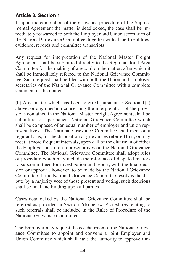If upon the completion of the grievance procedure of the Supplemental Agreement the matter is deadlocked, the case shall be immediately forwarded to both the Employer and Union secretaries of the National Grievance Committee, together with all pertinent files, evidence, records and committee transcripts.

Any request for interpretation of the National Master Freight Agreement shall be submitted directly to the Regional Joint Area Committee for the making of a record on the matter, after which it shall be immediately referred to the National Grievance Committee. Such request shall be filed with both the Union and Employer secretaries of the National Grievance Committee with a complete statement of the matter.

(b) Any matter which has been referred pursuant to Section 1(a) above, or any question concerning the interpretation of the provisions contained in the National Master Freight Agreement, shall be submitted to a permanent National Grievance Committee which shall be composed of an equal number of employer and union representatives. The National Grievance Committee shall meet on a regular basis, for the disposition of grievances referred to it, or may meet at more frequent intervals, upon call of the chairman of either the Employer or Union representatives on the National Grievance Committee. The National Grievance Committee shall adopt rules of procedure which may include the reference of disputed matters to subcommittees for investigation and report, with the final decision or approval, however, to be made by the National Grievance Committee. If the National Grievance Committee resolves the dispute by a majority vote of those present and voting, such decisions shall be final and binding upon all parties.

Cases deadlocked by the National Grievance Committee shall be referred as provided in Section 2(b) below. Procedures relating to such referrals shall be included in the Rules of Procedure of the National Grievance Committee.

The Employer may request the co-chairmen of the National Grievance Committee to appoint and convene a joint Employer and Union Committee which shall have the authority to approve uni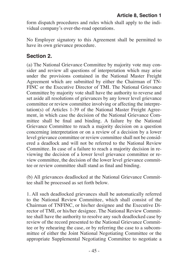form dispatch procedures and rules which shall apply to the individual company's over-the-road operations.

No Employer signatory to this Agreement shall be permitted to have its own grievance procedure.

### **Section 2.**

(a) The National Grievance Committee by majority vote may consider and review all questions of interpretation which may arise under the provisions contained in the National Master Freight Agreement which are submitted by either the Chairman of TN-FINC or the Executive Director of TMI. The National Grievance Committee by majority vote shall have the authority to reverse and set aside all resolutions of grievances by any lower level grievance committee or review committee involving or affecting the interpretation(s) of Articles 1-39 of the National Master Freight Agreement, in which case the decision of the National Grievance Committee shall be final and binding. A failure by the National Grievance Committee to reach a majority decision on a question concerning interpretation or on a review of a decision by a lower level grievance committee or review committee shall not be considered a deadlock and will not be referred to the National Review Committee. In case of a failure to reach a majority decision in reviewing the decision of a lower level grievance committee or review committee, the decision of the lower level grievance committee or review committee shall stand as final and binding.

(b) All grievances deadlocked at the National Grievance Committee shall be processed as set forth below.

1. All such deadlocked grievances shall be automatically referred to the National Review Committee, which shall consist of the Chairman of TNFINC, or his/her designee and the Executive Director of TMI, or his/her designee. The National Review Committee shall have the authority to resolve any such deadlocked case by review of the record presented to the National Grievance Committee or by rehearing the case, or by referring the case to a subcommittee of either the Joint National Negotiating Committee or the appropriate Supplemental Negotiating Committee to negotiate a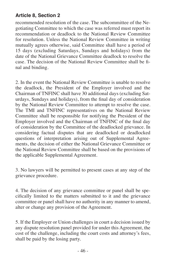recommended resolution of the case. The subcommittee of the Negotiating Committee to which the case was referred must report its recommendation or deadlock to the National Review Committee for resolution. Unless the National Review Committee in writing mutually agrees otherwise, said Committee shall have a period of 15 days (excluding Saturdays, Sundays and holidays) from the date of the National Grievance Committee deadlock to resolve the case. The decision of the National Review Committee shall be final and binding.

2. In the event the National Review Committee is unable to resolve the deadlock, the President of the Employer involved and the Chairman of TNFINC shall have 30 additional days (excluding Saturdays, Sundays and holidays), from the final day of consideration by the National Review Committee to attempt to resolve the case. The TMI and TNFINC representatives on the National Review Committee shall be responsible for notifying the President of the Employer involved and the Chairman of TNFINC of the final day of consideration by the Committee of the deadlocked grievance. In considering factual disputes that are deadlocked or deadlocked questions of interpretation arising out of Supplemental Agreements, the decision of either the National Grievance Committee or the National Review Committee shall be based on the provisions of the applicable Supplemental Agreement.

3. No lawyers will be permitted to present cases at any step of the grievance procedure.

4. The decision of any grievance committee or panel shall be specifically limited to the matters submitted to it and the grievance committee or panel shall have no authority in any manner to amend, alter or change any provision of the Agreement.

5. If the Employer or Union challenges in court a decision issued by any dispute resolution panel provided for under this Agreement, the cost of the challenge, including the court costs and attorney's fees, shall be paid by the losing party.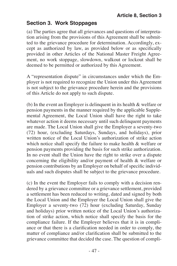### **Section 3. Work Stoppages**

(a) The parties agree that all grievances and questions of interpretation arising from the provisions of this Agreement shall be submitted to the grievance procedure for determination. Accordingly, except as authorized by law, as provided below or as specifically provided in other Articles of the National Master Freight Agreement, no work stoppage, slowdown, walkout or lockout shall be deemed to be permitted or authorized by this Agreement.

A "representation dispute" in circumstances under which the Employer is not required to recognize the Union under this Agreement is not subject to the grievance procedure herein and the provisions of this Article do not apply to such dispute.

(b) In the event an Employer is delinquent in its health & welfare or pension payments in the manner required by the applicable Supplemental Agreement, the Local Union shall have the right to take whatever action it deems necessary until such delinquent payments are made. The Local Union shall give the Employer a seventy-two (72) hour, (excluding Saturdays, Sundays, and holidays), prior written notice of the Local Union's authorization of strike action which notice shall specify the failure to make health & welfare or pension payments providing the basis for such strike authorization. In no event shall the Union have the right to strike over a dispute concerning the eligibility and/or payment of health & welfare or pension contributions by an Employer on behalf of specific individuals and such disputes shall be subject to the grievance procedure.

(c) In the event the Employer fails to comply with a decision rendered by a grievance committee or a grievance settlement, provided a settlement has been reduced to writing, dated and signed by both the Local Union and the Employer the Local Union shall give the Employer a seventy-two (72) hour (excluding Saturday, Sunday and holidays) prior written notice of the Local Union's authorization of strike action, which notice shall specify the basis for the compliance failure. If the Employer believes that it is in compliance or that there is a clarification needed in order to comply, the matter of compliance and/or clarification shall be submitted to the grievance committee that decided the case. The question of compli-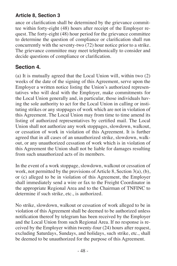ance or clarification shall be determined by the grievance committee within forty-eight (48) hours after receipt of the Employer request. The forty-eight (48) hour period for the grievance committee to determine the question of compliance or clarification shall run concurrently with the seventy-two  $(72)$  hour notice prior to a strike. The grievance committee may meet telephonically to consider and decide questions of compliance or clarification.

## **Section 4.**

(a) It is mutually agreed that the Local Union will, within two (2) weeks of the date of the signing of this Agreement, serve upon the Employer a written notice listing the Union's authorized representatives who will deal with the Employer, make commitments for the Local Union generally and, in particular, those individuals having the sole authority to act for the Local Union in calling or instituting strikes or any stoppages of work which are not in violation of this Agreement. The Local Union may from time to time amend its listing of authorized representatives by certified mail. The Local Union shall not authorize any work stoppages, slowdown, walkout, or cessation of work in violation of this Agreement. It is further agreed that in all cases of an unauthorized strike, slowdown, walkout, or any unauthorized cessation of work which is in violation of this Agreement the Union shall not be liable for damages resulting from such unauthorized acts of its members.

In the event of a work stoppage, slowdown, walkout or cessation of work, not permitted by the provisions of Article 8, Section 3(a), (b), or (c) alleged to be in violation of this Agreement, the Employer shall immediately send a wire or fax to the Freight Coordinator in the appropriate Regional Area and to the Chairman of TNFINC to determine if such strike, etc., is authorized.

No strike, slowdown, walkout or cessation of work alleged to be in violation of this Agreement shall be deemed to be authorized unless notification thereof by telegram has been received by the Employer and the Local Union from such Regional Area. If no response is received by the Employer within twenty-four (24) hours after request, excluding Saturdays, Sundays, and holidays, such strike, etc., shall be deemed to be unauthorized for the purpose of this Agreement.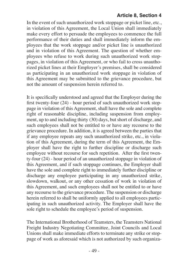In the event of such unauthorized work stoppage or picket line, etc., in violation of this Agreement, the Local Union shall immediately make every effort to persuade the employees to commence the full performance of their duties and shall immediately inform the employees that the work stoppage and/or picket line is unauthorized and in violation of this Agreement. The question of whether employees who refuse to work during such unauthorized work stoppages, in violation of this Agreement, or who fail to cross unauthorized picket lines at their Employer's premises, shall be considered as participating in an unauthorized work stoppage in violation of this Agreement may be submitted to the grievance procedure, but not the amount of suspension herein referred to.

It is specifically understood and agreed that the Employer during the first twenty-four (24) - hour period of such unauthorized work stoppage in violation of this Agreement, shall have the sole and complete right of reasonable discipline, including suspension from employment, up to and including thirty (30) days, but short of discharge, and such employees shall not be entitled to or have any recourse to the grievance procedure. In addition, it is agreed between the parties that if any employee repeats any such unauthorized strike, etc., in violation of this Agreement, during the term of this Agreement, the Employer shall have the right to further discipline or discharge such employee without recourse for such repetition. After the first twenty-four (24) - hour period of an unauthorized stoppage in violation of this Agreement, and if such stoppage continues, the Employer shall have the sole and complete right to immediately further discipline or discharge any employee participating in any unauthorized strike, slowdown, walkout, or any other cessation of work in violation of this Agreement, and such employees shall not be entitled to or have any recourse to the grievance procedure. The suspension or discharge herein referred to shall be uniformly applied to all employees participating in such unauthorized activity. The Employer shall have the sole right to schedule the employee's period of suspension.

The International Brotherhood of Teamsters, the Teamsters National Freight Industry Negotiating Committee, Joint Councils and Local Unions shall make immediate efforts to terminate any strike or stoppage of work as aforesaid which is not authorized by such organiza-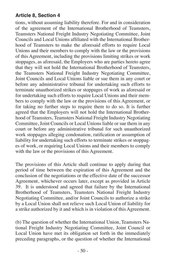tions, without assuming liability therefore. For and in consideration of the agreement of the International Brotherhood of Teamsters, Teamsters National Freight Industry Negotiating Committee, Joint Councils and Local Unions affiliated with the International Brotherhood of Teamsters to make the aforesaid efforts to require Local Unions and their members to comply with the law or the provisions of this Agreement, including the provisions limiting strikes or work stoppages, as aforesaid, the Employers who are parties hereto agree that they will not hold the International Brotherhood of Teamsters, the Teamsters National Freight Industry Negotiating Committee, Joint Councils and Local Unions liable or sue them in any court or before any administrative tribunal for undertaking such efforts to terminate unauthorized strikes or stoppages of work as aforesaid or for undertaking such efforts to require Local Unions and their members to comply with the law or the provisions of this Agreement, or for taking no further steps to require them to do so. It is further agreed that the Employers will not hold the International Brotherhood of Teamsters, Teamsters National Freight Industry Negotiating Committee, Joint Councils or Local Unions liable or sue them in any court or before any administrative tribunal for such unauthorized work stoppages alleging condonation, ratification or assumption of liability for undertaking such efforts to terminate strikes or stoppages of work, or requiring Local Unions and their members to comply with the law or the provisions of this Agreement.

The provisions of this Article shall continue to apply during that period of time between the expiration of this Agreement and the conclusion of the negotiations or the effective date of the successor Agreement, whichever occurs later, except as provided in Article 39. It is understood and agreed that failure by the International Brotherhood of Teamsters, Teamsters National Freight Industry Negotiating Committee, and/or Joint Councils to authorize a strike by a Local Union shall not relieve such Local Union of liability for a strike authorized by it and which is in violation of this Agreement.

(b) The question of whether the International Union, Teamsters National Freight Industry Negotiating Committee, Joint Council or Local Union have met its obligation set forth in the immediately preceding paragraphs, or the question of whether the International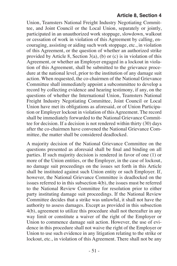Union, Teamsters National Freight Industry Negotiating Committee, and Joint Council or the Local Union, separately or jointly, participated in an unauthorized work stoppage, slowdown, walkout or cessation of work in violation of this Agreement by calling, encouraging, assisting or aiding such work stoppage, etc., in violation of this Agreement, or the question of whether an authorized strike provided by Article 8, Section 3(a), (b) or (c) is in violation of this Agreement, or whether an Employer engaged in a lockout in violation of this Agreement, shall be submitted to the grievance procedure at the national level, prior to the institution of any damage suit action. When requested, the co-chairmen of the National Grievance Committee shall immediately appoint a subcommittee to develop a record by collecting evidence and hearing testimony, if any, on the questions of whether the International Union, Teamsters National Freight Industry Negotiating Committee, Joint Council or Local Union have met its obligations as aforesaid, or of Union Participation or Employer lockout in violation of this Agreement. The record shall be immediately forwarded to the National Grievance Committee for decision. If a decision is not rendered within thirty (30) days after the co-chairmen have convened the National Grievance Committee, the matter shall be considered deadlocked.

A majority decision of the National Grievance Committee on the questions presented as aforesaid shall be final and binding on all parties. If such majority decision is rendered in favor of one (1) or more of the Union entities, or the Employer, in the case of lockout, no damage suit proceedings on the issues set forth in this Article shall be instituted against such Union entity or such Employer. If, however, the National Grievance Committee is deadlocked on the issues referred to in this subsection 4(b), the issues must be referred to the National Review Committee for resolution prior to either party instituting damage suit proceedings. If the National Review Committee decides that a strike was unlawful, it shall not have the authority to assess damages. Except as provided in this subsection 4(b), agreement to utilize this procedure shall not thereafter in any way limit or constitute a waiver of the right of the Employer or Union to commence damage suit action. However, the use of evidence in this procedure shall not waive the right of the Employer or Union to use such evidence in any litigation relating to the strike or lockout, etc., in violation of this Agreement. There shall not be any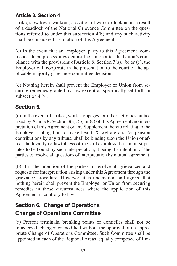strike, slowdown, walkout, cessation of work or lockout as a result of a deadlock of the National Grievance Committee on the questions referred to under this subsection 4(b) and any such activity shall be considered a violation of this Agreement.

(c) In the event that an Employer, party to this Agreement, commences legal proceedings against the Union after the Union's compliance with the provisions of Article 8, Section 3(a), (b) or (c), the Employer will cooperate in the presentation to the court of the applicable majority grievance committee decision.

(d) Nothing herein shall prevent the Employer or Union from securing remedies granted by law except as specifically set forth in subsection 4(b).

# **Section 5.**

(a) In the event of strikes, work stoppages, or other activities authorized by Article 8, Section 3(a), (b) or (c) of this Agreement, no interpretation of this Agreement or any Supplement thereto relating to the Employer's obligation to make health & welfare and /or pension contributions by any tribunal shall be binding upon the Union or affect the legality or lawfulness of the strikes unless the Union stipulates to be bound by such interpretation, it being the intention of the parties to resolve all questions of interpretation by mutual agreement.

(b) It is the intention of the parties to resolve all grievances and requests for interpretation arising under this Agreement through the grievance procedure. However, it is understood and agreed that nothing herein shall prevent the Employer or Union from securing remedies in those circumstances where the application of this Agreement is contrary to law.

# **Section 6. Change of Operations**

# **Change of Operations Committee**

(a) Present terminals, breaking points or domiciles shall not be transferred, changed or modified without the approval of an appropriate Change of Operations Committee. Such Committee shall be appointed in each of the Regional Areas, equally composed of Em-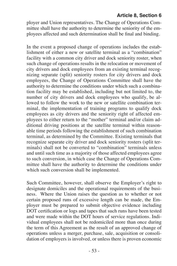ployer and Union representatives. The Change of Operations Committee shall have the authority to determine the seniority of the employees affected and such determination shall be final and binding.

In the event a proposed change of operations includes the establishment of either a new or satellite terminal as a "combination" facility with a common city driver and dock seniority roster, when such change of operations results in the relocation or movement of city drivers and dock employees from an existing terminal recognizing separate (split) seniority rosters for city drivers and dock employees, the Change of Operations Committee shall have the authority to determine the conditions under which such a combination facility may be established, including but not limited to, the number of city drivers and dock employees who qualify, be allowed to follow the work to the new or satellite combination terminal, the implementation of training programs to qualify dock employees as city drivers and the seniority right of affected employees to either return to the "mother" terminal and/or claim additional driving positions at the satellite terminal within reasonable time periods following the establishment of such combination terminal, as determined by the Committee. Existing terminals that recognize separate city driver and dock seniority rosters (split terminals) shall not be converted to "combination" terminals unless and until such time as a majority of those affected employees agree to such conversion, in which case the Change of Operations Committee shall have the authority to determine the conditions under which such conversion shall be implemented.

Such Committee, however, shall observe the Employer's right to designate domiciles and the operational requirements of the business. Where the Union raises the question as to whether or not certain proposed runs of excessive length can be made, the Employer must be prepared to submit objective evidence including DOT certification or logs and tapes that such runs have been tested and were made within the DOT hours of service regulations. Individual employees shall not be redomiciled more than once during the term of this Agreement as the result of an approved change of operations unless a merger, purchase, sale, acquisition or consolidation of employers is involved, or unless there is proven economic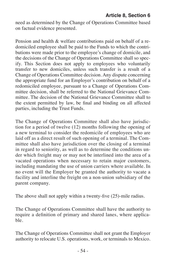need as determined by the Change of Operations Committee based on factual evidence presented.

Pension and health & welfare contributions paid on behalf of a redomiciled employee shall be paid to the Funds to which the contributions were made prior to the employee's change of domicile, and the decisions of the Change of Operations Committee shall so specify. This Section does not apply to employees who voluntarily transfer to new domiciles, unless such transfer is a result of a Change of Operations Committee decision. Any dispute concerning the appropriate fund for an Employer's contribution on behalf of a redomiciled employee, pursuant to a Change of Operations Committee decision, shall be referred to the National Grievance Committee. The decision of the National Grievance Committee shall to the extent permitted by law, be final and binding on all affected parties, including the Trust Funds.

The Change of Operations Committee shall also have jurisdiction for a period of twelve (12) months following the opening of a new terminal to consider the redomicile of employees who are laid off as a direct result of such opening of a terminal. The Committee shall also have jurisdiction over the closing of a terminal in regard to seniority, as well as to determine the conditions under which freight may or may not be interlined into the area of a vacated operations when necessary to retain major customers, including mandating the use of union carriers where available. In no event will the Employer be granted the authority to vacate a facility and interline the freight on a non-union subsidiary of the parent company.

The above shall not apply within a twenty-five (25)-mile radius.

The Change of Operations Committee shall have the authority to require a definition of primary and shared lanes, where applicable.

The Change of Operations Committee shall not grant the Employer authority to relocate U.S. operations, work, or terminals to Mexico.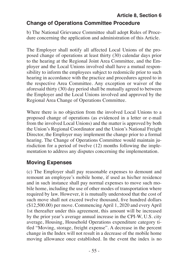# **Article 8, Section 6 Change of Operations Committee Procedure**

b) The National Grievance Committee shall adopt Rules of Procedure concerning the application and administration of this Article.

The Employer shall notify all affected Local Unions of the proposed change of operations at least thirty (30) calendar days prior to the hearing at the Regional Joint Area Committee, and the Employer and the Local Unions involved shall have a mutual responsibility to inform the employees subject to redomicile prior to such hearing in accordance with the practice and procedures agreed to in the respective Area Committee. Any exception or waiver of the aforesaid thirty (30) day period shall be mutually agreed to between the Employer and the Local Unions involved and approved by the Regional Area Change of Operations Committee.

Where there is no objection from the involved Local Unions to a proposed change of operations (as evidenced in a letter or e-mail from the involved Local Unions) and the matter is approved by both the Union's Regional Coordinator and the Union's National Freight Director, the Employer may implement the change prior to a formal hearing. The Change of Operations Committee would maintain jurisdiction for a period of twelve (12) months following the implementation to address any disputes concerning the implementation.

## **Moving Expenses**

(c) The Employer shall pay reasonable expenses to demount and remount an employee's mobile home, if used as his/her residence and in such instance shall pay normal expenses to move such mobile home, including the use of other modes of transportation where required by law. However, it is mutually understood that the cost of such move shall not exceed twelve thousand, five hundred dollars (\$12,500.00) per move. Commencing April 1, 2020 and every April 1st thereafter under this agreement, this amount will be increased by the prior year's average annual increase in the CPI-W, U.S. city average, Housing, Household Operations expenditure category titled "Moving, storage, freight expense". A decrease in the percent change in the Index will not result in a decrease of the mobile home moving allowance once established. In the event the index is no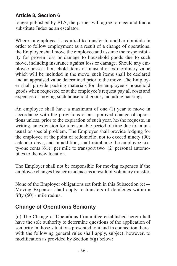longer published by BLS, the parties will agree to meet and find a substitute Index as an escalator.

Where an employee is required to transfer to another domicile in order to follow employment as a result of a change of operations, the Employer shall move the employee and assume the responsibility for proven loss or damage to household goods due to such move, including insurance against loss or damage. Should any employee possess household items of unusual or extraordinary value which will be included in the move, such items shall be declared and an appraised value determined prior to the move. The Employer shall provide packing materials for the employee's household goods when requested or at the employee's request pay all costs and expenses of moving such household goods, including packing.

An employee shall have a maximum of one (1) year to move in accordance with the provisions of an approved change of operations unless, prior to the expiration of such year, he/she requests, in writing, an extension for a reasonable period of time due to an unusual or special problem. The Employer shall provide lodging for the employee at the point of redomicile, not to exceed ninety (90) calendar days, and in addition, shall reimburse the employee sixty-one cents  $(61¢)$  per mile to transport two (2) personal automobiles to the new location.

The Employer shall not be responsible for moving expenses if the employee changes his/her residence as a result of voluntary transfer.

None of the Employer obligations set forth in this Subsection  $(c)$  — Moving Expenses shall apply to transfers of domiciles within a fifty (50) - mile radius.

## **Change of Operations Seniority**

(d) The Change of Operations Committee established herein hall have the sole authority to determine questions of the application of seniority in those situations presented to it and in connection therewith the following general rules shall apply, subject, however, to modification as provided by Section 6(g) below: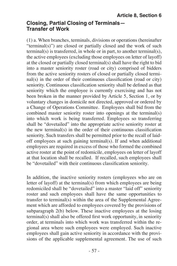### **Closing, Partial Closing of Terminals— Transfer of Work**

(1) a. When branches, terminals, divisions or operations (hereinafter "terminal(s)") are closed or partially closed and the work of such terminal(s) is transferred, in whole or in part, to another terminal(s), the active employees (excluding those employees on letter of layoff) at the closed or partially closed terminal(s) shall have the right to bid into a master seniority roster (road or city) comprised of bidders from the active seniority rosters of closed or partially closed terminal(s) in the order of their continuous classification (road or city) seniority. Continuous classification seniority shall be defined as that seniority which the employee is currently exercising and has not been broken in the manner provided by Article 5, Section 1, or by voluntary changes in domicile not directed, approved or ordered by a Change of Operations Committee. Employees shall bid from the combined master seniority roster into openings at the terminal(s) into which work is being transferred. Employees so transferring shall be "dovetailed" into the appropriate active seniority roster at the new terminal(s) in the order of their continuous classification seniority. Such transfers shall be permitted prior to the recall of laidoff employees at such gaining terminal(s). If and when additional employees are required in excess of those who formed the combined active roster at the point of redomicile, employees on letter of layoff at that location shall be recalled. If recalled, such employees shall be "dovetailed" with their continuous classification seniority.

In addition, the inactive seniority rosters (employees who are on letter of layoff) at the terminal(s) from which employees are being redomiciled shall be "dovetailed" into a master "laid off" seniority roster and such employees shall have the same opportunities to transfer to terminal(s) within the area of the Supplemental Agreement which are afforded to employees covered by the provisions of subparagraph 2(b) below. These inactive employees at the losing terminal(s) shall also be offered first work opportunity, in seniority order, at terminals into which work was transferred within the regional area where such employees were employed. Such inactive employees shall gain active seniority in accordance with the provisions of the applicable supplemental agreement. The use of such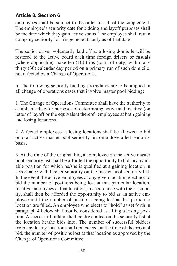employees shall be subject to the order of call of the supplement. The employee's seniority date for bidding and layoff purposes shall be the date which they gain active status. The employee shall retain company seniority for fringe benefits only as of that date.

The senior driver voluntarily laid off at a losing domicile will be restored to the active board each time foreign drivers or casuals (where applicable) make ten (10) trips (tours of duty) within any thirty (30) calendar day period on a primary run of such domicile, not affected by a Change of Operations.

b. The following seniority bidding procedures are to be applied in all change of operations cases that involve master pool bidding:

1. The Change of Operations Committee shall have the authority to establish a date for purposes of determining active and inactive (on letter of layoff or the equivalent thereof) employees at both gaining and losing locations.

2. Affected employees at losing locations shall be allowed to bid onto an active master pool seniority list on a dovetailed seniority basis.

3. At the time of the original bid, an employee on the active master pool seniority list shall be afforded the opportunity to bid any available position for which he/she is qualified at a gaining location in accordance with his/her seniority on the master pool seniority list. In the event the active employees at any given location elect not to bid the number of positions being lost at that particular location, inactive employees at that location, in accordance with their seniority, shall then be afforded the opportunity to bid as an active employee until the number of positions being lost at that particular location are filled. An employee who elects to "hold" as set forth in paragraph 4 below shall not be considered as filling a losing position. A successful bidder shall be dovetailed on the seniority list at the location he/she bids into. The number of successful bidders from any losing location shall not exceed, at the time of the original bid, the number of positions lost at that location as approved by the Change of Operations Committee.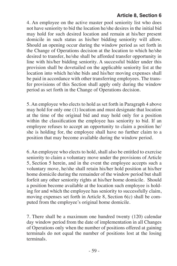4. An employee on the active master pool seniority list who does not have seniority to bid the location he/she desires in the initial bid may hold for such desired location and remain at his/her present domicile in such status as his/her bidding seniority will allow. Should an opening occur during the window period as set forth in the Change of Operations decision at the location to which he/she desired to transfer, he/she shall be afforded transfer opportunity in line with his/her bidding seniority. A successful bidder under this provision shall be dovetailed on the applicable seniority list at the location into which he/she bids and his/her moving expenses shall be paid in accordance with other transferring employees. The transfer provisions of this Section shall apply only during the window period as set forth in the Change of Operations decision.

5. An employee who elects to hold as set forth in Paragraph 4 above may hold for only one (1) location and must designate that location at the time of the original bid and may hold only for a position within the classification the employee has seniority to bid. If an employee refuses to accept an opportunity to claim a position he/ she is holding for, the employee shall have no further claim to a position that may become available during the window period.

6. An employee who elects to hold, shall also be entitled to exercise seniority to claim a voluntary move under the provisions of Article 5, Section 5 herein, and in the event the employee accepts such a voluntary move, he/she shall retain his/her hold position at his/her home domicile during the remainder of the window period but shall forfeit any other seniority rights at his/her home domicile. Should a position become available at the location such employee is holding for and which the employee has seniority to successfully claim, moving expenses set forth in Article 8, Section 6(c) shall be computed from the employee's original home domicile.

7. There shall be a maximum one hundred twenty (120) calendar day window period from the date of implementation in all Changes of Operations only when the number of positions offered at gaining terminals do not equal the number of positions lost at the losing terminals.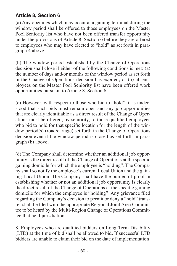(a) Any openings which may occur at a gaining terminal during the window period shall be offered to those employees on the Master Pool Seniority list who have not been offered transfer opportunity under the provisions of Article 8, Section 6 before they are offered to employees who may have elected to "hold" as set forth in paragraph 4 above.

(b) The window period established by the Change of Operations decision shall close if either of the following conditions is met: (a) the number of days and/or months of the window period as set forth in the Change of Operations decision has expired; or (b) all employees on the Master Pool Seniority list have been offered work opportunities pursuant to Article 8, Section 6.

(c) However, with respect to those who bid to "hold", it is understood that such bids must remain open and any job opportunities that are clearly identifiable as a direct result of the Change of Operations must be offered, by seniority, to those qualified employees who bid to hold for that specific location for the length of the window period(s) (road/cartage) set forth in the Change of Operations decision even if the window period is closed as set forth in paragraph (b) above.

(d) The Company shall determine whether an additional job opportunity is the direct result of the Change of Operations at the specific gaining domicile for which the employee is "holding". The Company shall so notify the employee's current Local Union and the gaining Local Union. The Company shall have the burden of proof in establishing whether or not an additional job opportunity is clearly the direct result of the Change of Operations at the specific gaining domicile for which the employee is "holding". Any grievance filed regarding the Company's decision to permit or deny a "hold" transfer shall be filed with the appropriate Regional Joint Area Committee to be heard by the Multi-Region Change of Operations Committee that held jurisdiction.

8. Employees who are qualified bidders on Long-Term Disability (LTD) at the time of bid shall be allowed to bid. If successful LTD bidders are unable to claim their bid on the date of implementation,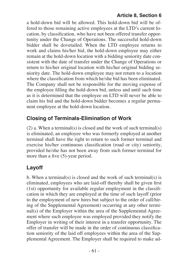a hold-down bid will be allowed. This hold-down bid will be offered to those remaining active employees at the LTD's current location, by classification, who have not been offered transfer opportunity under the Change of Operations. The successful hold-down bidder shall be dovetailed. When the LTD employee returns to work and claims his/her bid, the hold-down employee may either remain at the hold-down location with a bidding seniority date consistent with the date of transfer under the Change of Operations or return to his/her original location with his/her original bidding seniority date. The hold-down employee may not return to a location where the classification from which he/she bid has been eliminated. The Company shall not be responsible for the moving expense of the employee filling the hold-down bid, unless and until such time as it is determined that the employee on LTD will never be able to claim his bid and the hold-down bidder becomes a regular permanent employee at the hold-down location.

## **Closing of Terminals-Elimination of Work**

(2) a. When a terminal(s) is closed and the work of such terminal(s) is eliminated, an employee who was formerly employed at another terminal shall have the right to return to such former terminal and exercise his/her continuous classification (road or city) seniority, provided he/she has not been away from such former terminal for more than a five (5)-year period.

# **Layoff**

b. When a terminal(s) is closed and the work of such terminal(s) is eliminated, employees who are laid-off thereby shall be given first (1st) opportunity for available regular employment in the classification in which they are employed at the time of such layoff (prior to the employment of new hires but subject to the order of call/hiring of the Supplemental Agreement) occurring at any other terminal(s) of the Employer within the area of the Supplemental Agreement where such employee was employed provided they notify the Employer in writing of their interest in a transfer opportunity. The offer of transfer will be made in the order of continuous classification seniority of the laid off employees within the area of the Supplemental Agreement. The Employer shall be required to make ad-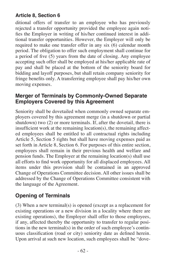ditional offers of transfer to an employee who has previously rejected a transfer opportunity provided the employee again notifies the Employer in writing of his/her continued interest in additional transfer opportunities. However, the Employer will only be required to make one transfer offer in any six  $(6)$  calendar month period. The obligation to offer such employment shall continue for a period of five (5) years from the date of closing. Any employee accepting such offer shall be employed at his/her applicable rate of pay and shall be placed at the bottom of the seniority board for bidding and layoff purposes, but shall retain company seniority for fringe benefits only. A transferring employee shall pay his/her own moving expenses.

#### **Merger of Terminals by Commonly-Owned Separate Employers Covered by this Agreement**

Seniority shall be dovetailed when commonly owned separate employers covered by this agreement merge (in a shutdown or partial shutdown) two  $(2)$  or more terminals. If, after the dovetail, there is insufficient work at the remaining location(s), the remaining affected employees shall be entitled to all contractual rights including Article 5, Section 5 rights but shall have moving expenses paid as set forth in Article 8, Section 6. For purposes of this entire section, employees shall remain in their previous health and welfare and pension funds. The Employer at the remaining location(s) shall use all efforts to find work opportunity for all displaced employees. All items under this provision shall be contained in an approved Change of Operations Committee decision. All other issues shall be addressed by the Change of Operations Committee consistent with the language of the Agreement.

# **Opening of Terminals**

(3) When a new terminal(s) is opened (except as a replacement for existing operations or a new division in a locality where there are existing operations), the Employer shall offer to those employees, if any, affected thereby the opportunity to transfer to regular positions in the new terminal(s) in the order of such employee's continuous classification (road or city) seniority date as defined herein. Upon arrival at such new location, such employees shall be "dove-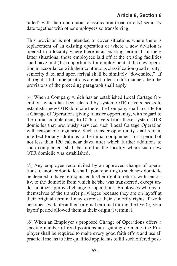tailed" with their continuous classification (road or city) seniority date together with other employees so transferring.

This provision is not intended to cover situations where there is replacement of an existing operation or where a new division is opened in a locality where there is an existing terminal. In these latter situations, those employees laid off at the existing facilities shall have first (1st) opportunity for employment at the new operation in accordance with their continuous classification (road or city) seniority date, and upon arrival shall be similarly "dovetailed." If all regular full-time positions are not filled in this manner, then the provisions of the preceding paragraph shall apply.

(4) When a Company which has an established Local Cartage Operation, which has been cleared by system OTR drivers, seeks to establish a new OTR domicile there, the Company shall first file for a Change of Operations giving transfer opportunity, with regard to the initial complement, to OTR drivers from those system OTR domiciles that previously serviced such Local Cartage Operation with reasonable regularity. Such transfer opportunity shall remain in effect for any additions to the initial complement for a period of not less than 120 calendar days, after which further additions to such complement shall be hired at the locality where such new OTR domicile was established.

(5) Any employee redomiciled by an approved change of operations to another domicile shall upon reporting to such new domicile be deemed to have relinquished his/her right to return, with seniority, to the domicile from which he/she was transferred, except under another approved change of operations. Employees who avail themselves of the transfer privileges because they are on layoff at their original terminal may exercise their seniority rights if work becomes available at their original terminal during the five (5) year layoff period allowed them at their original terminal.

(6) When an Employer's proposed Change of Operations offers a specific number of road positions at a gaining domicile, the Employer shall be required to make every good faith effort and use all practical means to hire qualified applicants to fill such offered posi-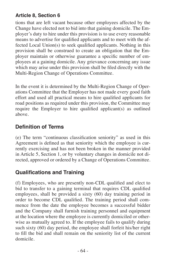tions that are left vacant because other employees affected by the Change have elected not to bid into that gaining domicile. The Employer's duty to hire under this provision is to use every reasonable means to advertise for qualified applicants and to meet with the affected Local Union(s) to seek qualified applicants. Nothing in this provision shall be construed to create an obligation that the Employer maintain or otherwise guarantee a specific number of employees at a gaining domicile. Any grievance concerning any issue which may arise under this provision shall be filed directly with the Multi-Region Change of Operations Committee.

In the event it is determined by the Multi-Region Change of Operations Committee that the Employer has not made every good faith effort and used all practical means to hire qualified applicants for road positions as required under this provision, the Committee may require the Employer to hire qualified applicant(s) as outlined above.

## **Definition of Terms**

(e) The term "continuous classification seniority" as used in this Agreement is defined as that seniority which the employee is currently exercising and has not been broken in the manner provided in Article 5, Section 1, or by voluntary changes in domicile not directed, approved or ordered by a Change of Operations Committee.

### **Qualifications and Training**

(f) Employees, who are presently non-CDL qualified and elect to bid to transfer to a gaining terminal that requires CDL qualified employees, shall be provided a sixty (60) day training period in order to become CDL qualified. The training period shall commence from the date the employee becomes a successful bidder and the Company shall furnish training personnel and equipment at the location where the employee is currently domiciled or otherwise as mutually agreed to. If the employee fails to qualify during such sixty (60) day period, the employee shall forfeit his/her right to fill the bid and shall remain on the seniority list of the current domicile.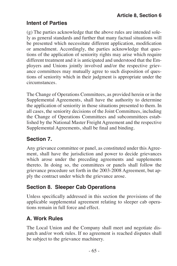#### **Intent of Parties**

(g) The parties acknowledge that the above rules are intended solely as general standards and further that many factual situations will be presented which necessitate different application, modification or amendment. Accordingly, the parties acknowledge that questions of the application of seniority rights may arise which require different treatment and it is anticipated and understood that the Employers and Unions jointly involved and/or the respective grievance committees may mutually agree to such disposition of questions of seniority which in their judgment is appropriate under the circumstances.

The Change of Operations Committees, as provided herein or in the Supplemental Agreements, shall have the authority to determine the application of seniority in those situations presented to them. In all cases, the seniority decisions of the Joint Committees, including the Change of Operations Committees and subcommittees established by the National Master Freight Agreement and the respective Supplemental Agreements, shall be final and binding.

## **Section 7.**

Any grievance committee or panel, as constituted under this Agreement, shall have the jurisdiction and power to decide grievances which arose under the preceding agreements and supplements thereto. In doing so, the committees or panels shall follow the grievance procedure set forth in the 2003-2008 Agreement, but apply the contract under which the grievance arose.

# **Section 8. Sleeper Cab Operations**

Unless specifically addressed in this section the provisions of the applicable supplemental agreement relating to sleeper cab operations remain in full force and effect.

## **A. Work Rules**

The Local Union and the Company shall meet and negotiate dispatch and/or work rules. If no agreement is reached disputes shall be subject to the grievance machinery.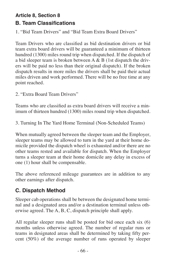# **Article 8, Section 8 B. Team Classifications**

1. "Bid Team Drivers" and "Bid Team Extra Board Drivers"

Team Drivers who are classified as bid destination drivers or bid team extra board drivers will be guaranteed a minimum of thirteen hundred (1300) miles round trip when dispatched. If the dispatch of a bid sleeper team is broken between A & B (1st dispatch the drivers will be paid no less than their original dispatch). If the broken dispatch results in more miles the drivers shall be paid their actual miles driven and work performed. There will be no free time at any point reached.

2. "Extra Board Team Drivers"

Teams who are classified as extra board drivers will receive a minimum of thirteen hundred (1300) miles round trip when dispatched.

3. Turning In The Yard Home Terminal (Non-Scheduled Teams)

When mutually agreed between the sleeper team and the Employer, sleeper teams may be allowed to turn in the yard at their home domicile provided the dispatch wheel is exhausted and/or there are no other teams rested and available for dispatch. When the Employer turns a sleeper team at their home domicile any delay in excess of one (1) hour shall be compensable.

The above referenced mileage guarantees are in addition to any other earnings after dispatch.

### **C. Dispatch Method**

Sleeper cab operations shall be between the designated home terminal and a designated area and/or a destination terminal unless otherwise agreed. The A, B, C, dispatch principle shall apply.

All regular sleeper runs shall be posted for bid once each six (6) months unless otherwise agreed. The number of regular runs or teams in designated areas shall be determined by taking fifty percent (50%) of the average number of runs operated by sleeper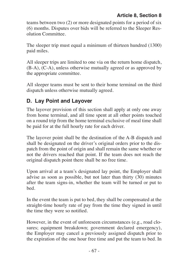teams between two (2) or more designated points for a period of six (6) months. Disputes over bids will be referred to the Sleeper Resolution Committee.

The sleeper trip must equal a minimum of thirteen hundred (1300) paid miles.

All sleeper trips are limited to one via on the return home dispatch, (B-A), (C-A), unless otherwise mutually agreed or as approved by the appropriate committee.

All sleeper teams must be sent to their home terminal on the third dispatch unless otherwise mutually agreed.

### **D. Lay Point and Layover**

The layover provision of this section shall apply at only one away from home terminal, and all time spent at all other points touched on a round trip from the home terminal exclusive of meal time shall be paid for at the full hourly rate for each driver.

The layover point shall be the destination of the A-B dispatch and shall be designated on the driver's original orders prior to the dispatch from the point of origin and shall remain the same whether or not the drivers reached that point. If the team does not reach the original dispatch point there shall be no free time.

Upon arrival at a team's designated lay point, the Employer shall advise as soon as possible, but not later than thirty (30) minutes after the team signs-in, whether the team will be turned or put to bed.

In the event the team is put to bed, they shall be compensated at the straight-time hourly rate of pay from the time they signed in until the time they were so notified.

However, in the event of unforeseen circumstances (e.g., road closures; equipment breakdown; government declared emergency), the Employer may cancel a previously assigned dispatch prior to the expiration of the one hour free time and put the team to bed. In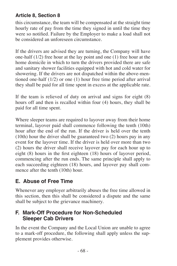this circumstance, the team will be compensated at the straight time hourly rate of pay from the time they signed in until the time they were so notified. Failure by the Employer to make a load shall not be considered an unforeseen circumstance.

If the drivers are advised they are turning, the Company will have one*-*half (1/2) free hour at the lay point and one (1) free hour at the home domicile in which to turn the drivers provided there are safe and sanitary shower facilities equipped with hot and cold water for showering. If the drivers are not dispatched within the above-mentioned one*-*half (1/2) or one (1) hour free time period after arrival they shall be paid for all time spent in excess at the applicable rate.

If the team is relieved of duty on arrival and signs for eight (8) hours off and then is recalled within four (4) hours, they shall be paid for all time spent.

Where sleeper teams are required to layover away from their home terminal, layover paid shall commence following the tenth (10th) hour after the end of the run. If the driver is held over the tenth (10th) hour the driver shall be guaranteed two (2) hours pay in any event for the layover time. If the driver is held over more than two (2) hours the driver shall receive layover pay for each hour up to eight (8) hours in the first eighteen (18) hours of layover period, commencing after the run ends. The same principle shall apply to each succeeding eighteen (18) hours, and layover pay shall commence after the tenth (10th) hour.

# **E. Abuse of Free Time**

Whenever any employer arbitrarily abuses the free time allowed in this section, then this shall be considered a dispute and the same shall be subject to the grievance machinery.

#### **F. Mark-Off Procedure for Non-Scheduled Sleeper Cab Drivers**

In the event the Company and the Local Union are unable to agree to a mark-off procedure, the following shall apply unless the supplement provides otherwise.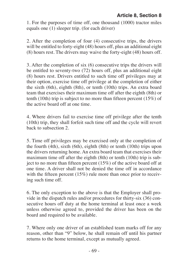1. For the purposes of time off, one thousand (1000) tractor miles equals one (1) sleeper trip. (for each driver)

2. After the completion of four (4) consecutive trips, the drivers will be entitled to forty-eight (48) hours off, plus an additional eight (8) hours rest. The drivers may waive the forty-eight (48) hours off.

3. After the completion of six (6) consecutive trips the drivers will be entitled to seventy-two (72) hours off, plus an additional eight (8) hours rest. Drivers entitled to such time off privileges may at their option, exercise time off privilege at the completion of either the sixth (6th), eighth (8th), or tenth (10th) trips. An extra board team that exercises their maximum time off after the eighth (8th) or tenth (10th) trip is subject to no more than fifteen percent (15%) of the active board off at one time.

4. Where drivers fail to exercise time off privilege after the tenth (10th) trip, they shall forfeit such time off and the cycle will revert back to subsection 2.

5. Time off privileges may be exercised only at the completion of the fourth (4th), sixth (6th), eighth (8th) or tenth (10th) trips upon the drivers returning home. An extra board team that exercises their maximum time off after the eighth (8th) or tenth (10th) trip is subject to no more than fifteen percent  $(15%)$  of the active board off at one time. A driver shall not be denied the time off in accordance with the fifteen percent (15%) rule more than once prior to receiving such time off.

6. The only exception to the above is that the Employer shall provide in the dispatch rules and/or procedures for thirty-six (36) consecutive hours off duty at the home terminal at least once a week unless otherwise agreed to, provided the driver has been on the board and required to be available.

7. Where only one driver of an established team marks off for any reason, other than "9" below, he shall remain off until his partner returns to the home terminal, except as mutually agreed.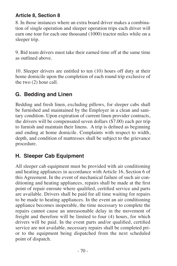8. In those instances where an extra board driver makes a combination of single operation and sleeper operation trips each driver will earn one tour for each one thousand (1000) tractor miles while on a sleeper trip.

9. Bid team drivers must take their earned time off at the same time as outlined above.

10. Sleeper drivers are entitled to ten (10) hours off duty at their home domicile upon the completion of each round trip exclusive of the two (2) hour call.

## **G. Bedding and Linen**

Bedding and fresh linen, excluding pillows, for sleeper cabs shall be furnished and maintained by the Employer in a clean and sanitary condition. Upon expiration of current linen provider contracts, the drivers will be compensated seven dollars (\$7.00) each per trip to furnish and maintain their linens. A trip is defined as beginning and ending at home domicile. Complaints with respect to width, depth, and condition of mattresses shall be subject to the grievance procedure.

# **H. Sleeper Cab Equipment**

All sleeper cab equipment must be provided with air conditioning and heating appliances in accordance with Article 16, Section 6 of this Agreement. In the event of mechanical failure of such air conditioning and heating appliances, repairs shall be made at the first point of repair enroute where qualified, certified service and parts are available. Drivers shall be paid for all time waiting for repairs to be made to heating appliances. In the event an air conditioning appliance becomes inoperable, the time necessary to complete the repairs cannot cause an unreasonable delay in the movement of freight and therefore will be limited to four (4) hours, for which drivers will be paid. In the event parts and/or qualified, certified service are not available, necessary repairs shall be completed prior to the equipment being dispatched from the next scheduled point of dispatch.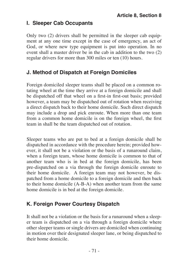#### **I. Sleeper Cab Occupants**

Only two (2) drivers shall be permitted in the sleeper cab equipment at any one time except in the case of emergency, an act of God, or where new type equipment is put into operation. In no event shall a master driver be in the cab in addition to the two (2) regular drivers for more than 300 miles or ten (10) hours.

#### **J. Method of Dispatch at Foreign Domiciles**

Foreign domiciled sleeper teams shall be placed on a common rotating wheel at the time they arrive at a foreign domicile and shall be dispatched off that wheel on a first-in first-out basis; provided however, a team may be dispatched out of rotation when receiving a direct dispatch back to their home domicile. Such direct dispatch may include a drop and pick enroute. When more than one team from a common home domicile is on the foreign wheel, the first team in shall be the team dispatched out of rotation.

Sleeper teams who are put to bed at a foreign domicile shall be dispatched in accordance with the procedure herein; provided however, it shall not be a violation or the basis of a runaround claim, when a foreign team, whose home domicile is common to that of another team who is in bed at the foreign domicile, has been pre-dispatched on a via through the foreign domicile enroute to their home domicile. A foreign team may not however, be dispatched from a home domicile to a foreign domicile and then back to their home domicile (A-B-A) when another team from the same home domicile is in bed at the foreign domicile.

#### **K. Foreign Power Courtesy Dispatch**

It shall not be a violation or the basis for a runaround when a sleeper team is dispatched on a via through a foreign domicile where other sleeper teams or single drivers are domiciled when continuing in motion over their designated sleeper lane, or being dispatched to their home domicile.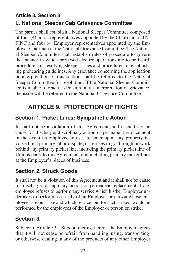## **Article 8, Section 8 L. National Sleeper Cab Grievance Committee**

The parties shall establish a National Sleeper Committee composed of four (4) union representatives appointed by the Chairman of TN-FINC and four (4) Employer representatives appointed by the Employer Chairman of the National Grievance Committee. The National Sleeper Committee shall establish rules of procedure to govern the manner in which proposed sleeper operations are to be heard, procedures for resolving sleeper issues and procedures for establishing prehearing guidelines. Any grievance concerning the application or interpretation of this section shall be referred to the National Sleeper Committee for resolution. If the National Sleeper Committee is unable to reach a decision on an interpretation or grievance, the issue will be referred to the National Grievance Committee.

# **ARTICLE 9. PROTECTION OF RIGHTS**

## **Section 1. Picket Lines: Sympathetic Action**

It shall not be a violation of this Agreement, and it shall not be cause for discharge, disciplinary action or permanent replacement in the event an employee refuses to enter upon any property involved in a primary labor dispute, or refuses to go through or work behind any primary picket line, including the primary picket line of Unions party to this Agreement, and including primary picket lines at the Employer's places of business.

## **Section 2. Struck Goods**

It shall not be a violation of this Agreement and it shall not be cause for discharge, disciplinary action or permanent replacement if any employee refuses to perform any service which his/her Employer undertakes to perform as an ally of an Employer or person whose employees are on strike and which service, but for such strikes, would be performed by the employees of the Employer or person on strike.

## **Section 3.**

Subject to Article 32—Subcontracting, hereof, the Employer agrees that it will not cease or refrain from handling, using, transporting, or otherwise dealing in any of the products of any other Employer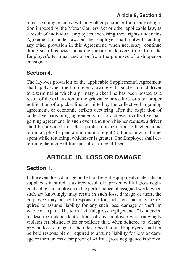or cease doing business with any other person, or fail in any obligation imposed by the Motor Carriers Act or other applicable law, as a result of individual employees exercising their rights under this Agreement or under law, but the Employer shall, notwithstanding any other provision in this Agreement, when necessary, continue doing such business, including pickup or delivery to or from the Employer's terminal and to or from the premises of a shipper or consignee.

### **Section 4.**

The layover provision of the applicable Supplemental Agreement shall apply when the Employer knowingly dispatches a road driver to a terminal at which a primary picket line has been posted as a result of the exhaustion of the grievance procedure, or after proper notification of a picket line permitted by the collective bargaining agreement, or economic strikes occurring after the expiration of collective bargaining agreements, or to achieve a collective bargaining agreement. In such event and upon his/her request, a driver shall be provided first class public transportation to his/her home terminal, plus be paid a minimum of eight (8) hours or actual time spent while returning, whichever is greater. The Employer shall determine the mode of transportation to be utilized.

# **ARTICLE 10. LOSS OR DAMAGE**

## **Section 1.**

In the event loss, damage or theft of freight, equipment, materials, or supplies is incurred as a direct result of a proven willful gross negligent act by an employee in the performance of assigned work, when such act knowingly may result in such loss, damage or theft, the employee may be held responsible for such acts and may be required to assume liability for any such loss, damage or theft, in whole or in part. The term "willful, gross negligent acts" is intended to describe independent actions of any employee who knowingly violates established rules or policies that, when adhered to, clearly prevent loss, damage or theft described herein. Employees shall not be held responsible or required to assume liability for loss or damage or theft unless clear proof of willful, gross negligence is shown.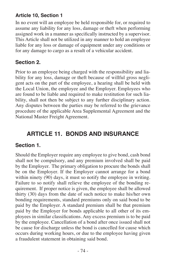In no event will an employee be held responsible for, or required to assume any liability for any loss, damage or theft when performing assigned work in a manner as specifically instructed by a supervisor. This Article shall not be utilized in any manner to hold an employee liable for any loss or damage of equipment under any conditions or for any damage to cargo as a result of a vehicular accident.

#### **Section 2.**

Prior to an employee being charged with the responsibility and liability for any loss, damage or theft because of willful gross negligent acts on the part of the employee, a hearing shall be held with the Local Union, the employee and the Employer. Employees who are found to be liable and required to make restitution for such liability, shall not then be subject to any further disciplinary action. Any disputes between the parties may be referred to the grievance procedure of the applicable Area Supplemental Agreement and the National Master Freight Agreement.

# **ARTICLE 11. BONDS AND INSURANCE**

#### **Section 1.**

Should the Employer require any employee to give bond, cash bond shall not be compulsory, and any premium involved shall be paid by the Employer. The primary obligation to procure the bonds shall be on the Employer. If the Employer cannot arrange for a bond within ninety (90) days, it must so notify the employee in writing. Failure to so notify shall relieve the employee of the bonding requirement. If proper notice is given, the employee shall be allowed thirty (30) days from the date of such notice to make his/her own bonding requirements, standard premiums only on said bond to be paid by the Employer. A standard premium shall be that premium paid by the Employer for bonds applicable to all other of its employees in similar classifications. Any excess premium is to be paid by the employee. Cancellation of a bond after once issued shall not be cause for discharge unless the bond is cancelled for cause which occurs during working hours, or due to the employee having given a fraudulent statement in obtaining said bond.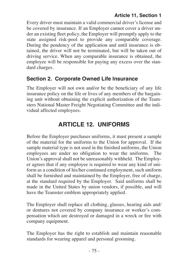Every driver must maintain a valid commercial driver's license and be covered by insurance. If an Employer cannot cover a driver under an existing fleet policy, the Employer will promptly apply to the state assigned risk-pool to provide any comparable coverage. During the pendency of the application and until insurance is obtained, the driver will not be terminated, but will be taken out of driving service. When any comparable insurance is obtained, the employee will be responsible for paying any excess over the standard charges.

## **Section 2. Corporate Owned Life Insurance**

The Employer will not own and/or be the beneficiary of any life insurance policy on the life or lives of any members of the bargaining unit without obtaining the explicit authorization of the Teamsters National Master Freight Negotiating Committee and the individual affected employees.

# **ARTICLE 12. UNIFORMS**

Before the Employer purchases uniforms, it must present a sample of the material for the uniforms to the Union for approval. If the sample material type is not used in the finished uniforms, the Union employees are under no obligation to wear the uniforms. The Union's approval shall not be unreasonably withheld. The Employer agrees that if any employee is required to wear any kind of uniform as a condition of his/her continued employment, such uniform shall be furnished and maintained by the Employer, free of charge, at the standard required by the Employer. Said uniforms shall be made in the United States by union vendors, if possible, and will have the Teamster emblem appropriately applied.

The Employer shall replace all clothing, glasses, hearing aids and/ or dentures not covered by company insurance or worker's compensation which are destroyed or damaged in a wreck or fire with company equipment.

The Employer has the right to establish and maintain reasonable standards for wearing apparel and personal grooming.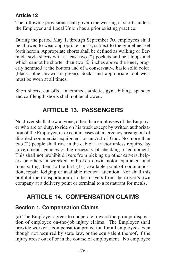#### **Article 12**

The following provisions shall govern the wearing of shorts, unless the Employer and Local Union has a prior existing practice:

During the period May 1, through September 30, employees shall be allowed to wear appropriate shorts, subject to the guidelines set forth herein. Appropriate shorts shall be defined as walking or Bermuda style shorts with at least two (2) pockets and belt loops and which cannot be shorter than two (2) inches above the knee, properly hemmed at the bottom and of a conservative basic solid color, (black, blue, brown or green). Socks and appropriate foot wear must be worn at all times.

Short shorts, cut offs, unhemmed, athletic, gym, biking, spandex and calf length shorts shall not be allowed.

# **ARTICLE 13. PASSENGERS**

No driver shall allow anyone, other than employees of the Employer who are on duty, to ride on his truck except by written authorization of the Employer, or except in cases of emergency arising out of disabled commercial equipment or an Act of God. No more than two (2) people shall ride in the cab of a tractor unless required by government agencies or the necessity of checking of equipment. This shall not prohibit drivers from picking up other drivers, helpers or others in wrecked or broken down motor equipment and transporting them to the first (1st) available point of communication, repair, lodging or available medical attention. Nor shall this prohibit the transportation of other drivers from the driver's own company at a delivery point or terminal to a restaurant for meals.

# **ARTICLE 14. COMPENSATION CLAIMS**

#### **Section 1. Compensation Claims**

(a) The Employer agrees to cooperate toward the prompt disposition of employee on-the-job injury claims. The Employer shall provide worker's compensation protection for all employees even though not required by state law, or the equivalent thereof, if the injury arose out of or in the course of employment. No employee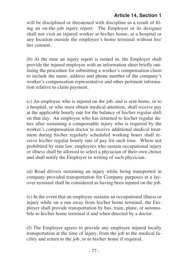will be disciplined or threatened with discipline as a result of filing an on-the-job injury report. The Employer or its designee shall not visit an injured worker at his/her home, at a hospital or any location outside the employee's home terminal without his/ her consent.

(b) At the time an injury report is turned in, the Employer shall provide the injured employee with an information sheet briefly outlining the procedure for submitting a worker's compensation claim to include the name, address and phone number of the company's worker's compensation representative and other pertinent information relative to claim payment.

(c) An employee who is injured on the job, and is sent home, or to a hospital, or who must obtain medical attention, shall receive pay at the applicable hourly rate for the balance of his/her regular shift on that day. An employee who has returned to his/her regular duties after sustaining a compensable injury who is required by the worker's compensation doctor to receive additional medical treatment during his/her regularly scheduled working hours shall receive his/her regular hourly rate of pay for such time. Where not prohibited by state law, employees who sustain occupational injury or illness shall be allowed to select a physician of their own choice and shall notify the Employer in writing of such physician.

(d) Road drivers sustaining an injury while being transported in company-provided transportation for Company purposes at a layover terminal shall be considered as having been injured on the job.

(e) In the event that an employee sustains an occupational illness or injury while on a run away from his/her home terminal, the Employer shall provide transportation by bus, train, plane, or automobile to his/her home terminal if and when directed by a doctor.

(f) The Employer agrees to provide any employee injured locally transportation at the time of injury, from the job to the medical facility and return to the job, or to his/her home if required.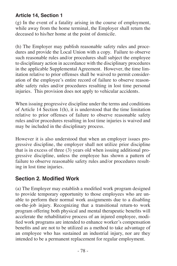(g) In the event of a fatality arising in the course of employment, while away from the home terminal, the Employer shall return the deceased to his/her home at the point of domicile.

(h) The Employer may publish reasonable safety rules and procedures and provide the Local Union with a copy. Failure to observe such reasonable rules and/or procedures shall subject the employee to disciplinary action in accordance with the disciplinary procedures in the applicable Supplemental Agreement. However, the time limitation relative to prior offenses shall be waived to permit consideration of the employee's entire record of failure to observe reasonable safety rules and/or procedures resulting in lost time personal injuries. This provision does not apply to vehicular accidents.

When issuing progressive discipline under the terms and conditions of Article 14 Section 1(h), it is understood that the time limitation relative to prior offenses of failure to observe reasonable safety rules and/or procedures resulting in lost time injuries is waived and may be included in the disciplinary process.

However it is also understood that when an employer issues progressive discipline, the employer shall not utilize prior discipline that is in excess of three (3) years old when issuing additional progressive discipline, unless the employee has shown a pattern of failure to observe reasonable safety rules and/or procedures resulting in lost time injuries.

### **Section 2. Modified Work**

(a) The Employer may establish a modified work program designed to provide temporary opportunity to those employees who are unable to perform their normal work assignments due to a disabling on-the-job injury. Recognizing that a transitional return-to work program offering both physical and mental therapeutic benefits will accelerate the rehabilitative process of an injured employee, modified work programs are intended to enhance worker's compensation benefits and are not to be utilized as a method to take advantage of an employee who has sustained an industrial injury, nor are they intended to be a permanent replacement for regular employment.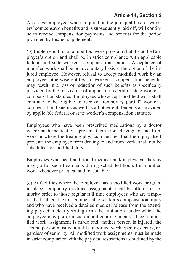An active employee, who is injured on the job, qualifies for workers' compensation benefits and is subsequently laid off, will continue to receive compensation payments and benefits for the period provided by his/her supplement.

(b) Implementation of a modified work program shall be at the Employer's option and shall be in strict compliance with applicable federal and state worker's compensation statutes. Acceptance of modified work shall be on a voluntary basis at the option of the injured employee. However, refusal to accept modified work by an employee, otherwise entitled to worker's compensation benefits, may result in a loss or reduction of such benefits as specifically provided by the provisions of applicable federal or state worker's compensation statutes. Employees who accept modified work shall continue to be eligible to receive "temporary partial" worker's compensation benefits as well as all other entitlements as provided by applicable federal or state worker's compensation statutes.

Employees who have been prescribed medications by a doctor where such medications prevent them from driving to and from work or where the treating physician certifies that the injury itself prevents the employee from driving to and from work, shall not be scheduled for modified duty.

Employees who need additional medical and/or physical therapy may go for such treatments during scheduled hours for modified work whenever practical and reasonable.

(c) At facilities where the Employer has a modified work program in place, temporary modified assignments shall be offered in seniority order to those regular full time employees who are temporarily disabled due to a compensable worker's compensation injury and who have received a detailed medical release from the attending physician clearly setting forth the limitations under which the employee may perform such modified assignments. Once a modified work assignment is made and another person is injured, the second person must wait until a modified work opening occurs, regardless of seniority. All modified work assignments must be made in strict compliance with the physical restrictions as outlined by the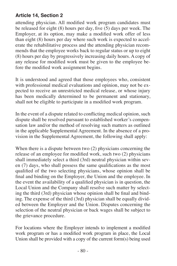attending physician. All modified work program candidates must be released for eight  $(8)$  hours per day, five  $(5)$  days per week. The Employer, at its option, may make a modified work offer of less than eight (8) hours per day where such work is expected to accelerate the rehabilitative process and the attending physician recommends that the employee works back to regular status or up to eight (8) hours per day by progressively increasing daily hours. A copy of any release for modified work must be given to the employee before the modified work assignment begins.

It is understood and agreed that those employees who, consistent with professional medical evaluations and opinion, may not be expected to receive an unrestricted medical release, or whose injury has been medically determined to be permanent and stationary, shall not be eligible to participate in a modified work program.

In the event of a dispute related to conflicting medical opinion, such dispute shall be resolved pursuant to established worker's compensation law and/or the method of resolving such matters as outlined in the applicable Supplemental Agreement. In the absence of a provision in the Supplemental Agreement, the following shall apply:

When there is a dispute between two (2) physicians concerning the release of an employee for modified work, such two (2) physicians shall immediately select a third (3rd) neutral physician within seven (7) days, who shall possess the same qualifications as the most qualified of the two selecting physicians, whose opinion shall be final and binding on the Employer, the Union and the employee. In the event the availability of a qualified physician is in question, the Local Union and the Company shall resolve such matter by selecting the third (3rd) physician whose opinion shall be final and binding. The expense of the third (3rd) physician shall be equally divided between the Employer and the Union. Disputes concerning the selection of the neutral physician or back wages shall be subject to the grievance procedure.

For locations where the Employer intends to implement a modified work program or has a modified work program in place, the Local Union shall be provided with a copy of the current form(s) being used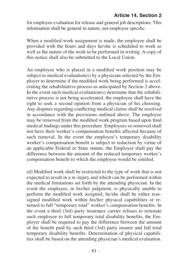for employee evaluation for release and general job descriptions. This information shall be general in nature, not employee specific.

When a modified work assignment is made, the employee shall be provided with the hours and days he/she is scheduled to work as well as the nature of the work to be performed in writing. A copy of this notice shall also be submitted to the Local Union.

An employee who is placed in a modified work position may be subject to medical evaluation(s) by a physician selected by the Employer to determine if the modified work being performed is accelerating the rehabilitative process as anticipated by Section 2 above. In the event such medical evaluation(s) determine that the rehabilitative process is not being accelerated, the employee shall have the right to seek a second opinion from a physician of his choosing. Any disputes regarding conflicting medical claims shall be resolved in accordance with the provisions outlined above. The employee may be removed from the modified work program based upon final medical findings under this procedure. Employees so removed shall not have their worker's compensation benefits affected because of such removal. In the event the employee's temporary disability worker's compensation benefit is subject to reduction by virtue of an applicable Federal or State statute, the Employer shall pay the difference between the amount of the reduced temporary worker's compensation benefit to which the employee would be entitled.

(d) Modified work shall be restricted to the type of work that is not expected to result in a re-injury and which can be performed within the medical limitations set forth by the attending physician. In the event the employee, in his/her judgment, is physically unable to perform the modified work assigned, he/she shall be either reassigned modified work within his/her physical capabilities or returned to full "temporary total" worker's compensation benefits. In the event a third (3rd) party insurance carrier refuses to reinstate such employee to full temporary total disability benefits, the Employer shall be required to pay the difference between the amount of the benefit paid by such third (3rd) party insurer and full total temporary disability benefits. Determination of physical capabilities shall be based on the attending physician's medical evaluation.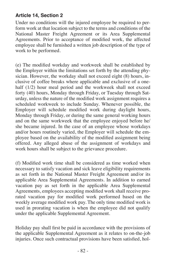Under no conditions will the injured employee be required to perform work at that location subject to the terms and conditions of the National Master Freight Agreement or its Area Supplemental Agreements. Prior to acceptance of modified work, the affected employee shall be furnished a written job description of the type of work to be performed.

(e) The modified workday and workweek shall be established by the Employer within the limitations set forth by the attending physician. However, the workday shall not exceed eight (8) hours, inclusive of coffee breaks where applicable and exclusive of a onehalf (1/2) hour meal period and the workweek shall not exceed forty (40) hours, Monday through Friday, or Tuesday through Saturday, unless the nature of the modified work assignment requires a scheduled workweek to include Sunday. Whenever possible, the Employer will schedule modified work during daylight hours, Monday through Friday, or during the same general working hours and on the same workweek that the employee enjoyed before he/ she became injured. In the case of an employee whose workdays and/or hours routinely varied, the Employer will schedule the employee based on the availability of the modified assignment being offered. Any alleged abuse of the assignment of workdays and work hours shall be subject to the grievance procedure.

(f) Modified work time shall be considered as time worked when necessary to satisfy vacation and sick leave eligibility requirements as set forth in the National Master Freight Agreement and/or its applicable Area Supplemental Agreements. In addition to earned vacation pay as set forth in the applicable Area Supplemental Agreements, employees accepting modified work shall receive prorated vacation pay for modified work performed based on the weekly average modified work pay. The only time modified work is used in prorating vacation is when the employee did not qualify under the applicable Supplemental Agreement.

Holiday pay shall first be paid in accordance with the provisions of the applicable Supplemental Agreement as it relates to on-the-job injuries. Once such contractual provisions have been satisfied, hol-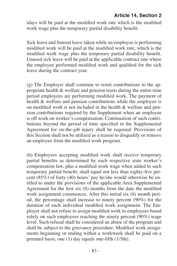idays will be paid at the modified work rate which is the modified work wage plus the temporary partial disability benefit.

Sick leave and funeral leave taken while an employee is performing modified work will be paid at the modified work rate, which is the modified work wage plus the temporary partial disability benefit. Unused sick leave will be paid at the applicable contract rate where the employee performed modified work and qualified for the sick leave during the contract year.

(g) The Employer shall continue to remit contributions to the appropriate health & welfare and pension trusts during the entire time period employees are performing modified work. The payment of health & welfare and pension contributions while the employee is on modified work is not included in the health & welfare and pension contributions required by the Supplement when an employee is off work on worker's compensation. Continuation of such contributions beyond the period of time specified in the Supplemental Agreement for on-the-job injury shall be required. Provisions of this Section shall not be utilized as a reason to disqualify or remove an employee from the modified work program.

(h) Employees accepting modified work shall receive temporary partial benefits as determined by each respective state worker's compensation law, plus a modified work wage when added to such temporary partial benefit, shall equal not less than eighty-five percent (85%) of forty (40) hours' pay he/she would otherwise be entitled to under the provisions of the applicable Area Supplemental Agreement for the first six (6) months from the date the modified work assignment commences. After this initial six (6) month period, the percentage shall increase to ninety percent (90%) for the duration of each individual modified work assignment. The Employer shall not refuse to assign modified work to employees based solely on such employees reaching the ninety percent (90%) wage level. Such refusal shall be considered an abuse of the program and shall be subject to the grievance procedure. Modified work assignments beginning or ending within a workweek shall be paid on a prorated basis; one (1) day equals one-fifth (1/5th).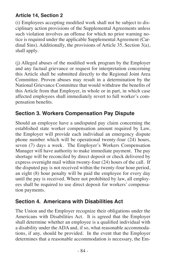(i) Employees accepting modified work shall not be subject to disciplinary action provisions of the Supplemental Agreements unless such violation involves an offense for which no prior warning notice is required under the applicable Supplemental Agreement (Cardinal Sins). Additionally, the provisions of Article 35, Section 3(a), shall apply.

(j) Alleged abuses of the modified work program by the Employer and any factual grievance or request for interpretation concerning this Article shall be submitted directly to the Regional Joint Area Committee. Proven abuses may result in a determination by the National Grievance Committee that would withdraw the benefits of this Article from that Employer, in whole or in part, in which case affected employees shall immediately revert to full worker's compensation benefits.

## **Section 3. Workers Compensation Pay Dispute**

Should an employee have a undisputed pay claim concerning the established state worker compensation amount required by Law, the Employer will provide each individual an emergency dispute phone number which will be operational twenty-four (24) hours, seven (7) days a week. The Employer's Workers Compensation Manager will have authority to make immediate payment. The pay shortage will be reconciled by direct deposit or check delivered by express overnight mail within twenty-four (24) hours of the call. If the disputed pay is not received within the twenty-four hour period, an eight (8) hour penalty will be paid the employee for every day until the pay is received. Where not prohibited by law, all employees shall be required to use direct deposit for workers' compensation payments.

## **Section 4. Americans with Disabilities Act**

The Union and the Employer recognize their obligations under the Americans with Disabilities Act. It is agreed that the Employer shall determine whether an employee is a qualified individual with a disability under the ADA and, if so, what reasonable accommodations, if any, should be provided. In the event that the Employer determines that a reasonable accommodation is necessary, the Em-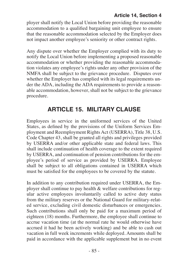ployer shall notify the Local Union before providing the reasonable accommodation to a qualified bargaining unit employee to ensure that the reasonable accommodation selected by the Employer does not impact another employee's seniority or other contract rights.

Any dispute over whether the Employer complied with its duty to notify the Local Union before implementing a proposed reasonable accommodation or whether providing the reasonable accommodation violates any employee's rights under any other provision of the NMFA shall be subject to the grievance procedure. Disputes over whether the Employer has complied with its legal requirements under the ADA, including the ADA requirements to provide a reasonable accommodation, however, shall not be subject to the grievance procedure.

# **ARTICLE 15. MILITARY CLAUSE**

Employees in service in the uniformed services of the United States, as defined by the provisions of the Uniform Services Employment and Reemployment Rights Act (USERRA), Title 38, U.S. Code Chapter 43, shall be granted all rights and privileges provided by USERRA and/or other applicable state and federal laws. This shall include continuation of health coverage to the extent required by USERRA, and continuation of pension contributions for the employee's period of service as provided by USERRA. Employee shall be subject to all obligations contained in USERRA which must be satisfied for the employees to be covered by the statute.

In addition to any contribution required under USERRA, the Employer shall continue to pay health & welfare contributions for regular active employees involuntarily called to active duty status from the military reserves or the National Guard for military-related service, excluding civil domestic disturbances or emergencies. Such contributions shall only be paid for a maximum period of eighteen (18) months. Furthermore, the employee shall continue to accrue vacation time (at the normal rate he would otherwise have accrued it had he been actively working) and be able to cash out vacation in full week increments while deployed. Amounts shall be paid in accordance with the applicable supplement but in no event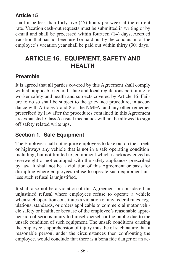#### **Article 15**

shall it be less than forty-five (45) hours per week at the current rate. Vacation cash-out requests must be submitted in writing or by e-mail and shall be processed within fourteen (14) days. Accrued vacation that has not been used or paid out by the conclusion of the employee's vacation year shall be paid out within thirty (30) days.

# **ARTICLE 16. EQUIPMENT, SAFETY AND HEALTH**

## **Preamble**

It is agreed that all parties covered by this Agreement shall comply with all applicable federal, state and local regulations pertaining to worker safety and health and subjects covered by Article 16. Failure to do so shall be subject to the grievance procedure, in accordance with Articles 7 and 8 of the NMFA, and any other remedies prescribed by law after the procedures contained in this Agreement are exhausted. Class A casual mechanics will not be allowed to sign off safety related write ups.

## **Section 1. Safe Equipment**

The Employer shall not require employees to take out on the streets or highways any vehicle that is not in a safe operating condition, including, but not limited to, equipment which is acknowledged as overweight or not equipped with the safety appliances prescribed by law. It shall not be a violation of this Agreement or basis for discipline where employees refuse to operate such equipment unless such refusal is unjustified.

It shall also not be a violation of this Agreement or considered an unjustified refusal where employees refuse to operate a vehicle when such operation constitutes a violation of any federal rules, regulations, standards, or orders applicable to commercial motor vehicle safety or health, or because of the employee's reasonable apprehension of serious injury to himself/herself or the public due to the unsafe condition of such equipment. The unsafe conditions causing the employee's apprehension of injury must be of such nature that a reasonable person, under the circumstances then confronting the employee, would conclude that there is a bona fide danger of an ac-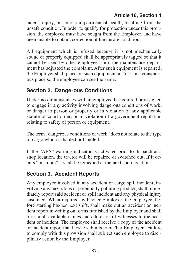cident, injury, or serious impairment of health, resulting from the unsafe condition. In order to qualify for protection under this provision, the employee must have sought from the Employer, and have been unable to obtain, correction of the unsafe condition.

All equipment which is refused because it is not mechanically sound or properly equipped shall be appropriately tagged so that it cannot be used by other employees until the maintenance department has adjusted the complaint. After such equipment is repaired, the Employer shall place on such equipment an "ok" in a conspicuous place so the employee can see the same.

## **Section 2. Dangerous Conditions**

Under no circumstances will an employee be required or assigned to engage in any activity involving dangerous conditions of work, or danger to person or property or in violation of any applicable statute or court order, or in violation of a government regulation relating to safety of person or equipment.

The term "dangerous conditions of work" does not relate to the type of cargo which is hauled or handled.

If the "ABS" warning indicator is activated prior to dispatch at a shop location, the tractor will be repaired or switched out. If it occurs "on-route" it shall be remedied at the next shop location.

### **Section 3. Accident Reports**

Any employee involved in any accident or cargo spill incident, involving any hazardous or potentially polluting product, shall immediately report said accident or spill incident and any physical injury sustained. When required by his/her Employer, the employee, before starting his/her next shift, shall make out an accident or incident report in writing on forms furnished by the Employer and shall turn in all available names and addresses of witnesses to the accident or incident. The employee shall receive a copy of the accident or incident report that he/she submits to his/her Employer. Failure to comply with this provision shall subject such employee to disciplinary action by the Employer.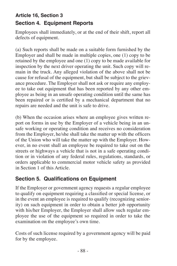# **Article 16, Section 3 Section 4. Equipment Reports**

Employees shall immediately, or at the end of their shift, report all defects of equipment.

(a) Such reports shall be made on a suitable form furnished by the Employer and shall be made in multiple copies, one (1) copy to be retained by the employee and one (1) copy to be made available for inspection by the next driver operating the unit. Such copy will remain in the truck. Any alleged violation of the above shall not be cause for refusal of the equipment, but shall be subject to the grievance procedure. The Employer shall not ask or require any employee to take out equipment that has been reported by any other employee as being in an unsafe operating condition until the same has been repaired or is certified by a mechanical department that no repairs are needed and the unit is safe to drive.

(b) When the occasion arises where an employee gives written report on forms in use by the Employer of a vehicle being in an unsafe working or operating condition and receives no consideration from the Employer, he/she shall take the matter up with the officers of the Union who will take the matter up with the Employer. However, in no event shall an employee be required to take out on the streets or highways a vehicle that is not in a safe operating condition or in violation of any federal rules, regulations, standards, or orders applicable to commercial motor vehicle safety as provided in Section 1 of this Article.

### **Section 5. Qualifications on Equipment**

If the Employer or government agency requests a regular employee to qualify on equipment requiring a classified or special license, or in the event an employee is required to qualify (recognizing seniority) on such equipment in order to obtain a better job opportunity with his/her Employer, the Employer shall allow such regular employee the use of the equipment so required in order to take the examination on the employee's own time.

Costs of such license required by a government agency will be paid for by the employee.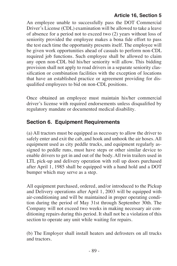An employee unable to successfully pass the DOT Commercial Driver's License (CDL) examination will be allowed to take a leave of absence for a period not to exceed two (2) years without loss of seniority provided the employee makes a bona fide effort to pass the test each time the opportunity presents itself. The employee will be given work opportunities ahead of casuals to perform non-CDL required job functions. Such employee shall be allowed to claim any open non-CDL bid his/her seniority will allow. This bidding provision shall not apply to road drivers in a separate seniority classification or combination facilities with the exception of locations that have an established practice or agreement providing for disqualified employees to bid on non-CDL positions.

Once obtained an employee must maintain his/her commercial driver's license with required endorsements unless disqualified by regulatory mandate or documented medical disability.

## **Section 6. Equipment Requirements**

(a) All tractors must be equipped as necessary to allow the driver to safely enter and exit the cab, and hook and unhook the air hoses. All equipment used as city peddle trucks, and equipment regularly assigned to peddle runs, must have steps or other similar device to enable drivers to get in and out of the body. All twin trailers used in LTL pick-up and delivery operation with roll up doors purchased after April 1, 1985 shall be equipped with a hand hold and a DOT bumper which may serve as a step.

All equipment purchased, ordered, and/or introduced to the Pickup and Delivery operations after April 1, 2003 will be equipped with air-conditioning and will be maintained in proper operating condition during the period of May 31st through September 30th. The Company will not exceed two weeks in making necessary air conditioning repairs during this period. It shall not be a violation of this section to operate any unit while waiting for repairs.

(b) The Employer shall install heaters and defrosters on all trucks and tractors.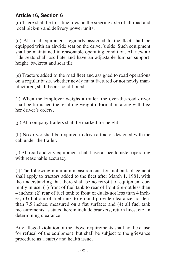(c) There shall be first-line tires on the steering axle of all road and local pick-up and delivery power units.

(d) All road equipment regularly assigned to the fleet shall be equipped with an air-ride seat on the driver's side. Such equipment shall be maintained in reasonable operating condition. All new air ride seats shall oscillate and have an adjustable lumbar support, height, backrest and seat tilt.

(e) Tractors added to the road fleet and assigned to road operations on a regular basis, whether newly manufactured or not newly manufactured, shall be air conditioned.

(f) When the Employer weighs a trailer, the over-the-road driver shall be furnished the resulting weight information along with his/ her driver's orders.

(g) All company trailers shall be marked for height.

(h) No driver shall be required to drive a tractor designed with the cab under the trailer.

(i) All road and city equipment shall have a speedometer operating with reasonable accuracy.

(j) The following minimum measurements for fuel tank placement shall apply to tractors added to the fleet after March 1, 1981, with the understanding that there shall be no retrofit of equipment currently in use: (1) front of fuel tank to rear of front tire-not less than 4 inches; (2) rear of fuel tank to front of duals-not less than 4 inches; (3) bottom of fuel tank to ground-provide clearance not less than 7.5 inches, measured on a flat surface; and (4) all fuel tank measurements as stated herein include brackets, return lines, etc. in determining clearance.

Any alleged violation of the above requirements shall not be cause for refusal of the equipment, but shall be subject to the grievance procedure as a safety and health issue.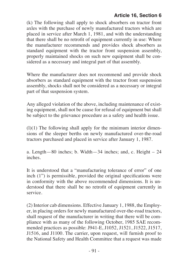(k) The following shall apply to shock absorbers on tractor front axles with the purchase of newly manufactured tractors which are placed in service after March 1, 1981, and with the understanding that there shall be no retrofit of equipment currently in use: Where the manufacturer recommends and provides shock absorbers as standard equipment with the tractor front suspension assembly, properly maintained shocks on such new equipment shall be considered as a necessary and integral part of that assembly.

Where the manufacturer does not recommend and provide shock absorbers as standard equipment with the tractor front suspension assembly, shocks shall not be considered as a necessary or integral part of that suspension system.

Any alleged violation of the above, including maintenance of existing equipment, shall not be cause for refusal of equipment but shall be subject to the grievance procedure as a safety and health issue.

 $(l)(1)$  The following shall apply for the minimum interior dimensions of the sleeper berths on newly manufactured over-the-road tractors purchased and placed in service after January 1, 1987.

a. Length—80 inches; b. Width—34 inches; and, c. Height – 24 inches.

It is understood that a "manufacturing tolerance of error" of one inch (1") is permissible, provided the original specifications were in conformity with the above recommended dimensions. It is understood that there shall be no retrofit of equipment currently in service.

(2) Interior cab dimensions. Effective January 1, 1988, the Employer, in placing orders for newly manufactured over-the-road tractors, shall request of the manufacturer in writing that there will be compliance with as many of the following October, 1985 SAE recommended practices as possible: J941-E, J1052, J1521, J1522, J1517, J1516, and J1100. The carrier, upon request, will furnish proof to the National Safety and Health Committee that a request was made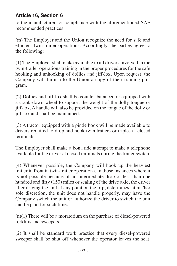to the manufacturer for compliance with the aforementioned SAE recommended practices.

(m) The Employer and the Union recognize the need for safe and efficient twin-trailer operations. Accordingly, the parties agree to the following:

(1) The Employer shall make available to all drivers involved in the twin-trailer operations training in the proper procedures for the safe hooking and unhooking of dollies and jiff-lox. Upon request, the Company will furnish to the Union a copy of their training program.

(2) Dollies and jiff-lox shall be counter-balanced or equipped with a crank-down wheel to support the weight of the dolly tongue or jiff-lox. A handle will also be provided on the tongue of the dolly or jiff-lox and shall be maintained.

(3) A tractor equipped with a pintle hook will be made available to drivers required to drop and hook twin trailers or triples at closed terminals.

The Employer shall make a bona fide attempt to make a telephone available for the driver at closed terminals during the trailer switch.

(4) Whenever possible, the Company will hook up the heaviest trailer in front in twin-trailer operations. In those instances where it is not possible because of an intermediate drop of less than one hundred and fifty (150) miles or scaling of the drive axle, the driver after driving the unit at any point on the trip, determines, at his/her sole discretion, the unit does not handle properly, may have the Company switch the unit or authorize the driver to switch the unit and be paid for such time.

(n)(1) There will be a moratorium on the purchase of diesel-powered forklifts and sweepers.

(2) It shall be standard work practice that every diesel-powered sweeper shall be shut off whenever the operator leaves the seat.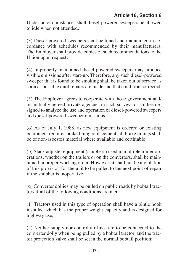Under no circumstances shall diesel-powered sweepers be allowed to idle when not attended.

(3) Diesel-powered sweepers shall be tuned and maintained in accordance with schedules recommended by their manufacturers. The Employer shall provide copies of such recommendations to the Union upon request.

(4) Improperly maintained diesel-powered sweepers may produce visible emissions after start-up. Therefore, any such diesel-powered sweeper that is found to be smoking shall be taken out of service as soon as possible until repairs are made and that condition corrected.

(5) The Employer agrees to cooperate with those government and/ or mutually agreed private agencies in such surveys or studies designed to analyze the use and operation of diesel-powered sweepers and diesel-powered sweeper emissions.

(o) As of July 1, 1988, as new equipment is ordered or existing equipment requires brake lining replacement, all brake linings shall be of non-asbestos material where available and certifiable.

(p) Slack adjuster equipment (snubbers) used in multiple trailer operations, whether on the trailers or on the converters, shall be maintained in proper working order. However, it shall not be a violation of this provision for the unit to be pulled to the next point of repair if the snubber is inoperative.

(q) Converter dollies may be pulled on public roads by bobtail tractors if all of the following conditions are met:

(1) Tractors used in this type of operation shall have a pintle hook installed which has the proper weight capacity and is designed for highway use;

(2) Neither supply nor control air lines are to be connected to the converter dolly when being pulled by a bobtail tractor, and the tractor protection valve shall be set in the normal bobtail position;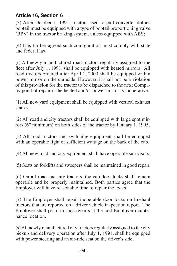(3) After October 1, 1991, tractors used to pull converter dollies bobtail must be equipped with a type of bobtail proportioning valve (BPV) in the tractor braking system, unless equipped with ABS;

(4) It is further agreed such configuration must comply with state and federal law.

(r) All newly manufactured road tractors regularly assigned to the fleet after July 1, 1991, shall be equipped with heated mirrors. All road tractors ordered after April 1, 2003 shall be equipped with a power mirror on the curbside. However, it shall not be a violation of this provision for the tractor to be dispatched to the next Company point of repair if the heated and/or power mirror is inoperative.

(1) All new yard equipment shall be equipped with vertical exhaust stacks.

(2) All road and city tractors shall be equipped with large spot mirrors (6" minimum) on both sides of the tractor by January 1, 1995.

(3) All road tractors and switching equipment shall be equipped with an operable light of sufficient wattage on the back of the cab.

(4) All new road and city equipment shall have operable sun visors.

(5) Seats on forklifts and sweepers shall be maintained in good repair.

(6) On all road and city tractors, the cab door locks shall remain operable and be properly maintained. Both parties agree that the Employer will have reasonable time to repair the locks.

(7) The Employer shall repair inoperable door locks on linehaul tractors that are reported on a driver vehicle inspection report. The Employer shall perform such repairs at the first Employer maintenance location.

(s) All newly manufactured city tractors regularly assigned to the city pickup and delivery operation after July 1, 1991, shall be equipped with power steering and an air-ride seat on the driver's side.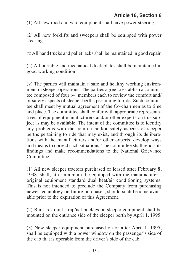(1) All new road and yard equipment shall have power steering.

(2) All new forklifts and sweepers shall be equipped with power steering.

(t) All hand trucks and pallet jacks shall be maintained in good repair.

(u) All portable and mechanical dock plates shall be maintained in good working condition.

(v) The parties will maintain a safe and healthy working environment in sleeper operations. The parties agree to establish a committee composed of four (4) members each to review the comfort and/ or safety aspects of sleeper berths pertaining to ride. Such committee shall meet by mutual agreement of the Co-chairmen as to time and place. The committee shall confer with appropriate representatives of equipment manufacturers and/or other experts on this subject as may be available. The intent of the committee is to identify any problems with the comfort and/or safety aspects of sleeper berths pertaining to ride that may exist, and through its deliberations with the manufacturers and/or other experts, develop ways and means to correct such situations. The committee shall report its findings and make recommendations to the National Grievance Committee.

(1) All new sleeper tractors purchased or leased after February 8, 1998, shall, at a minimum, be equipped with the manufacturer's original equipment standard dual heat/air conditioning systems. This is not intended to preclude the Company from purchasing newer technology on future purchases, should such become available prior to the expiration of this Agreement.

(2) Bunk restraint strap/net buckles on sleeper equipment shall be mounted on the entrance side of the sleeper berth by April 1, 1995.

(3) New sleeper equipment purchased on or after April 1, 1995, shall be equipped with a power window on the passenger's side of the cab that is operable from the driver's side of the cab.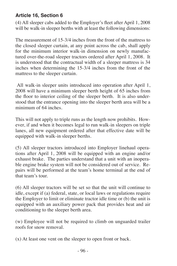(4) All sleeper cabs added to the Employer's fleet after April 1, 2008 will be walk-in sleeper berths with at least the following dimensions:

The measurement of 15-3/4 inches from the front of the mattress to the closed sleeper curtain, at any point across the cab, shall apply for the minimum interior walk-in dimension on newly manufactured over-the-road sleeper tractors ordered after April 1, 2008. It is understood that the contractual width of a sleeper mattress is 34 inches when determining the 15-3/4 inches from the front of the mattress to the sleeper curtain.

 All walk-in sleeper units introduced into operation after April 1, 2008 will have a minimum sleeper berth height of 65 inches from the floor to interior ceiling of the sleeper berth. It is also understood that the entrance opening into the sleeper berth area will be a minimum of 64 inches.

This will not apply to triple runs as the length now prohibits. However, if and when it becomes legal to run walk-in sleepers on triple lanes, all new equipment ordered after that effective date will be equipped with walk-in sleeper berths.

(5) All sleeper tractors introduced into Employer linehaul operations after April 1, 2008 will be equipped with an engine and/or exhaust brake. The parties understand that a unit with an inoperable engine brake system will not be considered out of service. Repairs will be performed at the team's home terminal at the end of that team's tour.

(6) All sleeper tractors will be set so that the unit will continue to idle, except if (a) federal, state, or local laws or regulations require the Employer to limit or eliminate tractor idle time or (b) the unit is equipped with an auxiliary power pack that provides heat and air conditioning to the sleeper berth area.

(w) Employee will not be required to climb on unguarded trailer roofs for snow removal.

(x) At least one vent on the sleeper to open front or back.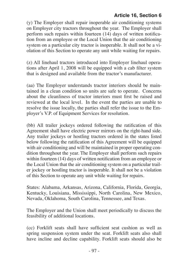(y) The Employer shall repair inoperable air conditioning systems on Employer city tractors throughout the year. The Employer shall perform such repairs within fourteen (14) days of written notification from an employee or the Local Union that the air conditioning system on a particular city tractor is inoperable. It shall not be a violation of this Section to operate any unit while waiting for repairs.

(z) All linehaul tractors introduced into Employer linehaul operations after April 1, 2008 will be equipped with a cab filter system that is designed and available from the tractor's manufacturer.

(aa) The Employer understands tractor interiors should be maintained in a clean condition so units are safe to operate. Concerns about the cleanliness of tractor interiors must first be raised and reviewed at the local level. In the event the parties are unable to resolve the issue locally, the parties shall refer the issue to the Employer's V.P. of Equipment Services for resolution.

(bb) All trailer jockeys ordered following the ratification of this Agreement shall have electric power mirrors on the right-hand side. Any trailer jockeys or hostling tractors ordered in the states listed below following the ratification of this Agreement will be equipped with air conditioning and will be maintained in proper operating condition throughout the year. The Employer shall perform such repairs within fourteen (14) days of written notification from an employee or the Local Union that the air conditioning system on a particular trailer jockey or hostling tractor is inoperable. It shall not be a violation of this Section to operate any unit while waiting for repairs.

States: Alabama, Arkansas, Arizona, California, Florida, Georgia, Kentucky, Louisiana, Mississippi, North Carolina, New Mexico, Nevada, Oklahoma, South Carolina, Tennessee, and Texas.

The Employer and the Union shall meet periodically to discuss the feasibility of additional locations.

(cc) Forklift seats shall have sufficient seat cushion as well as spring suspension system under the seat. Forklift seats also shall have incline and decline capability. Forklift seats should also be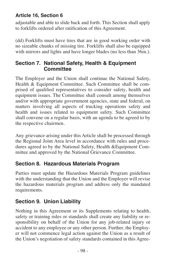adjustable and able to slide back and forth. This Section shall apply to forklifts ordered after ratification of this Agreement.

(dd) Forklifts must have tires that are in good working order with no sizeable chunks of missing tire. Forklifts shall also be equipped with mirrors and lights and have longer blades (no less than 36in.).

#### **Section 7. National Safety, Health & Equipment Committee**

The Employer and the Union shall continue the National Safety, Health & Equipment Committee. Such Committee shall be comprised of qualified representatives to consider safety, health and equipment issues. The Committee shall consult among themselves and/or with appropriate government agencies, state and federal, on matters involving all aspects of trucking operations safety and health and issues related to equipment safety. Such Committee shall convene on a regular basis, with an agenda to be agreed to by the respective chairmen.

Any grievance arising under this Article shall be processed through the Regional Joint Area level in accordance with rules and procedures agreed to by the National Safety, Health &Equipment Committee and approved by the National Grievance Committee.

### **Section 8. Hazardous Materials Program**

Parties must update the Hazardous Materials Program guidelines with the understanding that the Union and the Employer will revise the hazardous materials program and address only the mandated requirements.

# **Section 9. Union Liability**

Nothing in this Agreement or its Supplements relating to health, safety or training rules or standards shall create any liability or responsibility on behalf of the Union for any job-related injury or accident to any employee or any other person. Further, the Employer will not commence legal action against the Union as a result of the Union's negotiation of safety standards contained in this Agree-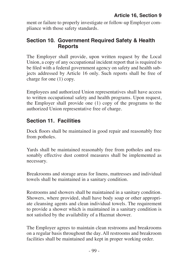ment or failure to properly investigate or follow-up Employer compliance with those safety standards.

#### **Section 10. Government Required Safety & Health Reports**

The Employer shall provide, upon written request by the Local Union, a copy of any occupational incident report that is required to be filed with a federal government agency on safety and health subjects addressed by Article 16 only. Such reports shall be free of charge for one (1) copy.

Employees and authorized Union representatives shall have access to written occupational safety and health programs. Upon request, the Employer shall provide one (1) copy of the programs to the authorized Union representative free of charge.

## **Section 11. Facilities**

Dock floors shall be maintained in good repair and reasonably free from potholes.

Yards shall be maintained reasonably free from potholes and reasonably effective dust control measures shall be implemented as necessary.

Breakrooms and storage areas for linens, mattresses and individual towels shall be maintained in a sanitary condition.

Restrooms and showers shall be maintained in a sanitary condition. Showers, where provided, shall have body soap or other appropriate cleansing agents and clean individual towels. The requirement to provide a shower which is maintained in a sanitary condition is not satisfied by the availability of a Hazmat shower.

The Employer agrees to maintain clean restrooms and breakrooms on a regular basis throughout the day. All restrooms and breakroom facilities shall be maintained and kept in proper working order.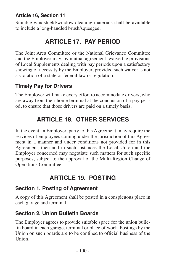#### **Article 16, Section 11**

Suitable windshield/window cleaning materials shall be available to include a long-handled brush/squeegee.

# **ARTICLE 17. PAY PERIOD**

The Joint Area Committee or the National Grievance Committee and the Employer may, by mutual agreement, waive the provisions of Local Supplements dealing with pay periods upon a satisfactory showing of necessity by the Employer, provided such waiver is not a violation of a state or federal law or regulation.

## **Timely Pay for Drivers**

The Employer will make every effort to accommodate drivers, who are away from their home terminal at the conclusion of a pay period, to ensure that those drivers are paid on a timely basis.

# **ARTICLE 18. OTHER SERVICES**

In the event an Employer, party to this Agreement, may require the services of employees coming under the jurisdiction of this Agreement in a manner and under conditions not provided for in this Agreement, then and in such instances the Local Union and the Employer concerned may negotiate such matters for such specific purposes, subject to the approval of the Multi-Region Change of Operations Committee.

# **ARTICLE 19. POSTING**

### **Section 1. Posting of Agreement**

A copy of this Agreement shall be posted in a conspicuous place in each garage and terminal.

## **Section 2. Union Bulletin Boards**

The Employer agrees to provide suitable space for the union bulletin board in each garage, terminal or place of work. Postings by the Union on such boards are to be confined to official business of the Union.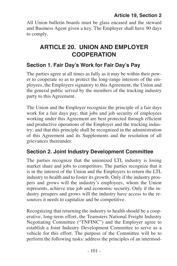All Union bulletin boards must be glass encased and the steward and Business Agent given a key. The Employer shall have 90 days to comply.

# **ARTICLE 20. UNION AND EMPLOYER COOPERATION**

## **Section 1. Fair Day's Work for Fair Day's Pay**

The parties agree at all times as fully as it may be within their power to cooperate so as to protect the long-range interests of the employees, the Employers signatory to this Agreement, the Union and the general public served by the members of the trucking industry party to this Agreement.

The Union and the Employer recognize the principle of a fair days work for a fair days pay; that jobs and job security of employees working under this Agreement are best protected through efficient and productive operations of the Employer and the trucking industry; and that this principle shall be recognized in the administration of this Agreement and its Supplements and the resolution of all grievances thereunder.

## **Section 2. Joint Industry Development Committee**

The parties recognize that the unionized LTL industry is losing market share and jobs to competitors. The parties recognize that it is in the interest of the Union and the Employers to return the LTL industry to health and to foster its growth. Only if the industry prospers and grows will the industry's employees, whom the Union represents, achieve true job and economic security. Only if the industry prospers and grows will the industry have access to the resources it needs to capitalize and be competitive.

Recognizing that returning the industry to health should be a cooperative, long-term effort, the Teamsters National Freight Industry Negotiating Committee ("TNFINC") and the Employer agree to establish a Joint Industry Development Committee to serve as a vehicle for this effort. The purpose of the Committee will be to perform the following tasks: address the principles of an intermod-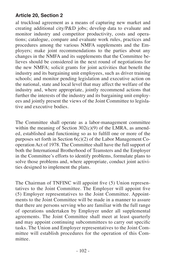al truckload agreement as a means of capturing new market and creating additional city/P&D jobs; develop data to evaluate and monitor industry and competitor productivity, costs and operations; catalogue, compare and evaluate work rules, practices and procedures among the various NMFA supplements and the Employers; make joint recommendations to the parties about any changes in the NMFA and its supplements that the Committee believes should be considered in the next round of negotiations for the new NMFA; solicit grants for joint activities that benefit the industry and its bargaining unit employees, such as driver training schools; and monitor pending legislation and executive action on the national, state and local level that may affect the welfare of the industry and, where appropriate, jointly recommend actions that further the interests of the industry and its bargaining unit employees and jointly present the views of the Joint Committee to legislative and executive bodies.

The Committee shall operate as a labor-management committee within the meaning of Section  $302(c)(9)$  of the LMRA, as amended, established and functioning so as to fulfill one or more of the purposes set forth in Section  $6(c)(2)$  of the Labor Management Cooperation Act of 1978. The Committee shall have the full support of both the International Brotherhood of Teamsters and the Employer in the Committee's efforts to identify problems, formulate plans to solve those problems and, where appropriate, conduct joint activities designed to implement the plans.

The Chairman of TNFINC will appoint five (5) Union representatives to the Joint Committee. The Employer will appoint five (5) Employer representatives to the Joint Committee. Appointments to the Joint Committee will be made in a manner to assure that there are persons serving who are familiar with the full range of operations undertaken by Employer under all supplemental agreements. The Joint Committee shall meet at least quarterly and may appoint continuing subcommittees to carry out specific tasks. The Union and Employer representatives to the Joint Committee will establish procedures for the operation of this Committee.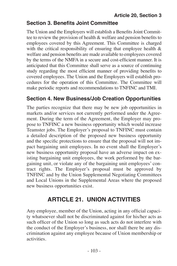## **Section 3. Benefits Joint Committee**

The Union and the Employers will establish a Benefits Joint Committee to review the provision of health & welfare and pension benefits to employees covered by this Agreement. This Committee is charged with the critical responsibility of ensuring that employee health  $\&$ welfare and pension benefits are made available to employees covered by the terms of the NMFA in a secure and cost-efficient manner. It is anticipated that this Committee shall serve as a source of continuing study regarding the most efficient manner of providing benefits to covered employees. The Union and the Employers will establish procedures for the operation of this Committee. The Committee will make periodic reports and recommendations to TNFINC and TMI.

## **Section 4. New Business/Job Creation Opportunities**

The parties recognize that there may be new job opportunities in markets and/or services not currently performed under the Agreement. During the term of the Agreement, the Employer may propose to TNFINC a new business opportunity which would increase Teamster jobs. The Employer's proposal to TNFINC must contain a detailed description of the proposed new business opportunity and the specific protections to ensure that the proposal will not impact bargaining unit employees. In no event shall the Employer's new business opportunity proposal have an adverse impact on existing bargaining unit employees, the work performed by the bargaining unit, or violate any of the bargaining unit employees' contract rights. The Employer's proposal must be approved by TNFINC and by the Union Supplemental Negotiating Committees and Local Unions in the Supplemental Areas where the proposed new business opportunities exist.

# **ARTICLE 21. UNION ACTIVITIES**

Any employee, member of the Union, acting in any official capacity whatsoever shall not be discriminated against for his/her acts as such officer of the Union so long as such acts do not interfere with the conduct of the Employer's business, nor shall there be any discrimination against any employee because of Union membership or activities.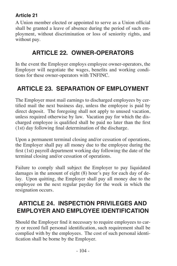A Union member elected or appointed to serve as a Union official shall be granted a leave of absence during the period of such employment, without discrimination or loss of seniority rights, and without pay.

## **ARTICLE 22. OWNER-OPERATORS**

In the event the Employer employs employee owner-operators, the Employer will negotiate the wages, benefits and working conditions for these owner-operators with TNFINC.

# **ARTICLE 23. SEPARATION OF EMPLOYMENT**

The Employer must mail earnings to discharged employees by certified mail the next business day, unless the employee is paid by direct deposit. The foregoing shall not apply to unused vacation, unless required otherwise by law. Vacation pay for which the discharged employee is qualified shall be paid no later than the first (1st) day following final determination of the discharge.

Upon a permanent terminal closing and/or cessation of operations, the Employer shall pay all money due to the employee during the first (1st) payroll department working day following the date of the terminal closing and/or cessation of operations.

Failure to comply shall subject the Employer to pay liquidated damages in the amount of eight (8) hour's pay for each day of delay. Upon quitting, the Employer shall pay all money due to the employee on the next regular payday for the week in which the resignation occurs.

# **ARTICLE 24. INSPECTION PRIVILEGES AND EMPLOYER AND EMPLOYEE IDENTIFICATION**

Should the Employer find it necessary to require employees to carry or record full personal identification, such requirement shall be complied with by the employees. The cost of such personal identification shall be borne by the Employer.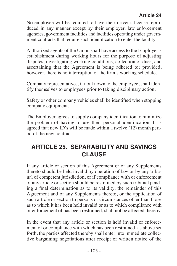No employee will be required to have their driver's license reproduced in any manner except by their employer, law enforcement agencies, government facilities and facilities operating under government contracts that require such identification to enter the facility.

Authorized agents of the Union shall have access to the Employer's establishment during working hours for the purpose of adjusting disputes, investigating working conditions, collection of dues, and ascertaining that the Agreement is being adhered to; provided, however, there is no interruption of the firm's working schedule.

Company representatives, if not known to the employee, shall identify themselves to employees prior to taking disciplinary action.

Safety or other company vehicles shall be identified when stopping company equipment.

The Employer agrees to supply company identification to minimize the problem of having to use their personal identification. It is agreed that new ID's will be made within a twelve (12) month period of the new contract.

## **ARTICLE 25. SEPARABILITY AND SAVINGS CLAUSE**

If any article or section of this Agreement or of any Supplements thereto should be held invalid by operation of law or by any tribunal of competent jurisdiction, or if compliance with or enforcement of any article or section should be restrained by such tribunal pending a final determination as to its validity, the remainder of this Agreement and of any Supplements thereto, or the application of such article or section to persons or circumstances other than those as to which it has been held invalid or as to which compliance with or enforcement of has been restrained, shall not be affected thereby.

In the event that any article or section is held invalid or enforcement of or compliance with which has been restrained, as above set forth, the parties affected thereby shall enter into immediate collective bargaining negotiations after receipt of written notice of the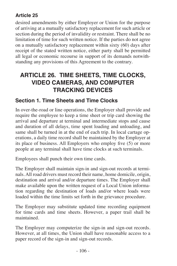desired amendments by either Employer or Union for the purpose of arriving at a mutually satisfactory replacement for such article or section during the period of invalidity or restraint. There shall be no limitation of time for such written notice. If the parties do not agree on a mutually satisfactory replacement within sixty (60) days after receipt of the stated written notice, either party shall be permitted all legal or economic recourse in support of its demands notwithstanding any provisions of this Agreement to the contrary.

# **ARTICLE 26. TIME SHEETS, TIME CLOCKS, VIDEO CAMERAS, AND COMPUTER TRACKING DEVICES**

### **Section 1. Time Sheets and Time Clocks**

In over-the-road or line operations, the Employer shall provide and require the employee to keep a time sheet or trip card showing the arrival and departure at terminal and intermediate stops and cause and duration of all delays, time spent loading and unloading, and same shall be turned in at the end of each trip. In local cartage operations, a daily time record shall be maintained by the Employer at its place of business. All Employers who employ five (5) or more people at any terminal shall have time clocks at such terminals.

Employees shall punch their own time cards.

The Employer shall maintain sign-in and sign-out records at terminals. All road drivers must record their name, home domicile, origin, destination and arrival and/or departure times. The Employer shall make available upon the written request of a Local Union information regarding the destination of loads and/or where loads were loaded within the time limits set forth in the grievance procedure.

The Employer may substitute updated time recording equipment for time cards and time sheets. However, a paper trail shall be maintained.

The Employer may computerize the sign-in and sign-out records. However, at all times, the Union shall have reasonable access to a paper record of the sign-in and sign-out records.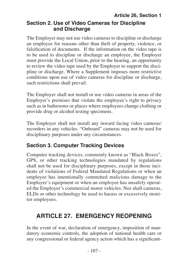#### **Article 26, Section 1 Section 2. Use of Video Cameras for Discipline and Discharge**

The Employer may not use video cameras to discipline or discharge an employee for reasons other than theft of property, violence, or falsification of documents. If the information on the video tape is to be used to discipline or discharge an employee, the Employer must provide the Local Union, prior to the hearing, an opportunity to review the video tape used by the Employer to support the discipline or discharge. Where a Supplement imposes more restrictive conditions upon use of video cameras for discipline or discharge, such restrictions shall prevail.

The Employer shall not install or use video cameras in areas of the Employer's premises that violate the employee's right to privacy such as in bathrooms or places where employees change clothing or provide drug or alcohol testing specimens.

The Employer shall not install any inward facing video cameras/ recorders in any vehicles. "Onboard" cameras may not be used for disciplinary purposes under any circumstances.

### **Section 3. Computer Tracking Devices**

Computer tracking devices, commonly known as "Black Boxes", GPS, or other tracking technologies mandated by regulations shall not be used for disciplinary purposes, except in those incidents of violations of Federal Mandated Regulations or when an employee has intentionally committed malicious damage to the Employer's equipment or when an employee has unsafely operated the Employer's commercial motor vehicles. Nor shall cameras, ELDs or other technology be used to harass or excessively monitor employees.

# **ARTICLE 27. EMERGENCY REOPENING**

In the event of war, declaration of emergency, imposition of mandatory economic controls, the adoption of national health care or any congressional or federal agency action which has a significant-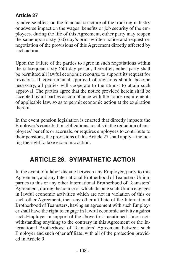ly adverse effect on the financial structure of the trucking industry or adverse impact on the wages, benefits or job security of the employees, during the life of this Agreement, either party may reopen the same upon sixty (60) day's prior written notice and request renegotiation of the provisions of this Agreement directly affected by such action.

Upon the failure of the parties to agree in such negotiations within the subsequent sixty (60)-day period, thereafter, either party shall be permitted all lawful economic recourse to support its request for revisions. If governmental approval of revisions should become necessary, all parties will cooperate to the utmost to attain such approval. The parties agree that the notice provided herein shall be accepted by all parties as compliance with the notice requirements of applicable law, so as to permit economic action at the expiration thereof.

In the event pension legislation is enacted that directly impacts the Employer's contribution obligations, results in the reduction of employees' benefits or accruals, or requires employees to contribute to their pensions, the provisions of this Article  $27$  shall apply – including the right to take economic action.

# **ARTICLE 28. SYMPATHETIC ACTION**

In the event of a labor dispute between any Employer, party to this Agreement, and any International Brotherhood of Teamsters Union, parties to this or any other International Brotherhood of Teamsters' Agreement, during the course of which dispute such Union engages in lawful economic activities which are not in violation of this or such other Agreement, then any other affiliate of the International Brotherhood of Teamsters, having an agreement with such Employer shall have the right to engage in lawful economic activity against such Employer in support of the above first-mentioned Union notwithstanding anything to the contrary in this Agreement or the International Brotherhood of Teamsters' Agreement between such Employer and such other affiliate, with all of the protection provided in Article 9.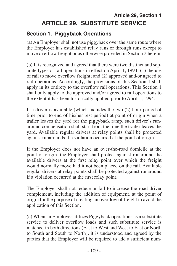# **Article 29, Section 1 ARTICLE 29. SUBSTITUTE SERVICE**

## **Section 1. Piggyback Operations**

(a) An Employer shall not use piggyback over the same route where the Employer has established relay runs or through runs except to move overflow freight or as otherwise provided in Section 3 herein.

(b) It is recognized and agreed that there were two distinct and separate types of rail operations in effect on April 1, 1994: (1) the use of rail to move overflow freight; and (2) approved and/or agreed to rail operations. Accordingly, the provisions of this Section 1 shall apply in its entirety to the overflow rail operations. This Section 1 shall only apply to the approved and/or agreed to rail operations to the extent it has been historically applied prior to April 1, 1994.

If a driver is available (which includes the two (2)-hour period of time prior to end of his/her rest period) at point of origin when a trailer leaves the yard for the piggyback ramp, such driver's runaround compensation shall start from the time the trailer leaves the yard. Available regular drivers at relay points shall be protected against runarounds if a violation occurred at the point of origin.

If the Employer does not have an over-the-road domicile at the point of origin, the Employer shall protect against runaround the available drivers at the first relay point over which the freight would normally move had it not been placed on the rail. Available regular drivers at relay points shall be protected against runaround if a violation occurred at the first relay point.

The Employer shall not reduce or fail to increase the road driver complement, including the addition of equipment, at the point of origin for the purpose of creating an overflow of freight to avoid the application of this Section.

(c) When an Employer utilizes Piggyback operations as a substitute service to deliver overflow loads and such substitute service is matched in both directions (East to West and West to East or North to South and South to North), it is understood and agreed by the parties that the Employer will be required to add a sufficient num-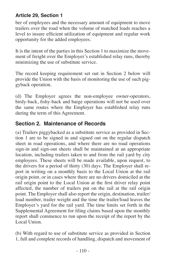ber of employees and the necessary amount of equipment to move trailers over the road when the volume of matched loads reaches a level to insure efficient utilization of equipment and regular work opportunity for the added employees.

It is the intent of the parties in this Section 1 to maximize the movement of freight over the Employer's established relay runs, thereby minimizing the use of substitute service.

The record keeping requirement set out in Section 2 below will provide the Union with the basis of monitoring the use of such piggyback operation.

(d) The Employer agrees the non-employee owner-operators, birdy-back, fishy-back and barge operations will not be used over the same routes where the Employer has established relay runs during the term of this Agreement.

## **Section 2. Maintenance of Records**

(a) Trailers piggybacked as a substitute service as provided in Section 1 are to be signed in and signed out on the regular dispatch sheet in road operations, and where there are no road operations sign-in and sign-out sheets shall be maintained at an appropriate location, including trailers taken to and from the rail yard by city employees. These sheets will be made available, upon request, to the drivers for a period of thirty (30) days. The Employer shall report in writing on a monthly basis to the Local Union at the rail origin point, or in cases where there are no drivers domiciled at the rail origin point to the Local Union at the first driver relay point affected, the number of trailers put on the rail at the rail origin point. The Employer shall also report the origin, destination, trailer/ load number, trailer weight and the time the trailer/load leaves the Employer's yard for the rail yard. The time limits set forth in the Supplemental Agreement for filing claims based upon the monthly report shall commence to run upon the receipt of the report by the Local Union.

(b) With regard to use of substitute service as provided in Section 1, full and complete records of handling, dispatch and movement of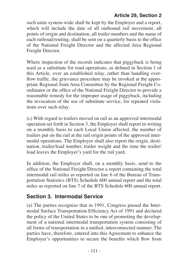such units system-wide shall be kept by the Employer and a report, which will include the date of all outbound rail movement, all points of origin and destination, all trailer numbers and the name of each railroad/routing, shall be sent on a quarterly basis to the office of the National Freight Director and the affected Area Regional Freight Director.

Where inspection of the records indicates that piggyback is being used as a substitute for road operations, as defined in Section 1 of this Article, over an established relay, rather than handling overflow traffic, the grievance procedure may be invoked at the appropriate Regional Joint Area Committee by the Regional Freight Coordinator or the office of the National Freight Director to provide a reasonable remedy for the improper usage of piggyback, including the revocation of the use of substitute service, for repeated violations over such relay.

(c) With regard to trailers moved on rail as an approved intermodal operation set forth in Section 3, the Employer shall report in writing on a monthly basis to each Local Union affected, the number of trailers put on the rail at the rail origin points of the approved intermodal operations. The Employer shall also report the origin, destination, trailer/load number, trailer weight and the time the trailer/ load leaves the Employer's yard for the rail yard.

In addition, the Employer shall, on a monthly basis, send to the office of the National Freight Director a report containing the total intermodal rail miles as reported on line  $6$  of the Bureau of Transportation Statistics (BTS) Schedule 600 annual report and the total miles as reported on line 7 of the BTS Schedule 600 annual report.

#### **Section 3. Intermodal Service**

(a) The parties recognize that in 1991, Congress passed the Intermodal Surface Transportation Efficiency Act of 1991 and declared the policy of the United States to be one of promoting the development of a national intermodal transportation system consisting of all forms of transportation in a unified, interconnected manner. The parties have, therefore, entered into this Agreement to enhance the Employer's opportunities to secure the benefits which flow from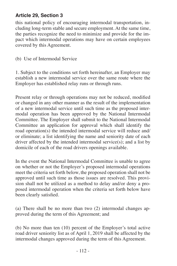this national policy of encouraging intermodal transportation, including long-term stable and secure employment. At the same time, the parties recognize the need to minimize and provide for the impact which intermodal operations may have on certain employees covered by this Agreement.

(b) Use of Intermodal Service

1. Subject to the conditions set forth hereinafter, an Employer may establish a new intermodal service over the same route where the Employer has established relay runs or through runs.

Present relay or through operations may not be reduced, modified or changed in any other manner as the result of the implementation of a new intermodal service until such time as the proposed intermodal operation has been approved by the National Intermodal Committee. The Employer shall submit to the National Intermodal Committee an application for approval which shall identify the road operation(s) the intended intermodal service will reduce and/ or eliminate; a list identifying the name and seniority date of each driver affected by the intended intermodal service(s); and a list by domicile of each of the road drivers openings available.

In the event the National Intermodal Committee is unable to agree on whether or not the Employer's proposed intermodal operations meet the criteria set forth below, the proposed operation shall not be approved until such time as those issues are resolved. This provision shall not be utilized as a method to delay and/or deny a proposed intermodal operation when the criteria set forth below have been clearly satisfied.

(a) There shall be no more than two (2) intermodal changes approved during the term of this Agreement; and

(b) No more than ten (10) percent of the Employer's total active road driver seniority list as of April 1, 2019 shall be affected by the intermodal changes approved during the term of this Agreement.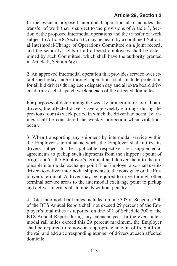In the event a proposed intermodal operation also includes the transfer of work that is subject to the provisions of Article 8, Section 6, the proposed intermodal operations and the transfer of work subject to Article 8, Section 6, may be heard by a combined National Intermodal/Change of Operations Committee on a joint record, and the seniority rights of all affected employees shall be determined by such Committee, which shall have the authority granted in Article 8, Section 6(g).

2. An approved intermodal operation that provides service over established relay and/or through operations shall include protection for all bid drivers during each dispatch day and all extra board drivers during each dispatch week at each of the affected domiciles.

For purposes of determining the weekly protection for extra board drivers, the affected driver's average weekly earnings during the previous four (4) week period in which the driver had normal earnings shall be considered the weekly protection when violations occur.

3. When transporting any shipment by intermodal service within the Employer's terminal network, the Employer shall utilize its drivers subject to the applicable respective area supplemental agreements to pickup such shipments from the shipper at point of origin and/or the Employer's terminal and deliver them to the applicable intermodal exchange point. The Employer also shall use its drivers to deliver intermodal shipments to the consignee or the Employer's terminal. A driver may be required to drive through other terminal service areas to the intermodal exchange point to pickup and deliver intermodal shipments without penalty.

4. Total intermodal rail miles included on line 303 of Schedule 300 of the BTS Annual Report shall not exceed 29 percent of the Employer's total miles as reported on line 301 of Schedule 300 of the BTS Annual Report during any calendar year. In the event intermodal rail miles exceed this 29 percent maximum, the Employer shall be required to remove an appropriate amount of freight from the rail and add a corresponding number of drivers at each affected domicile.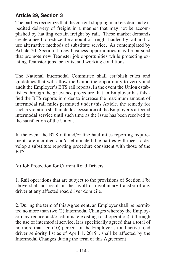The parties recognize that the current shipping markets demand expedited delivery of freight in a manner that may not be accomplished by hauling certain freight by rail. These market demands create a need to reduce the amount of freight hauled by rail and to use alternative methods of substitute service. As contemplated by Article 20, Section 4, new business opportunities may be pursued that promote new Teamster job opportunities while protecting existing Teamster jobs, benefits, and working conditions.

The National Intermodal Committee shall establish rules and guidelines that will allow the Union the opportunity to verify and audit the Employer's BTS rail reports. In the event the Union establishes through the grievance procedure that an Employer has falsified the BTS reports in order to increase the maximum amount of intermodal rail miles permitted under this Article, the remedy for such a violation shall include a cessation of the Employer's affected intermodal service until such time as the issue has been resolved to the satisfaction of the Union.

In the event the BTS rail and/or line haul miles reporting requirements are modified and/or eliminated, the parties will meet to develop a substitute reporting procedure consistent with those of the BTS.

(c) Job Protection for Current Road Drivers

1. Rail operations that are subject to the provisions of Section 1(b) above shall not result in the layoff or involuntary transfer of any driver at any affected road driver domicile.

2. During the term of this Agreement, an Employer shall be permitted no more than two (2) Intermodal Changes whereby the Employer may reduce and/or eliminate existing road operation(s) through the use of intermodal service. It is specifically agreed that a total of no more than ten (10) percent of the Employer's total active road driver seniority list as of April 1, 2019 , shall be affected by the Intermodal Changes during the term of this Agreement.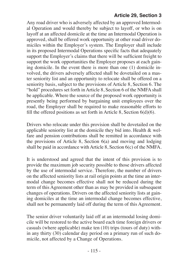Any road driver who is adversely affected by an approved Intermodal Operation and would thereby be subject to layoff, or who is on layoff at an affected domicile at the time an Intermodal Operation is approved, shall be offered work opportunity at other road driver domiciles within the Employer's system. The Employer shall include in its proposed Intermodal Operations specific facts that adequately support the Employer's claims that there will be sufficient freight to support the work opportunities the Employer proposes at each gaining domicile. In the event there is more than one (1) domicile involved, the drivers adversely affected shall be dovetailed on a master seniority list and an opportunity to relocate shall be offered on a seniority basis, subject to the provisions of Article 8, Section 6. The "hold" procedures set forth in Article 8, Section 6 of the NMFA shall be applicable. Where the source of the proposed work opportunity is presently being performed by bargaining unit employees over the road, the Employer shall be required to make reasonable efforts to fill the offered positions as set forth in Article 8, Section  $6(d)(6)$ .

Drivers who relocate under this provision shall be dovetailed on the applicable seniority list at the domicile they bid into. Health & welfare and pension contributions shall be remitted in accordance with the provisions of Article 8, Section 6(a) and moving and lodging shall be paid in accordance with Article 8, Section 6(c) of the NMFA.

It is understood and agreed that the intent of this provision is to provide the maximum job security possible to those drivers affected by the use of intermodal service. Therefore, the number of drivers on the affected seniority lists at rail origin points at the time an intermodal change becomes effective shall not be reduced during the term of this Agreement other than as may be provided in subsequent changes of operations. Drivers on the affected seniority lists at gaining domiciles at the time an intermodal change becomes effective, shall not be permanently laid off during the term of this Agreement.

The senior driver voluntarily laid off at an intermodal losing domicile will be restored to the active board each time foreign drivers or casuals (where applicable) make ten (10) trips (tours of duty) within any thirty (30) calendar day period on a primary run of such domicile, not affected by a Change of Operations.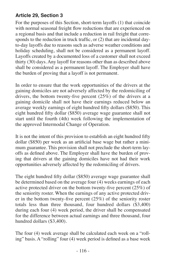For the purposes of this Section, short-term layoffs (1) that coincide with normal seasonal freight flow reductions that are experienced on a regional basis and that include a reduction in rail freight that corresponds to the reduction in truck traffic, or (2) that are incidental dayto-day layoffs due to reasons such as adverse weather conditions and holiday scheduling, shall not be considered as a permanent layoff. Layoffs created by a documented loss of a customer shall not exceed thirty (30) days. Any layoff for reasons other than as described above shall be considered as a permanent layoff. The Employer shall have the burden of proving that a layoff is not permanent.

In order to ensure that the work opportunities of the drivers at the gaining domiciles are not adversely affected by the redomiciling of drivers, the bottom twenty-five percent (25%) of the drivers at a gaining domicile shall not have their earnings reduced below an average weekly earnings of eight hundred fifty dollars (\$850). This eight hundred fifty dollar (\$850) average wage guarantee shall not start until the fourth (4th) week following the implementation of the approved Intermodal Change of Operation.

It is not the intent of this provision to establish an eight hundred fifty dollar (\$850) per week as an artificial base wage but rather a minimum guarantee. This provision shall not preclude the short-term layoffs as defined above. The Employer shall have the burden of proving that drivers at the gaining domiciles have not had their work opportunities adversely affected by the redomiciling of drivers.

The eight hundred fifty dollar (\$850) average wage guarantee shall be determined based on the average four (4) weeks earnings of each active protected driver on the bottom twenty-five percent (25%) of the seniority roster. When the earnings of any active protected driver in the bottom twenty-five percent (25%) of the seniority roster totals less than three thousand, four hundred dollars (\$3,400) during each four (4) week period, the driver shall be compensated for the difference between actual earnings and three thousand, four hundred dollars (\$3,400).

The four (4) week average shall be calculated each week on a "rolling" basis. A "rolling" four (4) week period is defined as a base week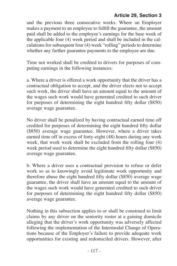and the previous three consecutive weeks. Where an Employer makes a payment to an employee to fulfill the guarantee, the amount paid shall be added to the employee's earnings for the base week of the applicable four (4) week period and shall be included in the calculations for subsequent four (4) week "rolling" periods to determine whether any further guarantee payments to the employee are due.

Time not worked shall be credited to drivers for purposes of computing earnings in the following instances:

a. Where a driver is offered a work opportunity that the driver has a contractual obligation to accept, and the driver elects not to accept such work, the driver shall have an amount equal to the amount of the wages such work would have generated credited to such driver for purposes of determining the eight hundred fifty dollar (\$850) average wage guarantee.

No driver shall be penalized by having contractual earned time off credited for purposes of determining the eight hundred fifty dollar (\$850) average wage guarantee. However, where a driver takes earned time off in excess of forty-eight (48) hours during any work week, that work week shall be excluded from the rolling four (4) week period used to determine the eight hundred fifty dollar (\$850) average wage guarantee.

b. Where a driver uses a contractual provision to refuse or defer work so as to knowingly avoid legitimate work opportunity and therefore abuse the eight hundred fifty dollar (\$850) average wage guarantee, the driver shall have an amount equal to the amount of the wages such work would have generated credited to such driver for purposes of determining the eight hundred fifty dollar (\$850) average wage guarantee.

Nothing in this subsection applies to or shall be construed to limit claims by any driver on the seniority roster at a gaining domicile alleging that the driver's work opportunity was adversely affected following the implementation of the Intermodal Change of Operations because of the Employer's failure to provide adequate work opportunities for existing and redomiciled drivers. However, after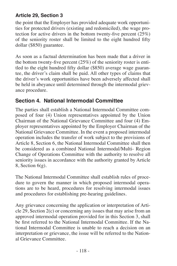the point that the Employer has provided adequate work opportunities for protected drivers (existing and redomiciled), the wage protection for active drivers in the bottom twenty-five percent  $(25%)$ of the seniority roster shall be limited to the eight hundred fifty dollar (\$850) guarantee.

As soon as a factual determination has been made that a driver in the bottom twenty-five percent (25%) of the seniority roster is entitled to the eight hundred fifty dollar (\$850) average wage guarantee, the driver's claim shall be paid. All other types of claims that the driver's work opportunities have been adversely affected shall be held in abeyance until determined through the intermodal grievance procedure.

## **Section 4. National Intermodal Committee**

The parties shall establish a National Intermodal Committee composed of four (4) Union representatives appointed by the Union Chairman of the National Grievance Committee and four (4) Employer representatives appointed by the Employer Chairman of the National Grievance Committee. In the event a proposed intermodal operation includes the transfer of work subject to the provisions of Article 8, Section 6, the National Intermodal Committee shall then be considered as a combined National Intermodal/Multi- Region Change of Operations Committee with the authority to resolve all seniority issues in accordance with the authority granted by Article 8, Section  $6(g)$ .

The National Intermodal Committee shall establish rules of procedure to govern the manner in which proposed intermodal operations are to be heard, procedures for resolving intermodal issues and procedures for establishing pre-hearing guidelines.

Any grievance concerning the application or interpretation of Article 29, Section 2(c) or concerning any issues that may arise from an approved intermodal operation provided for in this Section 3, shall be first referred to the National Intermodal Committee. If the National Intermodal Committee is unable to reach a decision on an interpretation or grievance, the issue will be referred to the National Grievance Committee.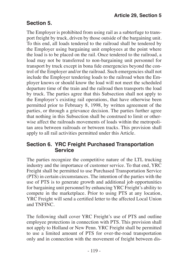### **Section 5.**

The Employer is prohibited from using rail as a subterfuge to transport freight by truck, driven by those outside of the bargaining unit. To this end, all loads tendered to the railroad shall be tendered by the Employer using bargaining unit employees at the point where the load is to be placed on the rail. Once tendered to the railroad, a load may not be transferred to non-bargaining unit personnel for transport by truck except in bona fide emergencies beyond the control of the Employer and/or the railroad. Such emergencies shall not include the Employer tendering loads to the railroad when the Employer knows or should know the load will not meet the scheduled departure time of the train and the railroad then transports the load by truck. The parties agree that this Subsection shall not apply to the Employer's existing rail operations, that have otherwise been permitted prior to February 8, 1998, by written agreement of the parties, or through a grievance decision. The parties further agree that nothing in this Subsection shall be construed to limit or otherwise affect the railroads movements of loads within the metropolitan area between railroads or between tracks. This provision shall apply to all rail activities permitted under this Article.

#### **Section 6. YRC Freight Purchased Transportation Service**

The parties recognize the competitive nature of the LTL trucking industry and the importance of customer service. To that end, YRC Freight shall be permitted to use Purchased Transportation Service (PTS) in certain circumstances. The intention of the parties with the use of PTS is to generate growth and additional job opportunities for bargaining unit personnel by enhancing YRC Freight's ability to compete in the marketplace. Prior to using PTS at any location, YRC Freight will send a certified letter to the affected Local Union and TNFINC.

The following shall cover YRC Freight's use of PTS and outline employee protections in connection with PTS. This provision shall not apply to Holland or New Penn. YRC Freight shall be permitted to use a limited amount of PTS for over-the-road transportation only and in connection with the movement of freight between dis-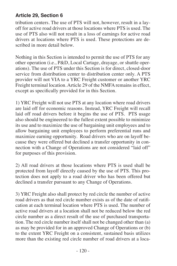tribution centers. The use of PTS will not, however, result in a layoff for active road drivers at those locations where PTS is used. The use of PTS also will not result in a loss of earnings for active road drivers at locations where PTS is used. These protections are described in more detail below.

Nothing in this Section is intended to permit the use of PTS for any other operation (i.e., P&D, Local Cartage, drayage, or shuttle operations). The use of PTS under this Section is for direct, closed-door service from distribution center to distribution center only. A PTS provider will not VIA to a YRC Freight customer or another YRC Freight terminal location. Article 29 of the NMFA remains in effect, except as specifically provided for in this Section.

1) YRC Freight will not use PTS at any location where road drivers are laid off for economic reasons. Instead, YRC Freight will recall laid off road drivers before it begins the use of PTS. PTS usage also should be engineered to the fullest extent possible to minimize its use and to maximize the use of bargaining unit employees and to allow bargaining unit employees to perform preferential runs and maximize earning opportunity. Road drivers who are on layoff because they were offered but declined a transfer opportunity in connection with a Change of Operations are not considered "laid off" for purposes of this provision.

2) All road drivers at those locations where PTS is used shall be protected from layoff directly caused by the use of PTS. This protection does not apply to a road driver who has been offered but declined a transfer pursuant to any Change of Operations.

3) YRC Freight also shall protect by red circle the number of active road drivers as that red circle number exists as of the date of ratification at each terminal location where PTS is used. The number of active road drivers at a location shall not be reduced below the red circle number as a direct result of the use of purchased transportation. The red circle number itself shall not be changed other than (a) as may be provided for in an approved Change of Operations or (b) to the extent YRC Freight on a consistent, sustained basis utilizes more than the existing red circle number of road drivers at a loca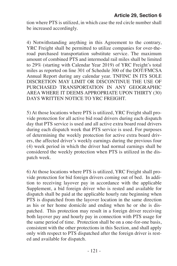tion where PTS is utilized, in which case the red circle number shall be increased accordingly.

4) Notwithstanding anything in this Agreement to the contrary, YRC Freight shall be permitted to utilize companies for over-theroad purchased transportation substitute service. The maximum amount of combined PTS and intermodal rail miles shall be limited to 29% (starting with Calendar Year 2019) of YRC Freight's total miles as reported on line 301 of Schedule 300 of the DOT/FMCSA Annual Report during any calendar year. TNFINC IN ITS SOLE DISCRETION MAY LIMIT OR DISCONTINUE THE USE OF PURCHASED TRANSPORTATION IN ANY GEOGRAPHIC AREA WHERE IT DEEMS APPROPRIATE UPON THIRTY (30) DAYS WRITTEN NOTICE TO YRC FREIGHT.

5) At those locations where PTS is utilized, YRC Freight shall provide protection for all active bid road drivers during each dispatch day that PTS service is used and all active extra board road drivers during each dispatch week that PTS service is used. For purposes of determining the weekly protection for active extra board drivers, the affected driver's weekly earnings during the previous four (4) week period in which the driver had normal earnings shall be considered the weekly protection when PTS is utilized in the dispatch week.

6) At those locations where PTS is utilized, YRC Freight shall provide protection for bid foreign drivers coming out of bed. In addition to receiving layover pay in accordance with the applicable Supplement, a bid foreign driver who is rested and available for dispatch shall be paid at the applicable hourly rate beginning when PTS is dispatched from the layover location in the same direction as his or her home domicile and ending when he or she is dispatched. This protection may result in a foreign driver receiving both layover pay and hourly pay in connection with PTS usage for the same period of time. Protection shall be on a one-for-one basis, consistent with the other protections in this Section, and shall apply only with respect to PTS dispatched after the foreign driver is rested and available for dispatch.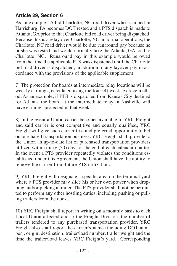As an example: A bid Charlotte, NC road driver who is in bed in Harrisburg, PA becomes DOT rested and a PTS dispatch is made to Atlanta, GA prior to that Charlotte bid road driver being dispatched. Because this is a relay over Charlotte, NC in normal operations, the Charlotte, NC road driver would be due runaround pay because he or she was rested and would normally take the Atlanta, GA load to Charlotte, NC. Runaround pay in this example would be owed from the time the applicable PTS was dispatched until the Charlotte bid road driver is dispatched, in addition to any layover pay in accordance with the provisions of the applicable supplement.

7) The protection for boards at intermediate relay locations will be weekly earnings, calculated using the four (4) week average method. As an example, if PTS is dispatched from Kansas City destined for Atlanta, the board at the intermediate relay in Nashville will have earnings protected in that week.

8) In the event a Union carrier becomes available to YRC Freight and said carrier is cost competitive and equally qualified, YRC Freight will give such carrier first and preferred opportunity to bid on purchased transportation business. YRC Freight shall provide to the Union an up-to-date list of purchased transportation providers utilized within thirty (30) days of the end of each calendar quarter. In the event a PTS provider repeatedly violates the conditions established under this Agreement, the Union shall have the ability to remove the carrier from future PTS utilization.

9) YRC Freight will designate a specific area on the terminal yard where a PTS provider may slide his or her own power when dropping and/or picking a trailer. The PTS provider shall not be permitted to perform any other hostling duties, including pushing or pulling trailers from the dock.

10) YRC Freight shall report in writing on a monthly basis to each Local Union affected and to the Freight Division, the number of trailers tendered to any purchased transportation provider. YRC Freight also shall report the carrier's name (including DOT number), origin, destination, trailer/load number, trailer weight and the time the trailer/load leaves YRC Freight's yard. Corresponding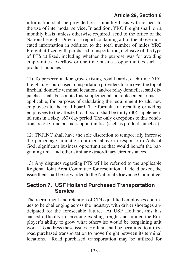information shall be provided on a monthly basis with respect to the use of intermodal service. In addition, YRC Freight shall, on a monthly basis, unless otherwise required, send to the office of the National Freight Director a report containing all of the above indicated information in addition to the total number of miles YRC Freight utilized with purchased transportation, inclusive of the type of PTS utilized, including whether the purpose was for avoiding empty miles, overflow or one-time business opportunities such as product launches.

11) To preserve and/or grow existing road boards, each time YRC Freight uses purchased transportation providers to run over the top of linehaul domicile terminal locations and/or relay domiciles, said dispatches shall be counted as supplemental or replacement runs, as applicable, for purposes of calculating the requirement to add new employees to the road board. The formula for recalling or adding employees to the affected road board shall be thirty (30) supplemental runs in a sixty (60) day period. The only exceptions to this condition are one-time business opportunities (such as product launches).

12) TNFINC shall have the sole discretion to temporarily increase the percentage limitation outlined above in response to Acts of God, significant business opportunities that would benefit the bargaining unit, and other similar extraordinary circumstances.

13) Any disputes regarding PTS will be referred to the applicable Regional Joint Area Committee for resolution. If deadlocked, the issue then shall be forwarded to the National Grievance Committee.

#### **Section 7. USF Holland Purchased Transportation Service**

The recruitment and retention of CDL-qualified employees continues to be challenging across the industry, with driver shortages anticipated for the foreseeable future. At USF Holland, this has caused difficulty in servicing existing freight and limited the Employer's ability to grow what otherwise would be bargaining unit work. To address these issues, Holland shall be permitted to utilize road purchased transportation to move freight between its terminal locations. Road purchased transportation may be utilized for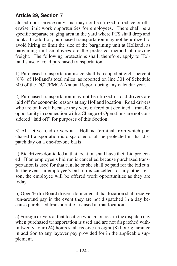closed-door service only, and may not be utilized to reduce or otherwise limit work opportunities for employees. There shall be a specific separate staging area in the yard where PTS shall drop and hook. In addition, purchased transportation may not be utilized to avoid hiring or limit the size of the bargaining unit at Holland, as bargaining unit employees are the preferred method of moving freight. The following protections shall, therefore, apply to Holland's use of road purchased transportation:

1) Purchased transportation usage shall be capped at eight percent (8%) of Holland's total miles, as reported on line 301 of Schedule 300 of the DOT/FMCA Annual Report during any calendar year.

2) Purchased transportation may not be utilized if road drivers are laid off for economic reasons at any Holland location. Road drivers who are on layoff because they were offered but declined a transfer opportunity in connection with a Change of Operations are not considered "laid off" for purposes of this Section.

3) All active road drivers at a Holland terminal from which purchased transportation is dispatched shall be protected in that dispatch day on a one-for-one basis.

a) Bid drivers domiciled at that location shall have their bid protected. If an employee's bid run is cancelled because purchased transportation is used for that run, he or she shall be paid for the bid run. In the event an employee's bid run is cancelled for any other reason, the employee will be offered work opportunities as they are today.

b) Open/Extra Board drivers domiciled at that location shall receive run-around pay in the event they are not dispatched in a day because purchased transportation is used at that location.

c) Foreign drivers at that location who go on rest in the dispatch day when purchased transportation is used and are not dispatched within twenty-four (24) hours shall receive an eight (8) hour guarantee in addition to any layover pay provided for in the applicable supplement.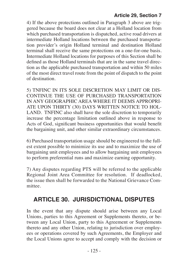4) If the above protections outlined in Paragraph 3 above are triggered because the board does not clear at a Holland location from which purchased transportation is dispatched, active road drivers at intermediate Holland locations between the purchased transportation provider's origin Holland terminal and destination Holland terminal shall receive the same protections on a one-for-one basis. Intermediate Holland locations for purposes of this Section shall be defined as those Holland terminals that are in the same travel direction as the applicable purchased transportation and within 50 miles of the most direct travel route from the point of dispatch to the point of destination.

5) TNFINC IN ITS SOLE DISCRETION MAY LIMIT OR DIS-CONTINUE THE USE OF PURCHASED TRANSPORTATION IN ANY GEOGRAPHIC AREA WHERE IT DEEMS APPROPRI-ATE UPON THIRTY (30) DAYS WRITTEN NOTICE TO HOL-LAND. TNFINC also shall have the sole discretion to temporarily increase the percentage limitation outlined above in response to Acts of God, significant business opportunities that would benefit the bargaining unit, and other similar extraordinary circumstances.

6) Purchased transportation usage should be engineered to the fullest extent possible to minimize its use and to maximize the use of bargaining unit employees and to allow bargaining unit employees to perform preferential runs and maximize earning opportunity.

7) Any disputes regarding PTS will be referred to the applicable Regional Joint Area Committee for resolution. If deadlocked, the issue then shall be forwarded to the National Grievance Committee.

# **ARTICLE 30. JURISDICTIONAL DISPUTES**

In the event that any dispute should arise between any Local Unions, parties to this Agreement or Supplements thereto, or between any Local Union, party to this Agreement or Supplements thereto and any other Union, relating to jurisdiction over employees or operations covered by such Agreements, the Employer and the Local Unions agree to accept and comply with the decision or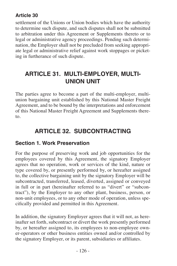settlement of the Unions or Union bodies which have the authority to determine such dispute, and such disputes shall not be submitted to arbitration under this Agreement or Supplements thereto or to legal or administrative agency proceedings. Pending such determination, the Employer shall not be precluded from seeking appropriate legal or administrative relief against work stoppages or picketing in furtherance of such dispute.

# **ARTICLE 31. MULTI-EMPLOYER, MULTI-UNION UNIT**

The parties agree to become a part of the multi-employer, multiunion bargaining unit established by this National Master Freight Agreement, and to be bound by the interpretations and enforcement of this National Master Freight Agreement and Supplements thereto.

# **ARTICLE 32. SUBCONTRACTING**

### **Section 1. Work Preservation**

For the purpose of preserving work and job opportunities for the employees covered by this Agreement, the signatory Employer agrees that no operation, work or services of the kind, nature or type covered by, or presently performed by, or hereafter assigned to, the collective bargaining unit by the signatory Employer will be subcontracted, transferred, leased, diverted, assigned or conveyed in full or in part (hereinafter referred to as "divert" or "subcontract"), by the Employer to any other plant, business, person, or non-unit employees, or to any other mode of operation, unless specifically provided and permitted in this Agreement.

In addition, the signatory Employer agrees that it will not, as hereinafter set forth, subcontract or divert the work presently performed by, or hereafter assigned to, its employees to non-employee owner-operators or other business entities owned and/or controlled by the signatory Employer, or its parent, subsidiaries or affiliates.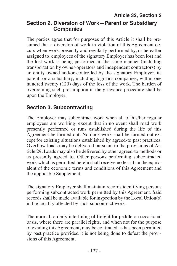#### **Article 32, Section 2 Section 2. Diversion of Work—Parent or Subsidiary Companies**

The parties agree that for purposes of this Article it shall be presumed that a diversion of work in violation of this Agreement occurs when work presently and regularly performed by, or hereafter assigned to, employees of the signatory Employer has been lost and the lost work is being performed in the same manner (including transportation by owner-operators and independent contractors) by an entity owned and/or controlled by the signatory Employer, its parent, or a subsidiary, including logistics companies, within one hundred twenty (120) days of the loss of the work. The burden of overcoming such presumption in the grievance procedure shall be upon the Employer.

### **Section 3. Subcontracting**

The Employer may subcontract work when all of his/her regular employees are working, except that in no event shall road work presently performed or runs established during the life of this Agreement be farmed out. No dock work shall be farmed out except for existing situations established by agreed-to past practices. Overflow loads may be delivered pursuant to the provisions of Article 29. Loads may also be delivered by other agreed-to methods or as presently agreed to. Other persons performing subcontracted work which is permitted herein shall receive no less than the equivalent of the economic terms and conditions of this Agreement and the applicable Supplement.

The signatory Employer shall maintain records identifying persons performing subcontracted work permitted by this Agreement. Said records shall be made available for inspection by the Local Union(s) in the locality affected by such subcontract work.

The normal, orderly interlining of freight for peddle on occasional basis, where there are parallel rights, and when not for the purpose of evading this Agreement, may be continued as has been permitted by past practice provided it is not being done to defeat the provisions of this Agreement.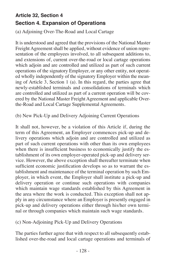## **Article 32, Section 4 Section 4. Expansion of Operations**

(a) Adjoining Over-The-Road and Local Cartage

It is understood and agreed that the provisions of the National Master Freight Agreement shall be applied, without evidence of union representation of the employees involved, to all subsequent additions to. and extensions of, current over-the-road or local cartage operations which adjoin and are controlled and utilized as part of such current operations of the signatory Employer, or any other entity, not operated wholly independently of the signatory Employer within the meaning of Article 3, Section 1 (a). In this regard, the parties agree that newly-established terminals and consolidations of terminals which are controlled and utilized as part of a current operation will be covered by the National Master Freight Agreement and applicable Overthe-Road and Local Cartage Supplemental Agreements.

(b) New Pick-Up and Delivery Adjoining Current Operations

It shall not, however, be a violation of this Article if, during the term of this Agreement, an Employer commences pick-up and delivery operations which adjoin and are controlled and utilized as part of such current operations with other than its own employees when there is insufficient business to economically justify the establishment of its own employer-operated pick-up and delivery service. However, the above exception shall thereafter terminate when sufficient economic justification develops so as to warrant the establishment and maintenance of the terminal operation by such Employer, in which event, the Employer shall institute a pick-up and delivery operation or continue such operations with companies which maintain wage standards established by this Agreement in the area where the work is conducted. This exception shall not apply in any circumstance where an Employer is presently engaged in pick-up and delivery operations either through his/her own terminal or through companies which maintain such wage standards.

(c) Non-Adjoining Pick-Up and Delivery Operations

The parties further agree that with respect to all subsequently established over-the-road and local cartage operations and terminals of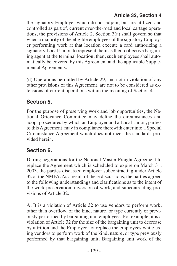the signatory Employer which do not adjoin, but are utilized and controlled as part of, current over-the-road and local cartage operations, the provisions of Article 2, Section 3(a) shall govern so that when a majority of the eligible employees of the signatory Employer performing work at that location execute a card authorizing a signatory Local Union to represent them as their collective bargaining agent at the terminal location, then, such employees shall automatically be covered by this Agreement and the applicable Supplemental Agreements.

(d) Operations permitted by Article 29, and not in violation of any other provisions of this Agreement, are not to be considered as extensions of current operations within the meaning of Section 4.

### **Section 5.**

For the purpose of preserving work and job opportunities, the National Grievance Committee may define the circumstances and adopt procedures by which an Employer and a Local Union, parties to this Agreement, may in compliance therewith enter into a Special Circumstance Agreement which does not meet the standards provided herein.

## **Section 6.**

During negotiations for the National Master Freight Agreement to replace the Agreement which is scheduled to expire on March 31, 2003, the parties discussed employer subcontracting under Article 32 of the NMFA. As a result of these discussions, the parties agreed to the following understandings and clarifications as to the intent of the work preservation, diversion of work, and subcontracting provisions of Article 32:

A. It is a violation of Article 32 to use vendors to perform work, other than overflow, of the kind, nature, or type currently or previously performed by bargaining unit employees. For example, it is a violation of Article 32 for the size of the bargaining unit to decrease by attrition and the Employer not replace the employees while using vendors to perform work of the kind, nature, or type previously performed by that bargaining unit. Bargaining unit work of the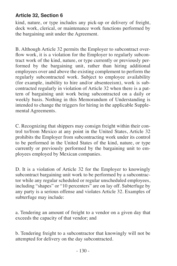kind, nature, or type includes any pick-up or delivery of freight, dock work, clerical, or maintenance work functions performed by the bargaining unit under the Agreement.

B. Although Article 32 permits the Employer to subcontract overflow work, it is a violation for the Employer to regularly subcontract work of the kind, nature, or type currently or previously performed by the bargaining unit, rather than hiring additional employees over and above the existing complement to perform the regularly subcontracted work. Subject to employee availability (for example, inability to hire and/or absenteeism), work is subcontracted regularly in violation of Article 32 when there is a pattern of bargaining unit work being subcontracted on a daily or weekly basis. Nothing in this Memorandum of Understanding is intended to change the triggers for hiring in the applicable Supplemental Agreements.

C. Recognizing that shippers may consign freight within their control to/from Mexico at any point in the United States, Article 32 prohibits the Employer from subcontracting work under its control to be performed in the United States of the kind, nature, or type currently or previously performed by the bargaining unit to employees employed by Mexican companies.

D. It is a violation of Article 32 for the Employer to knowingly subcontract bargaining unit work to be performed by a subcontractor while any regular scheduled or regular unscheduled employees, including "shapes" or "10 percenters" are on lay off. Subterfuge by any party is a serious offense and violates Article 32. Examples of subterfuge may include:

a. Tendering an amount of freight to a vendor on a given day that exceeds the capacity of that vendor; and

b. Tendering freight to a subcontractor that knowingly will not be attempted for delivery on the day subcontracted.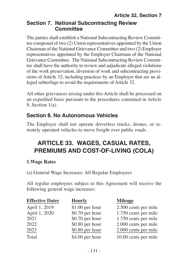### **Section 7. National Subcontracting Review Committee**

The parties shall establish a National Subcontracting Review Committee composed of two (2) Union representatives appointed by the Union Chairman of the National Grievance Committee and two (2) Employer representatives appointed by the Employer Chairman of the National Grievance Committee. The National Subcontracting Review Committee shall have the authority to review and adjudicate alleged violations of the work preservation, diversion of work and subcontracting provisions of Article 32, including practices by an Employer that are an alleged subterfuge to avoid the requirements of Article 32.

All other grievances arising under this Article shall be processed on an expedited basis pursuant to the procedures contained in Article 8, Section 1(a).

### **Section 8. No Autonomous Vehicles**

The Employer shall not operate driverless trucks, drones, or remotely operated vehicles to move freight over public roads.

# **ARTICLE 33. WAGES, CASUAL RATES, PREMIUMS AND COST-OF-LIVING (COLA)**

#### **1.Wage Rates**

(a) General Wage Increases: All Regular Employees

All regular employees subject to this Agreement will receive the following general wage increases:

| <b>Effective Dates</b> | <b>Hourly</b>    | <b>Mileage</b>       |
|------------------------|------------------|----------------------|
| April 1, 2019          | $$1.00$ per hour | 2.500 cents per mile |
| April 1, 2020          | $$0.70$ per hour | 1.750 cents per mile |
| 2021                   | $$0.70$ per hour | 1.750 cents per mile |
| 2022                   | \$0.80 per hour  | 2.000 cents per mile |
| 2023                   | \$0.80 per hour  | 2.000 cents per mile |
| Total                  | \$4.00 per hour  | 10.00 cents per mile |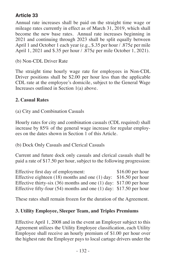Annual rate increases shall be paid on the straight time wage or mileage rates currently in effect as of March 31, 2019, which shall become the new base rates. Annual rate increases beginning in  $2021$  and continuing through  $2023$  shall be split equally between April 1 and October 1 each year (e.g., \$.35 per hour / .875¢ per mile April 1, 2021 and \$.35 per hour / .875¢ per mile October 1, 2021).

(b) Non-CDL Driver Rate

The straight time hourly wage rate for employees in Non-CDL Driver positions shall be \$2.00 per hour less than the applicable CDL rate at the employee's domicile, subject to the General Wage Increases outlined in Section 1(a) above.

#### **2. Casual Rates**

#### (a) City and Combination Casuals

Hourly rates for city and combination casuals (CDL required) shall increase by 85% of the general wage increase for regular employees on the dates shown in Section 1 of this Article.

(b) Dock Only Casuals and Clerical Casuals

Current and future dock only casuals and clerical casuals shall be paid a rate of \$17.50 per hour, subject to the following progression:

Effective first day of employment: \$16.00 per hour Effective eighteen (18) months and one (1) day: \$16.50 per hour Effective thirty-six (36) months and one (1) day: \$17.00 per hour Effective fifty-four (54) months and one (1) day: \$17.50 per hour

These rates shall remain frozen for the duration of the Agreement.

#### **3. Utility Employee, Sleeper Team, and Triples Premiums**

Effective April 1, 2008 and in the event an Employer subject to this Agreement utilizes the Utility Employee classification, each Utility Employee shall receive an hourly premium of \$1.00 per hour over the highest rate the Employer pays to local cartage drivers under the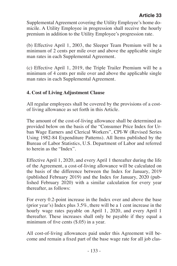Supplemental Agreement covering the Utility Employee's home domicile. A Utility Employee in progression shall receive the hourly premium in addition to the Utility Employee's progression rate.

(b) Effective April 1, 2003, the Sleeper Team Premium will be a minimum of 2 cents per mile over and above the applicable single man rates in each Supplemental Agreement.

(c) Effective April 1, 2019, the Triple Trailer Premium will be a minimum of 4 cents per mile over and above the applicable single man rates in each Supplemental Agreement.

#### **4. Cost of Living Adjustment Clause**

All regular employees shall be covered by the provisions of a costof living allowance as set forth in this Article.

The amount of the cost-of-living allowance shall be determined as provided below on the basis of the "Consumer Price Index for Urban Wage Earners and Clerical Workers", CPI-W (Revised Series Using 1982-84 Expenditure Patterns). All Items published by the Bureau of Labor Statistics, U.S. Department of Labor and referred to herein as the "Index".

Effective April 1, 2020, and every April 1 thereafter during the life of the Agreement, a cost-of-living allowance will be calculated on the basis of the difference between the Index for January, 2019 (published February 2019) and the Index for January, 2020 (published February 2020) with a similar calculation for every year thereafter, as follows:

For every 0.2-point increase in the Index over and above the base (prior year's) Index plus 3.5%, there will be a 1 cent increase in the hourly wage rates payable on April 1, 2020, and every April 1 thereafter. These increases shall only be payable if they equal a minimum of five cents  $(\$.05)$  in a year.

All cost-of-living allowances paid under this Agreement will become and remain a fixed part of the base wage rate for all job clas-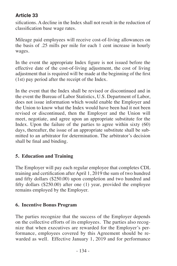sifications. A decline in the Index shall not result in the reduction of classification base wage rates.

Mileage paid employees will receive cost-of-living allowances on the basis of .25 mills per mile for each 1 cent increase in hourly wages.

In the event the appropriate Index figure is not issued before the effective date of the cost-of-living adjustment, the cost of living adjustment that is required will be made at the beginning of the first (1st) pay period after the receipt of the Index.

In the event that the Index shall be revised or discontinued and in the event the Bureau of Labor Statistics, U.S. Department of Labor, does not issue information which would enable the Employer and the Union to know what the Index would have been had it not been revised or discontinued, then the Employer and the Union will meet, negotiate, and agree upon an appropriate substitute for the Index. Upon the failure of the parties to agree within sixty (60) days, thereafter, the issue of an appropriate substitute shall be submitted to an arbitrator for determination. The arbitrator's decision shall be final and binding.

#### **5. Education and Training**

The Employer will pay each regular employee that completes CDL training and certification after April 1, 2019 the sum of two hundred and fifty dollars (\$250.00) upon completion and two hundred and fifty dollars (\$250.00) after one (1) year, provided the employee remains employed by the Employer.

#### **6. Incentive Bonus Program**

The parties recognize that the success of the Employer depends on the collective efforts of its employees. The parties also recognize that when executives are rewarded for the Employer's performance, employees covered by this Agreement should be rewarded as well. Effective January 1, 2019 and for performance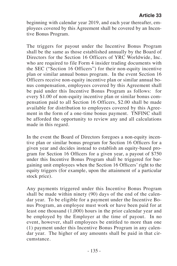beginning with calendar year 2019, and each year thereafter, employees covered by this Agreement shall be covered by an Incentive Bonus Program.

The triggers for payout under the Incentive Bonus Program shall be the same as those established annually by the Board of Directors for the Section 16 Officers of YRC Worldwide, Inc. who are required to file Form 4 insider trading documents with the SEC ("Section 16 Officers") for their non-equity incentive plan or similar annual bonus program. In the event Section 16 Officers receive non-equity incentive plan or similar annual bonus compensation, employees covered by this Agreement shall be paid under this Incentive Bonus Program as follows: for every \$1.00 of non-equity incentive plan or similar bonus compensation paid to all Section 16 Officers, \$2.00 shall be made available for distribution to employees covered by this Agreement in the form of a one-time bonus payment. TNFINC shall be afforded the opportunity to review any and all calculations made in this regard.

In the event the Board of Directors foregoes a non-equity incentive plan or similar bonus program for Section 16 Officers for a given year and decides instead to establish an equity-based program for Section 16 Officers for a given year, a payout of \$750 under this Incentive Bonus Program shall be triggered for bargaining unit employees when the Section 16 Officers' right to the equity triggers (for example, upon the attainment of a particular stock price).

Any payments triggered under this Incentive Bonus Program shall be made within ninety (90) days of the end of the calendar year. To be eligible for a payment under the Incentive Bonus Program, an employee must work or have been paid for at least one thousand  $(1,000)$  hours in the prior calendar year and be employed by the Employer at the time of payout. In no event, however, shall employees be entitled to more than one (1) payment under this Incentive Bonus Program in any calendar year. The higher of any amounts shall be paid in that circumstance.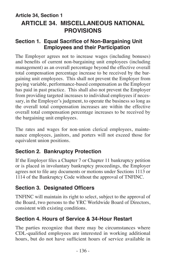# **Article 34, Section 1 ARTICLE 34. MISCELLANEOUS NATIONAL PROVISIONS**

### **Section 1. Equal Sacrifice of Non-Bargaining Unit Employees and their Participation**

The Employer agrees not to increase wages (including bonuses) and benefits of current non-bargaining unit employees (including management) as an overall percentage beyond the effective overall total compensation percentage increase to be received by the bargaining unit employees. This shall not prevent the Employer from paying variable, performance-based compensation as the Employer has paid in past practice. This shall also not prevent the Employer from providing targeted increases to individual employees if necessary, in the Employer's judgment, to operate the business so long as the overall total compensation increases are within the effective overall total compensation percentage increases to be received by the bargaining unit employees.

The rates and wages for non-union clerical employees, maintenance employees, janitors, and porters will not exceed those for equivalent union positions.

# **Section 2. Bankruptcy Protection**

If the Employer files a Chapter 7 or Chapter 11 bankruptcy petition or is placed in involuntary bankruptcy proceedings, the Employer agrees not to file any documents or motions under Sections 1113 or 1114 of the Bankruptcy Code without the approval of TNFINC.

# **Section 3. Designated Officers**

TNFINC will maintain its right to select, subject to the approval of the Board, two persons to the YRC Worldwide Board of Directors, consistent with existing conditions.

# **Section 4. Hours of Service & 34-Hour Restart**

The parties recognize that there may be circumstances where CDL-qualified employees are interested in working additional hours, but do not have sufficient hours of service available in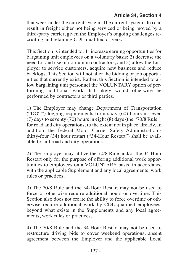that week under the current system. The current system also can result in freight either not being serviced or being moved by a third-party carrier, given the Employer's ongoing challenges recruiting and retaining CDL-qualified drivers.

This Section is intended to: 1) increase earning opportunities for bargaining unit employees on a voluntary basis; 2) decrease the need for and use of non-union contractors; and 3) allow the Employer to service customers, acquire new business and reduce backlogs. This Section will not alter the bidding or job opportunities that currently exist. Rather, this Section is intended to allow bargaining unit personnel the VOLUNTARY option of performing additional work that likely would otherwise be performed by contractors or third parties.

1) The Employer may change Department of Transportation ("DOT") logging requirements from sixty (60) hours in seven (7) days to seventy (70) hours in eight (8) days (the "70/8 Rule") for road and city operations, to the extent not in place already. In addition, the Federal Motor Carrier Safety Administration's thirty-four (34) hour restart ("34-Hour Restart") shall be available for all road and city operations.

2) The Employer may utilize the 70/8 Rule and/or the 34-Hour Restart only for the purpose of offering additional work opportunities to employees on a VOLUNTARY basis, in accordance with the applicable Supplement and any local agreements, work rules or practices.

3) The 70/8 Rule and the 34-Hour Restart may not be used to force or otherwise require additional hours or overtime. This Section also does not create the ability to force overtime or otherwise require additional work by CDL-qualified employees, beyond what exists in the Supplements and any local agreements, work rules or practices.

4) The 70/8 Rule and the 34-Hour Restart may not be used to restructure driving bids to cover weekend operations, absent agreement between the Employer and the applicable Local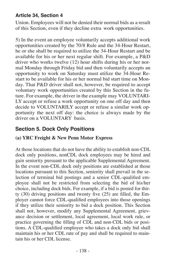Union. Employees will not be denied their normal bids as a result of this Section, even if they decline extra work opportunities.

5) In the event an employee voluntarily accepts additional work opportunities created by the 70/8 Rule and the 34-Hour Restart, he or she shall be required to utilize the 34-Hour Restart and be available for his or her next regular shift. For example, a P&D driver who works twelve (12) hour shifts during his or her normal Monday through Friday bid and then voluntarily accepts an opportunity to work on Saturday must utilize the 34-Hour Restart to be available for his or her normal bid start time on Monday. That P&D driver shall not, however, be required to accept voluntary work opportunities created by this Section in the future. For example, the driver in the example may VOLUNTARI-LY accept or refuse a work opportunity on one off day and then decide to VOLUNTARILY accept or refuse a similar work opportunity the next off day: the choice is always made by the driver on a VOLUNTARY basis.

# **Section 5. Dock Only Positions**

### **(a) YRC Freight & New Penn Motor Express**

At those locations that do not have the ability to establish non-CDL dock only positions, nonCDL dock employees may be hired and gain seniority pursuant to the applicable Supplemental Agreement. In the event non-CDL dock only positions are established at those locations pursuant to this Section, seniority shall prevail in the selection of terminal bid postings and a senior CDL-qualified employee shall not be restricted from selecting the bid of his/her choice, including dock bids. For example, if a bid is posted for thirty (30) driving positions and twenty five (25) are filled, the Employer cannot force CDL-qualified employees into those openings if they utilize their seniority to bid a dock position. This Section shall not, however, modify any Supplemental Agreement, grievance decision or settlement, local agreement, local work rule, or practice governing the filling of CDL and non-CDL bids or positions. A CDL-qualified employee who takes a dock only bid shall maintain his or her CDL rate of pay and shall be required to maintain his or her CDL license.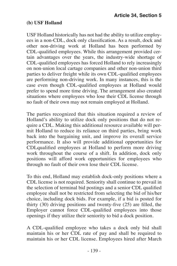#### **(b) USF Holland**

USF Holland historically has not had the ability to utilize employees in a non-CDL, dock only classification. As a result, dock and other non-driving work at Holland has been performed by CDL-qualified employees. While this arrangement provided certain advantages over the years, the industry-wide shortage of CDL-qualified employees has forced Holland to rely increasingly on non-union local cartage companies and other non-union third parties to deliver freight while its own CDL-qualified employees are performing non-driving work. In many instances, this is the case even though CDL-qualified employees at Holland would prefer to spend more time driving. The arrangement also created situations where employees who lose their CDL license through no fault of their own may not remain employed at Holland.

The parties recognized that this situation required a review of Holland's ability to utilize dock only positions that do not require a CDL. Making this additional resource available will permit Holland to reduce its reliance on third parties, bring work back into the bargaining unit, and improve its overall service performance. It also will provide additional opportunities for CDLqualified employees at Holland to perform more driving work throughout the course of a shift. In addition, dock only positions will afford work opportunities for employees who through no fault of their own lose their CDL license.

To this end, Holland may establish dock-only positions where a CDL license is not required. Seniority shall continue to prevail in the selection of terminal bid postings and a senior CDL qualified employee shall not be restricted from selecting the bid of his/her choice, including dock bids. For example, if a bid is posted for thirty (30) driving positions and twenty-five (25) are filled, the Employer cannot force CDL-qualified employees into those openings if they utilize their seniority to bid a dock position.

A CDL-qualified employee who takes a dock only bid shall maintain his or her CDL rate of pay and shall be required to maintain his or her CDL license. Employees hired after March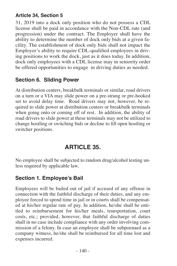31, 2019 into a dock only position who do not possess a CDL license shall be paid in accordance with the Non-CDL rate (and progression) under the contract. The Employer shall have the ability to determine the number of dock only bids at a given facility. The establishment of dock only bids shall not impact the Employer's ability to require CDL-qualified employees in driving positions to work the dock, just as it does today. In addition, dock only employees with a CDL license may in seniority order be offered opportunities to engage in driving duties as needed.

### **Section 6. Sliding Power**

At distribution centers, breakbulk terminals or similar, road drivers on a turn or a VIA may slide power on a pre-strung or pre-hooked set to avoid delay time. Road drivers may not, however, be required to slide power at distribution centers or breakbulk terminals when going onto or coming off of rest. In addition, the ability of road drivers to slide power at these terminals may not be utilized to change hostling or switching bids or decline to fill open hostling or switcher positions.

# **ARTICLE 35.**

No employee shall be subjected to random drug/alcohol testing unless required by applicable law.

# **Section 1. Employee's Bail**

Employees will be bailed out of jail if accused of any offense in connection with the faithful discharge of their duties, and any employee forced to spend time in jail or in courts shall be compensated at his/her regular rate of pay. In addition, he/she shall be entitled to reimbursement for his/her meals, transportation, court costs, etc.; provided, however, that faithful discharge of duties shall in no case include compliance with any order involving commission of a felony. In case an employee shall be subpoenaed as a company witness, he/she shall be reimbursed for all time lost and expenses incurred.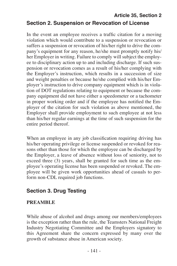# **Article 35, Section 2 Section 2. Suspension or Revocation of License**

In the event an employee receives a traffic citation for a moving violation which would contribute to a suspension or revocation or suffers a suspension or revocation of his/her right to drive the company's equipment for any reason, he/she must promptly notify his/ her Employer in writing. Failure to comply will subject the employee to disciplinary action up to and including discharge. If such suspension or revocation comes as a result of his/her complying with the Employer's instruction, which results in a succession of size and weight penalties or because he/she complied with his/her Employer's instruction to drive company equipment which is in violation of DOT regulations relating to equipment or because the company equipment did not have either a speedometer or a tachometer in proper working order and if the employee has notified the Employer of the citation for such violation as above mentioned, the Employer shall provide employment to such employee at not less than his/her regular earnings at the time of such suspension for the entire period thereof.

When an employee in any job classification requiring driving has his/her operating privilege or license suspended or revoked for reasons other than those for which the employee can be discharged by the Employer, a leave of absence without loss of seniority, not to exceed three (3) years, shall be granted for such time as the employee's operating license has been suspended or revoked. The employee will be given work opportunities ahead of casuals to perform non-CDL required job functions.

### **Section 3. Drug Testing**

#### **PREAMBLE**

While abuse of alcohol and drugs among our members/employees is the exception rather than the rule, the Teamsters National Freight Industry Negotiating Committee and the Employers signatory to this Agreement share the concern expressed by many over the growth of substance abuse in American society.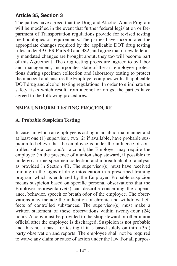The parties have agreed that the Drug and Alcohol Abuse Program will be modified in the event that further federal legislation or Department of Transportation regulations provide for revised testing methodologies or requirements. The parties have incorporated the appropriate changes required by the applicable DOT drug testing rules under 49 CFR Parts 40 and 382, and agree that if new federally mandated changes are brought about, they too will become part of this Agreement. The drug testing procedure, agreed to by labor and management, incorporates state-of-the-art employee protections during specimen collection and laboratory testing to protect the innocent and ensures the Employer complies with all applicable DOT drug and alcohol testing regulations. In order to eliminate the safety risks which result from alcohol or drugs, the parties have agreed to the following procedures:

#### **NMFA UNIFORM TESTING PROCEDURE**

#### **A. Probable Suspicion Testing**

In cases in which an employee is acting in an abnormal manner and at least one (1) supervisor, two (2) if available, have probable suspicion to believe that the employee is under the influence of controlled substances and/or alcohol, the Employer may require the employee (in the presence of a union shop steward, if possible) to undergo a urine specimen collection and a breath alcohol analysis as provided in Section 4B. The supervisor(s) must have received training in the signs of drug intoxication in a prescribed training program which is endorsed by the Employer. Probable suspicion means suspicion based on specific personal observations that the Employer representative(s) can describe concerning the appearance, behavior, speech or breath odor of the employee. The observations may include the indication of chronic and withdrawal effects of controlled substances. The supervisor(s) must make a written statement of these observations within twenty-four (24) hours. A copy must be provided to the shop steward or other union official after the employee is discharged. Suspicion is not probable and thus not a basis for testing if it is based solely on third (3rd) party observation and reports. The employee shall not be required to waive any claim or cause of action under the law. For all purpos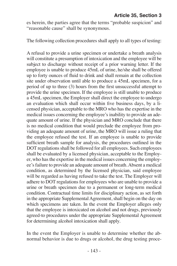es herein, the parties agree that the terms "probable suspicion" and "reasonable cause" shall be synonymous.

The following collection procedures shall apply to all types of testing:

A refusal to provide a urine specimen or undertake a breath analysis will constitute a presumption of intoxication and the employee will be subject to discharge without receipt of a prior warning letter. If the employee is unable to produce 45mL of urine, he/she shall be offered up to forty ounces of fluid to drink and shall remain at the collection site under observation until able to produce a 45mL specimen, for a period of up to three (3) hours from the first unsuccessful attempt to provide the urine specimen. If the employee is still unable to produce a 45mL specimen, the Employer shall direct the employee to undergo an evaluation which shall occur within five business days, by a licensed physician, acceptable to the MRO who has the expertise in the medical issues concerning the employee's inability to provide an adequate amount of urine. If the physician and MRO conclude that there is no medical condition that would preclude the employee from providing an adequate amount of urine, the MRO will issue a ruling that the employee refused the test. If an employee is unable to provide sufficient breath sample for analysis, the procedures outlined in the DOT regulations shall be followed for all employees. Such employees shall be evaluated by a licensed physician, acceptable to the Employer, who has the expertise in the medical issues concerning the employee's failure to provide an adequate amount of breath. Absent a medical condition, as determined by the licensed physician, said employee will be regarded as having refused to take the test. The Employer will adhere to DOT regulations for employees who are unable to provide a urine or breath specimen due to a permanent or long-term medical condition. Contractual time limits for disciplinary action, as set forth in the appropriate Supplemental Agreement, shall begin on the day on which specimens are taken. In the event the Employer alleges only that the employee is intoxicated on alcohol and not drugs, previously agreed-to procedures under the appropriate Supplemental Agreement for determining alcohol intoxication shall apply.

In the event the Employer is unable to determine whether the abnormal behavior is due to drugs or alcohol, the drug testing proce-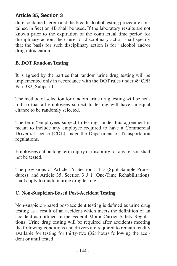dure contained herein and the breath alcohol testing procedure contained in Section 4B shall be used. If the laboratory results are not known prior to the expiration of the contractual time period for disciplinary action, the cause for disciplinary action shall specify that the basis for such disciplinary action is for "alcohol and/or drug intoxication".

#### **B. DOT Random Testing**

It is agreed by the parties that random urine drug testing will be implemented only in accordance with the DOT rules under 49 CFR Part 382, Subpart C.

The method of selection for random urine drug testing will be neutral so that all employees subject to testing will have an equal chance to be randomly selected.

The term "employees subject to testing" under this agreement is meant to include any employee required to have a Commercial Driver's License (CDL) under the Department of Transportation regulations.

Employees out on long term injury or disability for any reason shall not be tested.

The provisions of Article 35, Section 3 F 3 (Split Sample Procedures), and Article 35, Section 3 J 1 (One-Time Rehabilitation), shall apply to random urine drug testing.

#### **C. Non-Suspicion-Based Post-Accident Testing**

Non-suspicion-based post-accident testing is defined as urine drug testing as a result of an accident which meets the definition of an accident as outlined in the Federal Motor Carrier Safety Regulations. Urine drug testing will be required after accidents meeting the following conditions and drivers are required to remain readily available for testing for thirty-two (32) hours following the accident or until tested.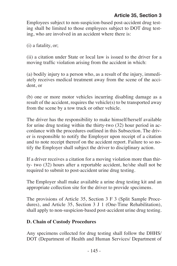Employees subject to non-suspicion-based post-accident drug testing shall be limited to those employees subject to DOT drug testing, who are involved in an accident where there is:

(i) a fatality, or;

(ii) a citation under State or local law is issued to the driver for a moving traffic violation arising from the accident in which:

(a) bodily injury to a person who, as a result of the injury, immediately receives medical treatment away from the scene of the accident, or

(b) one or more motor vehicles incurring disabling damage as a result of the accident, requires the vehicle(s) to be transported away from the scene by a tow truck or other vehicle.

The driver has the responsibility to make himself/herself available for urine drug testing within the thirty-two (32) hour period in accordance with the procedures outlined in this Subsection. The driver is responsible to notify the Employer upon receipt of a citation and to note receipt thereof on the accident report. Failure to so notify the Employer shall subject the driver to disciplinary action.

If a driver receives a citation for a moving violation more than thirty- two (32) hours after a reportable accident, he/she shall not be required to submit to post-accident urine drug testing.

The Employer shall make available a urine drug testing kit and an appropriate collection site for the driver to provide specimens.

The provisions of Article 35, Section 3 F 3 (Split Sample Procedures), and Article 35, Section 3 J 1 (One-Time Rehabilitation), shall apply to non-suspicion-based post-accident urine drug testing.

#### **D. Chain of Custody Procedures**

Any specimens collected for drug testing shall follow the DHHS/ DOT (Department of Health and Human Services/ Department of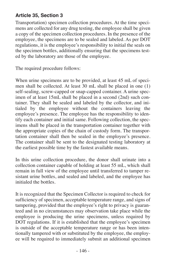Transportation) specimen collection procedures. At the time specimens are collected for any drug testing, the employee shall be given a copy of the specimen collection procedures. In the presence of the employee, the specimens are to be sealed and labeled. As per DOT regulations, it is the employee's responsibility to initial the seals on the specimen bottles, additionally ensuring that the specimens tested by the laboratory are those of the employee.

The required procedure follows:

When urine specimens are to be provided, at least 45 mL of specimen shall be collected. At least 30 mL shall be placed in one (1) self-sealing, screw-capped or snap-capped container. A urine specimen of at least 15mL shall be placed in a second (2nd) such container. They shall be sealed and labeled by the collector, and initialed by the employee without the containers leaving the employee's presence. The employee has the responsibility to identify each container and initial same. Following collection, the specimens shall be placed in the transportation container together with the appropriate copies of the chain of custody form. The transportation container shall then be sealed in the employee's presence. The container shall be sent to the designated testing laboratory at the earliest possible time by the fastest available means.

In this urine collection procedure, the donor shall urinate into a collection container capable of holding at least 55 mL, which shall remain in full view of the employee until transferred to tamper resistant urine bottles, and sealed and labeled, and the employee has initialed the bottles.

It is recognized that the Specimen Collector is required to check for sufficiency of specimen, acceptable temperature range, and signs of tampering, provided that the employee's right to privacy is guaranteed and in no circumstances may observation take place while the employee is producing the urine specimens, unless required by DOT regulations. If it is established that the employee's specimen is outside of the acceptable temperature range or has been intentionally tampered with or substituted by the employee, the employee will be required to immediately submit an additional specimen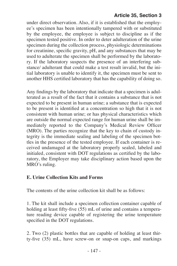under direct observation. Also, if it is established that the employee's specimen has been intentionally tampered with or substituted by the employee, the employee is subject to discipline as if the specimen tested positive. In order to deter adulteration of the urine specimen during the collection process, physiologic determinations for creatinine, specific gravity, pH, and any substances that may be used to adulterate the specimen shall be performed by the laboratory. If the laboratory suspects the presence of an interfering substance/ adulterant that could make a test result invalid, but the initial laboratory is unable to identify it, the specimen must be sent to another HHS certified laboratory that has the capability of doing so.

Any findings by the laboratory that indicate that a specimen is adulterated as a result of the fact that it contains a substance that is not expected to be present in human urine; a substance that is expected to be present is identified at a concentration so high that it is not consistent with human urine; or has physical characteristics which are outside the normal expected range for human urine shall be immediately reported to the Company's Medical Review Officer (MRO). The parties recognize that the key to chain of custody integrity is the immediate sealing and labeling of the specimen bottles in the presence of the tested employee. If each container is received undamaged at the laboratory properly sealed, labeled and initialed, consistent with DOT regulations as certified by the laboratory, the Employer may take disciplinary action based upon the MRO's ruling.

### **E. Urine Collection Kits and Forms**

The contents of the urine collection kit shall be as follows:

1. The kit shall include a specimen collection container capable of holding at least fifty-five  $(55)$  mL of urine and contains a temperature reading device capable of registering the urine temperature specified in the DOT regulations.

2. Two (2) plastic bottles that are capable of holding at least thirty-five (35) mL, have screw-on or snap-on caps, and markings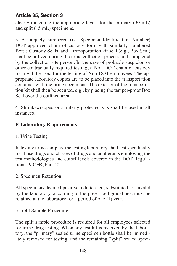clearly indicating the appropriate levels for the primary (30 mL) and split (15 mL) specimens.

3. A uniquely numbered (i.e. Specimen Identification Number) DOT approved chain of custody form with similarly numbered Bottle Custody Seals, and a transportation kit seal (e.g., Box Seal) shall be utilized during the urine collection process and completed by the collection site person. In the case of probable suspicion or other contractually required testing, a Non-DOT chain of custody form will be used for the testing of Non-DOT employees. The appropriate laboratory copies are to be placed into the transportation container with the urine specimens. The exterior of the transportation kit shall then be secured, e.g., by placing the tamper-proof Box Seal over the outlined area.

4. Shrink-wrapped or similarly protected kits shall be used in all instances.

#### **F. Laboratory Requirements**

#### 1. Urine Testing

In testing urine samples, the testing laboratory shall test specifically for those drugs and classes of drugs and adulterants employing the test methodologies and cutoff levels covered in the DOT Regulations 49 CFR, Part 40.

#### 2. Specimen Retention

All specimens deemed positive, adulterated, substituted, or invalid by the laboratory, according to the prescribed guidelines, must be retained at the laboratory for a period of one (1) year.

#### 3. Split Sample Procedure

The split sample procedure is required for all employees selected for urine drug testing. When any test kit is received by the laboratory, the "primary" sealed urine specimen bottle shall be immediately removed for testing, and the remaining "split" sealed speci-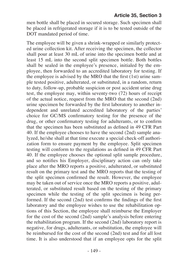men bottle shall be placed in secured storage. Such specimen shall be placed in refrigerated storage if it is to be tested outside of the DOT mandated period of time.

The employee will be given a shrink-wrapped or similarly protected urine collection kit. After receiving the specimen, the collector shall pour at least 30 mL of urine into the specimen bottle and at least 15 mL into the second split specimen bottle. Both bottles shall be sealed in the employee's presence, initialed by the employee, then forwarded to an accredited laboratory for testing. If the employee is advised by the MRO that the first (1st) urine sample tested positive, adulterated, or substituted, in a random, return to duty, follow-up, probable suspicion or post accident urine drug test, the employee may, within seventy-two (72) hours of receipt of the actual notice, request from the MRO that the second (2nd) urine specimen be forwarded by the first laboratory to another independent and unrelated accredited laboratory of the parties' choice for GC/MS confirmatory testing for the presence of the drug, or other confirmatory testing for adulterants, or to confirm that the specimen has been substituted as defined in 49 CFR Part 40. If the employee chooses to have the second (2nd) sample analyzed, he/she shall at that time execute a special check-off authorization form to ensure payment by the employee. Split specimen testing will conform to the regulations as defined in 49 CFR Part 40. If the employee chooses the optional split sample procedure, and so notifies his Employer, disciplinary action can only take place after the MRO reports a positive, adulterated, or substituted result on the primary test and the MRO reports that the testing of the split specimen confirmed the result. However, the employee may be taken out of service once the MRO reports a positive, adulterated, or substituted result based on the testing of the primary specimen while the testing of the split specimen is being performed. If the second (2nd) test confirms the findings of the first laboratory and the employee wishes to use the rehabilitation options of this Section, the employee shall reimburse the Employer for the cost of the second (2nd) sample's analysis before entering the rehabilitation program. If the second (2nd) laboratory report is negative, for drugs, adulterants, or substitution, the employee will be reimbursed for the cost of the second (2nd) test and for all lost time. It is also understood that if an employee opts for the split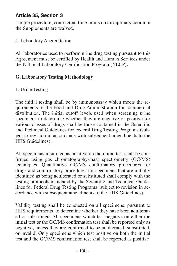sample procedure, contractual time limits on disciplinary action in the Supplements are waived.

4. Laboratory Accreditation

All laboratories used to perform urine drug testing pursuant to this Agreement must be certified by Health and Human Services under the National Laboratory Certification Program (NLCP).

### **G. Laboratory Testing Methodology**

### 1. Urine Testing

The initial testing shall be by immunoassay which meets the requirements of the Food and Drug Administration for commercial distribution. The initial cutoff levels used when screening urine specimens to determine whether they are negative or positive for various classes of drugs shall be those contained in the Scientific and Technical Guidelines for Federal Drug Testing Programs (subject to revision in accordance with subsequent amendments to the HHS Guidelines).

All specimens identified as positive on the initial test shall be confirmed using gas chromatography/mass spectrometry (GC/MS) techniques. Quantitative GC/MS confirmatory procedures for drugs and confirmatory procedures for specimens that are initially identified as being adulterated or substituted shall comply with the testing protocols mandated by the Scientific and Technical Guidelines for Federal Drug Testing Programs (subject to revision in accordance with subsequent amendments to the HHS Guidelines).

Validity testing shall be conducted on all specimens, pursuant to HHS requirements, to determine whether they have been adulterated or substituted. All specimens which test negative on either the initial test or the GC/MS confirmation test shall be reported only as negative, unless they are confirmed to be adulterated, substituted, or invalid. Only specimens which test positive on both the initial test and the GC/MS confirmation test shall be reported as positive.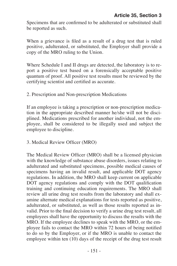Specimens that are confirmed to be adulterated or substituted shall be reported as such.

When a grievance is filed as a result of a drug test that is ruled positive, adulterated, or substituted, the Employer shall provide a copy of the MRO ruling to the Union.

Where Schedule I and II drugs are detected, the laboratory is to report a positive test based on a forensically acceptable positive quantum of proof. All positive test results must be reviewed by the certifying scientist and certified as accurate.

#### 2. Prescription and Non-prescription Medications

If an employee is taking a prescription or non-prescription medication in the appropriate described manner he/she will not be disciplined. Medications prescribed for another individual, not the employee, shall be considered to be illegally used and subject the employee to discipline.

3. Medical Review Officer (MRO)

The Medical Review Officer (MRO) shall be a licensed physician with the knowledge of substance abuse disorders, issues relating to adulterated and substituted specimens, possible medical causes of specimens having an invalid result, and applicable DOT agency regulations. In addition, the MRO shall keep current on applicable DOT agency regulations and comply with the DOT qualification training and continuing education requirements. The MRO shall review all urine drug test results from the laboratory and shall examine alternate medical explanations for tests reported as positive, adulterated, or substituted, as well as those results reported as invalid. Prior to the final decision to verify a urine drug test result, all employees shall have the opportunity to discuss the results with the MRO. If the employee declines to speak with the MRO, or the employee fails to contact the MRO within 72 hours of being notified to do so by the Employer, or if the MRO is unable to contact the employee within ten (10) days of the receipt of the drug test result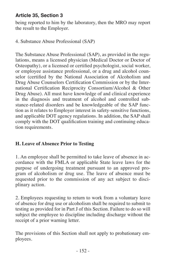being reported to him by the laboratory, then the MRO may report the result to the Employer.

4. Substance Abuse Professional (SAP)

The Substance Abuse Professional (SAP), as provided in the regulations, means a licensed physician (Medical Doctor or Doctor of Osteopathy), or a licensed or certified psychologist, social worker, or employee assistance professional, or a drug and alcohol counselor (certified by the National Association of Alcoholism and Drug Abuse Counselors Certification Commission or by the International Certification Reciprocity Consortium/Alcohol & Other Drug Abuse). All must have knowledge of and clinical experience in the diagnosis and treatment of alcohol and controlled substance-related disorders and be knowledgeable of the SAP function as it relates to Employer interest in safety-sensitive functions, and applicable DOT agency regulations. In addition, the SAP shall comply with the DOT qualification training and continuing education requirements.

#### **H. Leave of Absence Prior to Testing**

1. An employee shall be permitted to take leave of absence in accordance with the FMLA or applicable State leave laws for the purpose of undergoing treatment pursuant to an approved program of alcoholism or drug use. The leave of absence must be requested prior to the commission of any act subject to disciplinary action.

2. Employees requesting to return to work from a voluntary leave of absence for drug use or alcoholism shall be required to submit to testing as provided for in Part J of this Section. Failure to do so will subject the employee to discipline including discharge without the receipt of a prior warning letter.

The provisions of this Section shall not apply to probationary employees.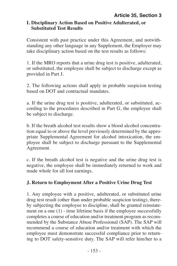#### **I. Disciplinary Action Based on Positive Adulterated, or Substituted Test Results**

Consistent with past practice under this Agreement, and notwithstanding any other language in any Supplement, the Employer may take disciplinary action based on the test results as follows:

1. If the MRO reports that a urine drug test is positive, adulterated, or substituted, the employee shall be subject to discharge except as provided in Part J.

2. The following actions shall apply in probable suspicion testing based on DOT and contractual mandates.

a. If the urine drug test is positive, adulterated, or substituted, according to the procedures described in Part G, the employee shall be subject to discharge.

b. If the breath alcohol test results show a blood alcohol concentration equal to or above the level previously determined by the appropriate Supplemental Agreement for alcohol intoxication, the employee shall be subject to discharge pursuant to the Supplemental Agreement.

c. If the breath alcohol test is negative and the urine drug test is negative, the employee shall be immediately returned to work and made whole for all lost earnings.

#### **J. Return to Employment After a Positive Urine Drug Test**

1. Any employee with a positive, adulterated, or substituted urine drug test result (other than under probable suspicion testing), thereby subjecting the employee to discipline, shall be granted reinstatement on a one (1) - time lifetime basis if the employee successfully completes a course of education and/or treatment program as recommended by the Substance Abuse Professional (SAP). The SAP will recommend a course of education and/or treatment with which the employee must demonstrate successful compliance prior to returning to DOT safety-sensitive duty. The SAP will refer him/her to a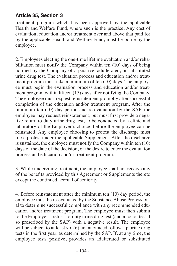treatment program which has been approved by the applicable Health and Welfare Fund, where such is the practice. Any cost of evaluation, education and/or treatment over and above that paid for by the applicable Health and Welfare Fund, must be borne by the employee.

2. Employees electing the one-time lifetime evaluation and/or rehabilitation must notify the Company within ten (10) days of being notified by the Company of a positive, adulterated, or substituted urine drug test. The evaluation process and education and/or treatment program must take a minimum of ten (10) days. The employee must begin the evaluation process and education and/or treatment program within fifteen (15) days after notifying the Company. The employee must request reinstatement promptly after successful completion of the education and/or treatment program. After the minimum ten (10) day period and re-evaluation by the SAP, the employee may request reinstatement, but must first provide a negative return to duty urine drug test, to be conducted by a clinic and laboratory of the Employer's choice, before the employee can be reinstated. Any employee choosing to protest the discharge must file a protest under the applicable Supplement. After the discharge is sustained, the employee must notify the Company within ten (10) days of the date of the decision, of the desire to enter the evaluation process and education and/or treatment program.

3. While undergoing treatment, the employee shall not receive any of the benefits provided by this Agreement or Supplements thereto except the continued accrual of seniority.

4. Before reinstatement after the minimum ten (10) day period, the employee must be re-evaluated by the Substance Abuse Professional to determine successful compliance with any recommended education and/or treatment program. The employee must then submit to the Employer's return-to-duty urine drug test (and alcohol test if so prescribed by the SAP) with a negative result. The employee will be subject to at least six (6) unannounced follow-up urine drug tests in the first year, as determined by the SAP. If, at any time, the employee tests positive, provides an adulterated or substituted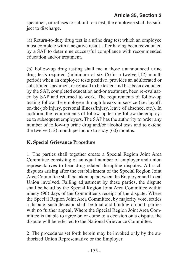specimen, or refuses to submit to a test, the employee shall be subject to discharge.

(a) Return-to-duty drug test is a urine drug test which an employee must complete with a negative result, after having been reevaluated by a SAP to determine successful compliance with recommended education and/or treatment.

(b) Follow-up drug testing shall mean those unannounced urine drug tests required (minimum of six (6) in a twelve (12) month period) when an employee tests positive, provides an adulterated or substituted specimen, or refused to be tested and has been evaluated by the SAP, completed education and/or treatment, been re-evaluated by SAP and returned to work. The requirements of follow-up testing follow the employee through breaks in service (i.e. layoff, on-the-job injury, personal illness/injury, leave of absence, etc.). In addition, the requirements of follow-up testing follow the employee to subsequent employers. The SAP has the authority to order any number of follow-up urine drug and/or alcohol tests and to extend the twelve (12) month period up to sixty (60) months.

### **K. Special Grievance Procedure**

1. The parties shall together create a Special Region Joint Area Committee consisting of an equal number of employer and union representatives to hear drug-related discipline disputes. All such disputes arising after the establishment of the Special Region Joint Area Committee shall be taken up between the Employer and Local Union involved. Failing adjustment by these parties, the dispute shall be heard by the Special Region Joint Area Committee within ninety (90) days of the Committee's receipt of the dispute. Where the Special Region Joint Area Committee, by majority vote, settles a dispute, such decision shall be final and binding on both parties with no further appeal. Where the Special Region Joint Area Committee is unable to agree on or come to a decision on a dispute, the dispute will be referred to the National Grievance Committee.

2. The procedures set forth herein may be invoked only by the authorized Union Representative or the Employer.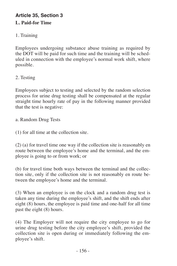# **Article 35, Section 3 L. Paid-for Time**

### 1. Training

Employees undergoing substance abuse training as required by the DOT will be paid for such time and the training will be scheduled in connection with the employee's normal work shift, where possible.

2. Testing

Employees subject to testing and selected by the random selection process for urine drug testing shall be compensated at the regular straight time hourly rate of pay in the following manner provided that the test is negative:

a. Random Drug Tests

(1) for all time at the collection site.

(2) (a) for travel time one way if the collection site is reasonably en route between the employee's home and the terminal, and the employee is going to or from work; or

(b) for travel time both ways between the terminal and the collection site, only if the collection site is not reasonably en route between the employee's home and the terminal.

(3) When an employee is on the clock and a random drug test is taken any time during the employee's shift, and the shift ends after eight (8) hours, the employee is paid time and one-half for all time past the eight (8) hours.

(4) The Employer will not require the city employee to go for urine drug testing before the city employee's shift, provided the collection site is open during or immediately following the employee's shift.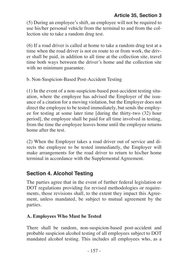(5) During an employee's shift, an employee will not be required to use his/her personal vehicle from the terminal to and from the collection site to take a random drug test.

(6) If a road driver is called at home to take a random drug test at a time when the road driver is not en route to or from work, the driver shall be paid, in addition to all time at the collection site, travel time both ways between the driver's home and the collection site with no minimum guarantee.

b. Non-Suspicion-Based Post-Accident Testing

(1) In the event of a non-suspicion-based post-accident testing situation, where the employee has advised the Employer of the issuance of a citation for a moving violation, but the Employer does not direct the employee to be tested immediately, but sends the employee for testing at some later time [during the thirty-two (32) hour period], the employee shall be paid for all time involved in testing, from the time the employee leaves home until the employee returns home after the test.

(2) When the Employer takes a road driver out of service and directs the employee to be tested immediately, the Employer will make arrangements for the road driver to return to his/her home terminal in accordance with the Supplemental Agreement.

# **Section 4. Alcohol Testing**

The parties agree that in the event of further federal legislation or DOT regulations providing for revised methodologies or requirements, those revisions shall, to the extent they impact this Agreement, unless mandated, be subject to mutual agreement by the parties.

### **A. Employees Who Must be Tested**

There shall be random, non-suspicion-based post-accident and probable suspicion alcohol testing of all employees subject to DOT mandated alcohol testing. This includes all employees who, as a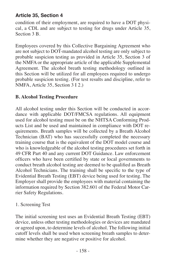condition of their employment, are required to have a DOT physical, a CDL and are subject to testing for drugs under Article 35, Section 3 B.

Employees covered by this Collective Bargaining Agreement who are not subject to DOT-mandated alcohol testing are only subject to probable suspicion testing as provided in Article 35, Section 3 of the NMFA or the appropriate article of the applicable Supplemental Agreement. The alcohol breath testing methodology outlined in this Section will be utilized for all employees required to undergo probable suspicion testing. (For test results and discipline, refer to NMFA, Article 35, Section 3 I 2.)

#### **B. Alcohol Testing Procedure**

All alcohol testing under this Section will be conducted in accordance with applicable DOT/FMCSA regulations. All equipment used for alcohol testing must be on the NHTSA Conforming Products List and be used and maintained in compliance with DOT requirements. Breath samples will be collected by a Breath Alcohol Technician (BAT) who has successfully completed the necessary training course that is the equivalent of the DOT model course and who is knowledgeable of the alcohol testing procedures set forth in 49 CFR Part 40 and any current DOT Guidance. Law enforcement officers who have been certified by state or local governments to conduct breath alcohol testing are deemed to be qualified as Breath Alcohol Technicians. The training shall be specific to the type of Evidential Breath Testing (EBT) device being used for testing. The Employer shall provide the employees with material containing the information required by Section 382.601 of the Federal Motor Carrier Safety Regulations.

#### 1. Screening Test

The initial screening test uses an Evidential Breath Testing (EBT) device, unless other testing methodologies or devices are mandated or agreed upon, to determine levels of alcohol. The following initial cutoff levels shall be used when screening breath samples to determine whether they are negative or positive for alcohol.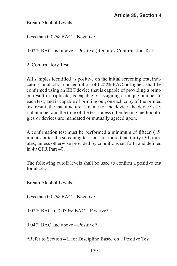Breath Alcohol Levels:

Less than 0.02% BAC—Negative

0.02% BAC and above—Positive (Requires Confirmation Test)

2. Confirmatory Test

All samples identified as positive on the initial screening test, indicating an alcohol concentration of 0.02% BAC or higher, shall be confirmed using an EBT device that is capable of providing a printed result in triplicate; is capable of assigning a unique number to each test; and is capable of printing out, on each copy of the printed test result, the manufacturer's name for the device, the device's serial number and the time of the test unless other testing methodologies or devices are mandated or mutually agreed upon.

A confirmation test must be performed a minimum of fifteen (15) minutes after the screening test, but not more than thirty (30) minutes, unless otherwise provided by conditions set forth and defined in 49 CFR Part 40.

The following cutoff levels shall be used to confirm a positive test for alcohol:

Breath Alcohol Levels:

Less than 0.02% BAC—Negative

0.02% BAC to 0.039% BAC—Positive\*

0.04% BAC and above—Positive\*

\*Refer to Section 4 L for Discipline Based on a Positive Test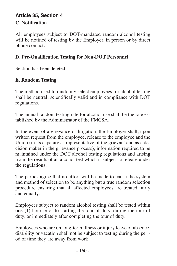# **Article 35, Section 4 C. Notification**

All employees subject to DOT-mandated random alcohol testing will be notified of testing by the Employer, in person or by direct phone contact.

### **D. Pre-Qualification Testing for Non-DOT Personnel**

Section has been deleted

### **E. Random Testing**

The method used to randomly select employees for alcohol testing shall be neutral, scientifically valid and in compliance with DOT regulations.

The annual random testing rate for alcohol use shall be the rate established by the Administrator of the FMCSA.

In the event of a grievance or litigation, the Employer shall, upon written request from the employee, release to the employee and the Union (in its capacity as representative of the grievant and as a decision maker in the grievance process), information required to be maintained under the DOT alcohol testing regulations and arising from the results of an alcohol test which is subject to release under the regulations.

The parties agree that no effort will be made to cause the system and method of selection to be anything but a true random selection procedure ensuring that all affected employees are treated fairly and equally.

Employees subject to random alcohol testing shall be tested within one (1) hour prior to starting the tour of duty, during the tour of duty, or immediately after completing the tour of duty.

Employees who are on long-term illness or injury leave of absence, disability or vacation shall not be subject to testing during the period of time they are away from work.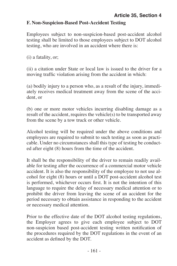#### **F. Non-Suspicion-Based Post-Accident Testing**

Employees subject to non-suspicion-based post-accident alcohol testing shall be limited to those employees subject to DOT alcohol testing, who are involved in an accident where there is:

(i) a fatality, or;

(ii) a citation under State or local law is issued to the driver for a moving traffic violation arising from the accident in which:

(a) bodily injury to a person who, as a result of the injury, immediately receives medical treatment away from the scene of the accident, or

(b) one or more motor vehicles incurring disabling damage as a result of the accident, requires the vehicle $(s)$  to be transported away from the scene by a tow truck or other vehicle.

Alcohol testing will be required under the above conditions and employees are required to submit to such testing as soon as practicable. Under no circumstances shall this type of testing be conducted after eight (8) hours from the time of the accident.

It shall be the responsibility of the driver to remain readily available for testing after the occurrence of a commercial motor vehicle accident. It is also the responsibility of the employee to not use alcohol for eight (8) hours or until a DOT post-accident alcohol test is performed, whichever occurs first. It is not the intention of this language to require the delay of necessary medical attention or to prohibit the driver from leaving the scene of an accident for the period necessary to obtain assistance in responding to the accident or necessary medical attention.

Prior to the effective date of the DOT alcohol testing regulations, the Employer agrees to give each employee subject to DOT non-suspicion based post-accident testing written notification of the procedures required by the DOT regulations in the event of an accident as defined by the DOT.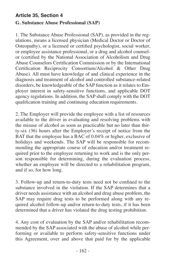# **Article 35, Section 4 G. Substance Abuse Professional (SAP)**

1. The Substance Abuse Professional (SAP), as provided in the regulations, means a licensed physician (Medical Doctor or Doctor of Osteopathy), or a licensed or certified psychologist, social worker, or employee assistance professional, or a drug and alcohol counselor (certified by the National Association of Alcoholism and Drug Abuse Counselors Certification Commission or by the International Certification Reciprocity Consortium/Alcohol & Other Drug Abuse). All must have knowledge of and clinical experience in the diagnosis and treatment of alcohol and controlled substance-related disorders, be knowledgeable of the SAP function as it relates to Employer interest in safety-sensitive functions, and applicable DOT agency regulations. In addition, the SAP shall comply with the DOT qualification training and continuing education requirements.

2. The Employer will provide the employee with a list of resources available to the driver in evaluating and resolving problems with the misuse of alcohol as soon as practicable but no later than thirty-six (36) hours after the Employer's receipt of notice from the BAT that the employee has a BAC of 0.04% or higher, exclusive of holidays and weekends. The SAP will be responsible for recommending the appropriate course of education and/or treatment required prior to the employee returning to work and is the only person responsible for determining, during the evaluation process, whether an employee will be directed to a rehabilitation program, and if so, for how long.

3. Follow-up and return-to-duty tests need not be confined to the substance involved in the violation. If the SAP determines that a driver needs assistance with an alcohol and drug abuse problem, the SAP may require drug tests to be performed along with any required alcohol follow-up and/or return-to-duty tests, if it has been determined that a driver has violated the drug testing prohibition.

4. Any cost of evaluation by the SAP and/or rehabilitation recommended by the SAP associated with the abuse of alcohol while performing or available to perform safety-sensitive functions under this Agreement, over and above that paid for by the applicable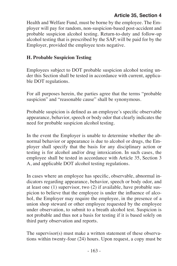Health and Welfare Fund, must be borne by the employee. The Employer will pay for random, non-suspicion-based post-accident and probable suspicion alcohol testing. Return-to-duty and follow-up alcohol testing that is prescribed by the SAP, will be paid for by the Employer, provided the employee tests negative.

#### **H. Probable Suspicion Testing**

Employees subject to DOT probable suspicion alcohol testing under this Section shall be tested in accordance with current, applicable DOT regulations.

For all purposes herein, the parties agree that the terms "probable suspicion" and "reasonable cause" shall be synonymous.

Probable suspicion is defined as an employee's specific observable appearance, behavior, speech or body odor that clearly indicates the need for probable suspicion alcohol testing.

In the event the Employer is unable to determine whether the abnormal behavior or appearance is due to alcohol or drugs, the Employer shall specify that the basis for any disciplinary action or testing is for alcohol and/or drug intoxication. In such cases, the employee shall be tested in accordance with Article 35, Section 3 A, and applicable DOT alcohol testing regulations.

In cases where an employee has specific, observable, abnormal indicators regarding appearance, behavior, speech or body odor, and at least one (1) supervisor, two (2) if available, have probable suspicion to believe that the employee is under the influence of alcohol, the Employer may require the employee, in the presence of a union shop steward or other employee requested by the employee under observation, to submit to a breath alcohol test. Suspicion is not probable and thus not a basis for testing if it is based solely on third party observation and reports.

The supervisor(s) must make a written statement of these observations within twenty-four (24) hours. Upon request, a copy must be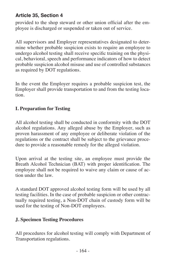provided to the shop steward or other union official after the employee is discharged or suspended or taken out of service.

All supervisors and Employer representatives designated to determine whether probable suspicion exists to require an employee to undergo alcohol testing shall receive specific training on the physical, behavioral, speech and performance indicators of how to detect probable suspicion alcohol misuse and use of controlled substances as required by DOT regulations.

In the event the Employer requires a probable suspicion test, the Employer shall provide transportation to and from the testing location.

#### **I. Preparation for Testing**

All alcohol testing shall be conducted in conformity with the DOT alcohol regulations. Any alleged abuse by the Employer, such as proven harassment of any employee or deliberate violation of the regulations or the contract shall be subject to the grievance procedure to provide a reasonable remedy for the alleged violation.

Upon arrival at the testing site, an employee must provide the Breath Alcohol Technician (BAT) with proper identification. The employee shall not be required to waive any claim or cause of action under the law.

A standard DOT approved alcohol testing form will be used by all testing facilities. In the case of probable suspicion or other contractually required testing, a Non-DOT chain of custody form will be used for the testing of Non-DOT employees.

#### **J. Specimen Testing Procedures**

All procedures for alcohol testing will comply with Department of Transportation regulations.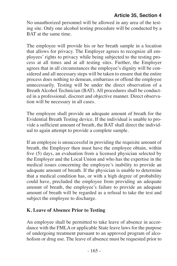No unauthorized personnel will be allowed in any area of the testing site. Only one alcohol testing procedure will be conducted by a BAT at the same time.

The employee will provide his or her breath sample in a location that allows for privacy. The Employer agrees to recognize all employees' rights to privacy while being subjected to the testing process at all times and at all testing sites. Further, the Employer agrees that in all circumstances the employee's dignity will be considered and all necessary steps will be taken to ensure that the entire process does nothing to demean, embarrass or offend the employee unnecessarily. Testing will be under the direct observation of a Breath Alcohol Technician (BAT). All procedures shall be conducted in a professional, discreet and objective manner. Direct observation will be necessary in all cases.

The employee shall provide an adequate amount of breath for the Evidential Breath Testing device. If the individual is unable to provide a sufficient amount of breath, the BAT shall direct the individual to again attempt to provide a complete sample.

If an employee is unsuccessful in providing the requisite amount of breath, the Employer then must have the employee obtain, within five (5) days, an evaluation from a licensed physician selected by the Employer and the Local Union and who has the expertise in the medical issues concerning the employee's inability to provide an adequate amount of breath. If the physician is unable to determine that a medical condition has, or with a high degree of probability could have, precluded the employee from providing an adequate amount of breath, the employee's failure to provide an adequate amount of breath will be regarded as a refusal to take the test and subject the employee to discharge.

#### **K. Leave of Absence Prior to Testing**

An employee shall be permitted to take leave of absence in accordance with the FMLA or applicable State leave laws for the purpose of undergoing treatment pursuant to an approved program of alcoholism or drug use. The leave of absence must be requested prior to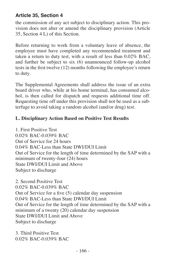the commission of any act subject to disciplinary action. This provision does not alter or amend the disciplinary provision (Article 35, Section 4 L) of this Section.

Before returning to work from a voluntary leave of absence, the employee must have completed any recommended treatment and taken a return to duty test, with a result of less than 0.02% BAC, and further be subject to six (6) unannounced follow-up alcohol tests in the first twelve (12) months following the employee's return to duty.

The Supplemental Agreements shall address the issue of an extra board driver who, while at his home terminal, has consumed alcohol, is then called for dispatch and requests additional time off. Requesting time off under this provision shall not be used as a subterfuge to avoid taking a random alcohol (and/or drug) test.

#### **L. Disciplinary Action Based on Positive Test Results**

1. First Positive Test 0.02% BAC-0.039% BAC Out of Service for 24 hours 0.04% BAC-Less than State DWI/DUI Limit Out of Service for the length of time determined by the SAP with a minimum of twenty-four (24) hours State DWI/DUI Limit and Above Subject to discharge

2. Second Positive Test 0.02% BAC-0.039% BAC Out of Service for a five (5) calendar day suspension 0.04% BAC-Less than State DWI/DUI Limit Out of Service for the length of time determined by the SAP with a minimum of a twenty (20) calendar day suspension State DWI/DUI Limit and Above Subject to discharge

3. Third Positive Test 0.02% BAC-0.039% BAC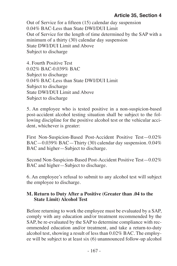Out of Service for a fifteen (15) calendar day suspension 0.04% BAC-Less than State DWI/DUI Limit Out of Service for the length of time determined by the SAP with a minimum of a thirty (30) calendar day suspension State DWI/DUI Limit and Above Subject to discharge

4. Fourth Positive Test 0.02% BAC-0.039% BAC Subject to discharge 0.04% BAC-Less than State DWI/DUI Limit Subject to discharge State DWI/DUI Limit and Above Subject to discharge

5. An employee who is tested positive in a non-suspicion-based post-accident alcohol testing situation shall be subject to the following discipline for the positive alcohol test or the vehicular accident, whichever is greater:

First Non-Suspicion-Based Post-Accident Positive Test—0.02% BAC—0.039% BAC—Thirty (30) calendar day suspension. 0.04% BAC and higher—Subject to discharge.

Second Non-Suspicion-Based Post-Accident Positive Test—0.02% BAC and higher—Subject to discharge.

6. An employee's refusal to submit to any alcohol test will subject the employee to discharge.

#### **M. Return to Duty After a Positive (Greater than .04 to the State Limit) Alcohol Test**

Before returning to work the employee must be evaluated by a SAP, comply with any education and/or treatment recommended by the SAP, be re-evaluated by the SAP to determine compliance with recommended education and/or treatment, and take a return-to-duty alcohol test, showing a result of less than 0.02% BAC. The employee will be subject to at least six (6) unannounced follow-up alcohol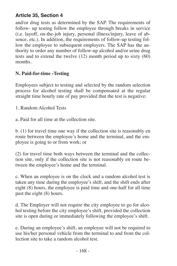and/or drug tests as determined by the SAP. The requirements of follow- up testing follow the employee through breaks in service (i.e. layoff, on-the-job injury, personal illness/injury, leave of absence, etc.). In addition, the requirements of follow-up testing follow the employee to subsequent employers. The SAP has the authority to order any number of follow-up alcohol and/or urine drug tests and to extend the twelve (12) month period up to sixty (60) months.

### **N. Paid-for-time -Testing**

Employees subject to testing and selected by the random selection process for alcohol testing shall be compensated at the regular straight time hourly rate of pay provided that the test is negative:

1. Random Alcohol Tests

a. Paid for all time at the collection site.

b. (1) for travel time one way if the collection site is reasonably en route between the employee's home and the terminal, and the employee is going to or from work; or

(2) for travel time both ways between the terminal and the collection site, only if the collection site is not reasonably en route between the employee's home and the terminal.

c. When an employee is on the clock and a random alcohol test is taken any time during the employee's shift, and the shift ends after eight (8) hours, the employee is paid time and one-half for all time past the eight (8) hours.

d. The Employer will not require the city employee to go for alcohol testing before the city employee's shift, provided the collection site is open during or immediately following the employee's shift.

e. During an employee's shift, an employee will not be required to use his/her personal vehicle from the terminal to and from the collection site to take a random alcohol test.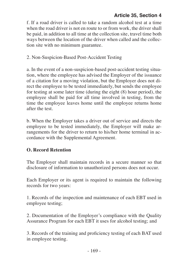f. If a road driver is called to take a random alcohol test at a time when the road driver is not en route to or from work, the driver shall be paid, in addition to all time at the collection site, travel time both ways between the location of the driver when called and the collection site with no minimum guarantee.

2. Non-Suspicion-Based Post-Accident Testing

a. In the event of a non-suspicion-based post-accident testing situation, where the employee has advised the Employer of the issuance of a citation for a moving violation, but the Employer does not direct the employee to be tested immediately, but sends the employee for testing at some later time (during the eight (8) hour period), the employee shall be paid for all time involved in testing, from the time the employee leaves home until the employee returns home after the test.

b. When the Employer takes a driver out of service and directs the employee to be tested immediately, the Employer will make arrangements for the driver to return to his/her home terminal in accordance with the Supplemental Agreement.

### **O. Record Retention**

The Employer shall maintain records in a secure manner so that disclosure of information to unauthorized persons does not occur.

Each Employer or its agent is required to maintain the following records for two years:

1. Records of the inspection and maintenance of each EBT used in employee testing;

2. Documentation of the Employer's compliance with the Quality Assurance Program for each EBT it uses for alcohol testing; and

3. Records of the training and proficiency testing of each BAT used in employee testing.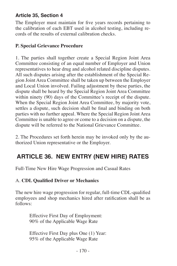The Employer must maintain for five years records pertaining to the calibration of each EBT used in alcohol testing, including records of the results of external calibration checks.

#### **P. Special Grievance Procedure**

1. The parties shall together create a Special Region Joint Area Committee consisting of an equal number of Employer and Union representatives to hear drug and alcohol related discipline disputes. All such disputes arising after the establishment of the Special Region Joint Area Committee shall be taken up between the Employer and Local Union involved. Failing adjustment by these parties, the dispute shall be heard by the Special Region Joint Area Committee within ninety (90) days of the Committee's receipt of the dispute. When the Special Region Joint Area Committee, by majority vote, settles a dispute, such decision shall be final and binding on both parties with no further appeal. Where the Special Region Joint Area Committee is unable to agree or come to a decision on a dispute, the dispute will be referred to the National Grievance Committee.

2. The Procedures set forth herein may be invoked only by the authorized Union representative or the Employer.

# **ARTICLE 36. NEW ENTRY (NEW HIRE) RATES**

Full-Time New Hire Wage Progression and Casual Rates

#### A. **CDL Qualified Driver or Mechanics**

The new hire wage progression for regular, full-time CDL-qualified employees and shop mechanics hired after ratification shall be as follows:

> Effective First Day of Employment: 90% of the Applicable Wage Rate

Effective First Day plus One (1) Year: 95% of the Applicable Wage Rate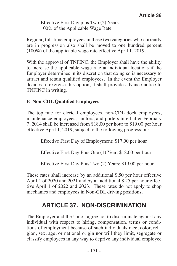Effective First Day plus Two (2) Years: 100% of the Applicable Wage Rate

Regular, full-time employees in these two categories who currently are in progression also shall be moved to one hundred percent (100%) of the applicable wage rate effective April 1, 2019.

With the approval of TNFINC, the Employer shall have the ability to increase the applicable wage rate at individual locations if the Employer determines in its discretion that doing so is necessary to attract and retain qualified employees. In the event the Employer decides to exercise this option, it shall provide advance notice to TNFINC in writing.

#### B. **Non-CDL Qualified Employees**

The top rate for clerical employees, non-CDL dock employees, maintenance employees, janitors, and porters hired after February 7, 2014 shall be increased from \$18.00 per hour to \$19.00 per hour effective April 1, 2019, subject to the following progression:

Effective First Day of Employment: \$17.00 per hour

Effective First Day Plus One (1) Year: \$18.00 per hour

Effective First Day Plus Two (2) Years: \$19.00 per hour

These rates shall increase by an additional \$.50 per hour effective April 1 of 2020 and 2021 and by an additional \$.25 per hour effective April 1 of 2022 and 2023. These rates do not apply to shop mechanics and employees in Non-CDL driving positions.

# **ARTICLE 37. NON-DISCRIMINATION**

The Employer and the Union agree not to discriminate against any individual with respect to hiring, compensation, terms or conditions of employment because of such individuals race, color, religion, sex, age, or national origin nor will they limit, segregate or classify employees in any way to deprive any individual employee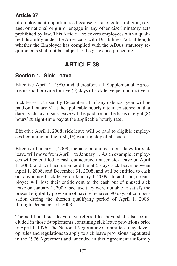#### **Article 37**

of employment opportunities because of race, color, religion, sex, age, or national origin or engage in any other discriminatory acts prohibited by law. This Article also covers employees with a qualified disability under the Americans with Disabilities Act, although whether the Employer has complied with the ADA's statutory requirements shall not be subject to the grievance procedure.

# **ARTICLE 38.**

#### **Section 1. Sick Leave**

Effective April 1, 1980 and thereafter, all Supplemental Agreements shall provide for five (5) days of sick leave per contract year.

Sick leave not used by December 31 of any calendar year will be paid on January 31 at the applicable hourly rate in existence on that date. Each day of sick leave will be paid for on the basis of eight (8) hours' straight-time pay at the applicable hourly rate.

Effective April 1, 2008, sick leave will be paid to eligible employees beginning on the first  $(1<sup>st</sup>)$  working day of absence.

Effective January 1, 2009, the accrual and cash out dates for sick leave will move from April 1 to January 1. As an example, employees will be entitled to cash out accrued unused sick leave on April 1, 2008, and will accrue an additional 5 days sick leave between April 1, 2008, and December 31, 2008, and will be entitled to cash out any unused sick leave on January 1, 2009. In addition, no employee will lose their entitlement to the cash out of unused sick leave on January 1, 2009, because they were not able to satisfy the present eligibility provision of having received 90 days of compensation during the shorten qualifying period of April 1, 2008, through December 31, 2008.

The additional sick leave days referred to above shall also be included in those Supplements containing sick leave provisions prior to April 1, 1976. The National Negotiating Committees may develop rules and regulations to apply to sick leave provisions negotiated in the 1976 Agreement and amended in this Agreement uniformly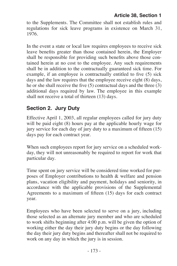#### **Article 38, Section 1**

to the Supplements. The Committee shall not establish rules and regulations for sick leave programs in existence on March 31, 1976.

In the event a state or local law requires employees to receive sick leave benefits greater than those contained herein, the Employer shall be responsible for providing such benefits above those contained herein at no cost to the employee. Any such requirements shall be in addition to the contractually guaranteed sick time. For example, if an employee is contractually entitled to five (5) sick days and the law requires that the employee receive eight (8) days, he or she shall receive the five (5) contractual days and the three (3) additional days required by law. The employee in this example shall not receive a total of thirteen (13) days.

### **Section 2. Jury Duty**

Effective April 1, 2003, all regular employees called for jury duty will be paid eight (8) hours pay at the applicable hourly wage for jury service for each day of jury duty to a maximum of fifteen (15) days pay for each contract year.

When such employees report for jury service on a scheduled workday, they will not unreasonably be required to report for work that particular day.

Time spent on jury service will be considered time worked for purposes of Employer contributions to health & welfare and pension plans, vacation eligibility and payment, holidays and seniority, in accordance with the applicable provisions of the Supplemental Agreements to a maximum of fifteen (15) days for each contract year.

Employees who have been selected to serve on a jury, including those selected as an alternate jury member and who are scheduled to work shifts beginning after 4:00 p.m. will be given the option of working either the day their jury duty begins or the day following the day their jury duty begins and thereafter shall not be required to work on any day in which the jury is in session.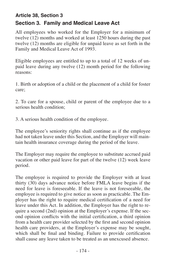## **Article 38, Section 3 Section 3. Family and Medical Leave Act**

All employees who worked for the Employer for a minimum of twelve (12) months and worked at least 1250 hours during the past twelve (12) months are eligible for unpaid leave as set forth in the Family and Medical Leave Act of 1993.

Eligible employees are entitled to up to a total of 12 weeks of unpaid leave during any twelve (12) month period for the following reasons:

1. Birth or adoption of a child or the placement of a child for foster care;

2. To care for a spouse, child or parent of the employee due to a serious health condition;

3. A serious health condition of the employee.

The employee's seniority rights shall continue as if the employee had not taken leave under this Section, and the Employer will maintain health insurance coverage during the period of the leave.

The Employer may require the employee to substitute accrued paid vacation or other paid leave for part of the twelve (12) week leave period.

The employee is required to provide the Employer with at least thirty (30) days advance notice before FMLA leave begins if the need for leave is foreseeable. If the leave is not foreseeable, the employee is required to give notice as soon as practicable. The Employer has the right to require medical certification of a need for leave under this Act. In addition, the Employer has the right to require a second (2nd) opinion at the Employer's expense. If the second opinion conflicts with the initial certification, a third opinion from a health care provider selected by the first and second opinion health care providers, at the Employer's expense may be sought, which shall be final and binding. Failure to provide certification shall cause any leave taken to be treated as an unexcused absence.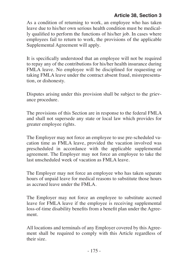### **Article 38, Section 3**

As a condition of returning to work, an employee who has taken leave due to his/her own serious health condition must be medically qualified to perform the functions of his/her job. In cases where employees fail to return to work, the provisions of the applicable Supplemental Agreement will apply.

It is specifically understood that an employee will not be required to repay any of the contributions for his/her health insurance during FMLA leave. No employee will be disciplined for requesting or taking FMLA leave under the contract absent fraud, misrepresentation, or dishonesty.

Disputes arising under this provision shall be subject to the grievance procedure.

The provisions of this Section are in response to the federal FMLA and shall not supersede any state or local law which provides for greater employee rights.

The Employer may not force an employee to use pre-scheduled vacation time as FMLA leave, provided the vacation involved was prescheduled in accordance with the applicable supplemental agreement. The Employer may not force an employee to take the last unscheduled week of vacation as FMLA leave.

The Employer may not force an employee who has taken separate hours of unpaid leave for medical reasons to substitute those hours as accrued leave under the FMLA.

The Employer may not force an employee to substitute accrued leave for FMLA leave if the employee is receiving supplemental loss-of-time disability benefits from a benefit plan under the Agreement.

All locations and terminals of any Employer covered by this Agreement shall be required to comply with this Article regardless of their size.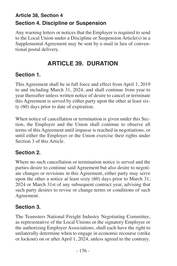# **Article 38, Section 4 Section 4. Discipline or Suspension**

Any warning letters or notices that the Employer is required to send to the Local Union under a Discipline or Suspension Article(s) in a Supplemental Agreement may be sent by e-mail in lieu of conventional postal delivery.

# **ARTICLE 39. DURATION**

### **Section 1.**

This Agreement shall be in full force and effect from April 1, 2019 to and including March 31, 2024, and shall continue from year to year thereafter unless written notice of desire to cancel or terminate this Agreement is served by either party upon the other at least sixty (60) days prior to date of expiration.

When notice of cancellation or termination is given under this Section, the Employer and the Union shall continue to observe all terms of this Agreement until impasse is reached in negotiations, or until either the Employer or the Union exercise their rights under Section 3 of this Article.

## **Section 2.**

Where no such cancellation or termination notice is served and the parties desire to continue said Agreement but also desire to negotiate changes or revisions in this Agreement, either party may serve upon the other a notice at least sixty (60) days prior to March 31, 2024 or March 31st of any subsequent contract year, advising that such party desires to revise or change terms or conditions of such Agreement.

## **Section 3.**

The Teamsters National Freight Industry Negotiating Committee, as representative of the Local Unions or the signatory Employer or the authorizing Employer Associations, shall each have the right to unilaterally determine when to engage in economic recourse (strike or lockout) on or after April 1, 2024, unless agreed to the contrary.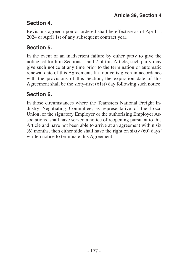## **Section 4.**

Revisions agreed upon or ordered shall be effective as of April 1, 2024 or April 1st of any subsequent contract year.

## **Section 5.**

In the event of an inadvertent failure by either party to give the notice set forth in Sections 1 and 2 of this Article, such party may give such notice at any time prior to the termination or automatic renewal date of this Agreement. If a notice is given in accordance with the provisions of this Section, the expiration date of this Agreement shall be the sixty-first (61st) day following such notice.

# **Section 6.**

In those circumstances where the Teamsters National Freight Industry Negotiating Committee, as representative of the Local Union, or the signatory Employer or the authorizing Employer Associations, shall have served a notice of reopening pursuant to this Article and have not been able to arrive at an agreement within six (6) months, then either side shall have the right on sixty (60) days' written notice to terminate this Agreement.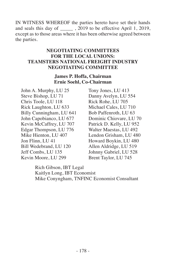IN WITNESS WHEREOF the parties hereto have set their hands and seals this day of \_\_\_\_\_ , 2019 to be effective April 1, 2019, except as to those areas where it has been otherwise agreed between the parties.

#### **NEGOTIATING COMMITTEES FOR THE LOCAL UNIONS: TEAMSTERS NATIONAL FREIGHT INDUSTRY NEGOTIATING COMMITTEE**

#### **James P. Hoffa, Chairman Ernie Soehl, Co-Chairman**

John A. Murphy, LU 25 Steve Bishop, LU 71 Chris Toole, LU 118 Rick Laughton, LU 633 Billy Cunningham, LU 641 John Capobianco, LU 677 Kevin McCaffrey, LU 707 Edgar Thompson, LU 776 Mike Hienton, LU 407 Jon Flinn, LU 41 Bill Wedebrand, LU 120 Jeff Combs, LU 135 Kevin Moore, LU 299

Tony Jones, LU 413 Danny Avelyn, LU 554 Rick Rohe, LU 705 Michael Cales, LU 710 Bob Paffenroth, LU 63 Dominic Chiovare, LU 70 Patrick D. Kelly, LU 952 Walter Maestas, LU 492 Lendon Grisham, LU 480 Howard Boykin, LU 480 Allen Aldridge, LU 519 Johnny Gabriel, LU 528 Brent Taylor, LU 745

Rich Gibson, IBT Legal Kaitlyn Long, IBT Economist Mike Conyngham, TNFINC Economist Consultant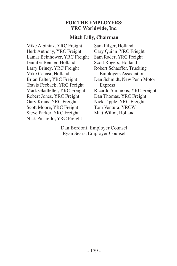#### **FOR THE EMPLOYERS: YRC Worldwide, Inc.**

#### **Mitch Lilly, Chairman**

Mike Albiniak, YRC Freight Herb Anthony, YRC Freight Lamar Beinhower, YRC Freight Jennifer Benner, Holland Larry Briney, YRC Freight Mike Canasi, Holland Brian Falter, YRC Freight Travis Feeback, YRC Freight Mark Gladfelter, YRC Freight Robert Jones, YRC Freight Gary Kraus, YRC Freight Scott Moore, YRC Freight Steve Parker, YRC Freight Nick Picarello, YRC Freight

Sam Pilger, Holland Gary Quinn, YRC Frieght Sam Rader, YRC Freight Scott Rogers, Holland Robert Schaeffer, Trucking Employers Association Dan Schmidt, New Penn Motor Express Ricardo Simmons, YRC Freight Dan Thomas, YRC Freight Nick Tipple, YRC Freight Tom Ventura, YRCW Matt Wilim, Holland

Dan Bordoni, Employer Counsel Ryan Sears, Employer Counsel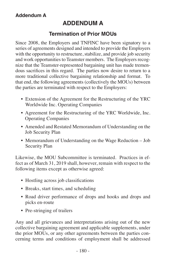# **ADDENDUM A**

#### **Termination of Prior MOUs**

Since 2008, the Employers and TNFINC have been signatory to a series of agreements designed and intended to provide the Employers with the opportunity to restructure, stabilize, and provide job security and work opportunities to Teamster members. The Employers recognize that the Teamster-represented bargaining unit has made tremendous sacrifices in this regard. The parties now desire to return to a more traditional collective bargaining relationship and format. To that end, the following agreements (collectively the MOUs) between the parties are terminated with respect to the Employers:

- Extension of the Agreement for the Restructuring of the YRC Worldwide Inc. Operating Companies
- Agreement for the Restructuring of the YRC Worldwide, Inc. Operating Companies
- Amended and Restated Memorandum of Understanding on the Job Security Plan
- Memorandum of Understanding on the Wage Reduction Job Security Plan

Likewise, the MOU Subcommittee is terminated. Practices in effect as of March 31, 2019 shall, however, remain with respect to the following items except as otherwise agreed:

- Hostling across job classifications
- Breaks, start times, and scheduling
- Road driver performance of drops and hooks and drops and picks en-route
- Pre-stringing of trailers

Any and all grievances and interpretations arising out of the new collective bargaining agreement and applicable supplements, under the prior MOUs, or any other agreements between the parties concerning terms and conditions of employment shall be addressed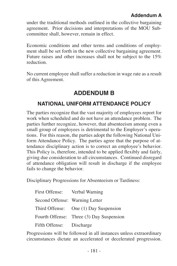under the traditional methods outlined in the collective bargaining agreement. Prior decisions and interpretations of the MOU Subcommittee shall, however, remain in effect.

Economic conditions and other terms and conditions of employment shall be set forth in the new collective bargaining agreement. Future raises and other increases shall not be subject to the 15% reduction.

No current employee shall suffer a reduction in wage rate as a result of this Agreement.

# **ADDENDUM B**

# **NATIONAL UNIFORM ATTENDANCE POLICY**

The parties recognize that the vast majority of employees report for work when scheduled and do not have an attendance problem. The parties further recognize, however, that absenteeism among even a small group of employees is detrimental to the Employer's operations. For this reason, the parties adopt the following National Uniform Attendance Policy. The parties agree that the purpose of attendance disciplinary action is to correct an employee's behavior. This Policy is, therefore, intended to be applied flexibly and fairly, giving due consideration to all circumstances. Continued disregard of attendance obligation will result in discharge if the employee fails to change the behavior.

Disciplinary Progressions for Absenteeism or Tardiness:

| First Offense: Verbal Warning  |                                          |
|--------------------------------|------------------------------------------|
| Second Offense: Warning Letter |                                          |
|                                | Third Offense: One (1) Day Suspension    |
|                                | Fourth Offense: Three (3) Day Suspension |
| Fifth Offense: Discharge       |                                          |

Progressions will be followed in all instances unless extraordinary circumstances dictate an accelerated or decelerated progression.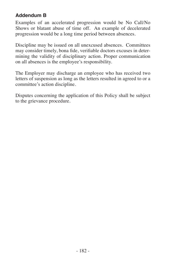#### **Addendum B**

Examples of an accelerated progression would be No Call/No Shows or blatant abuse of time off. An example of decelerated progression would be a long time period between absences.

Discipline may be issued on all unexcused absences. Committees may consider timely, bona fide, verifiable doctors excuses in determining the validity of disciplinary action. Proper communication on all absences is the employee's responsibility.

The Employer may discharge an employee who has received two letters of suspension as long as the letters resulted in agreed to or a committee's action discipline.

Disputes concerning the application of this Policy shall be subject to the grievance procedure.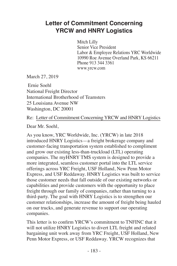# **Letter of Commitment Concerning YRCW and HNRY Logistics**

Mitch Lilly Senior Vice President Labor & Employee Relations YRC Worldwide 10990 Roe Avenue Overland Park, KS 66211 Phone 913 344 3361 www.yrcw.com

March 27, 2019

 Ernie Soehl National Freight Director International Brotherhood of Teamsters 25 Louisiana Avenue NW Washington, DC 20001

Re: Letter of Commitment Concerning YRCW and HNRY Logistics

Dear Mr. Soehl,

As you know, YRC Worldwide, Inc. (YRCW) in late 2018 introduced HNRY Logistics—a freight brokerage company and customer-facing transportation system established to compliment and grow our existing less-than-truckload (LTL) operating companies. The myHNRY TMS system is designed to provide a more integrated, seamless customer portal into the LTL service offerings across YRC Freight, USF Holland, New Penn Motor Express, and USF Reddaway. HNRY Logistics was built to service those customer needs that fall outside of our existing networks or capabilities and provide customers with the opportunity to place freight through our family of companies, rather than turning to a third-party. The goal with HNRY Logistics is to strengthen our customer relationships, increase the amount of freight being hauled on our trucks, and generate revenue to support our operating companies.

This letter is to confirm YRCW's commitment to TNFINC that it will not utilize HNRY Logistics to divert LTL freight and related bargaining unit work away from YRC Freight, USF Holland, New Penn Motor Express, or USF Reddaway. YRCW recognizes that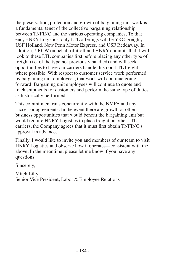the preservation, protection and growth of bargaining unit work is a fundamental tenet of the collective bargaining relationship between TNFINC and the various operating companies. To that end, HNRY Logistics' only LTL offerings will be YRC Freight. USF Holland, New Penn Motor Express, and USF Reddaway. In addition, YRCW on behalf of itself and HNRY commits that it will look to these LTL companies first before placing any other type of freight (i.e. of the type not previously handled) and will seek opportunities to have our carriers handle this non-LTL freight where possible. With respect to customer service work performed by bargaining unit employees, that work will continue going forward. Bargaining unit employees will continue to quote and track shipments for customers and perform the same type of duties as historically performed.

This commitment runs concurrently with the NMFA and any successor agreements. In the event there are growth or other business opportunities that would benefit the bargaining unit but would require HNRY Logistics to place freight on other LTL carriers, the Company agrees that it must first obtain TNFINC's approval in advance.

Finally, I would like to invite you and members of our team to visit HNRY Logistics and observe how it operates—consistent with the above. In the meantime, please let me know if you have any questions.

Sincerely,

Mitch Lilly Senior Vice President, Labor & Employee Relations